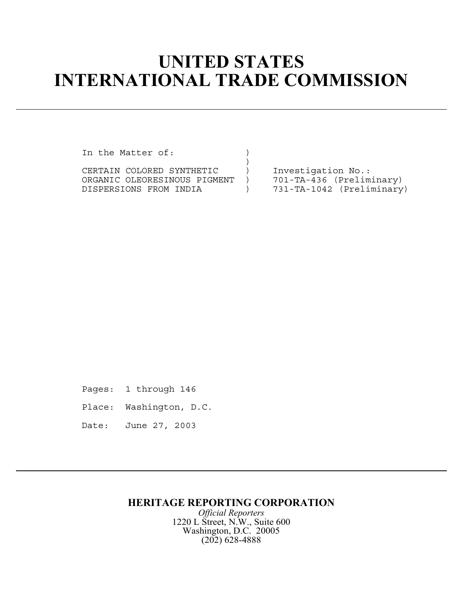## **UNITED STATES INTERNATIONAL TRADE COMMISSION**

In the Matter of:

) CERTAIN COLORED SYNTHETIC ) Investigation No.:<br>ORGANIC OLEORESINOUS PIGMENT ) 701-TA-436 (Preliminary) ORGANIC OLEORESINOUS PIGMENT )<br>DISPERSIONS FROM INDIA  $)$  731-TA-1042 (Preliminary)

Pages: 1 through 146

Place: Washington, D.C.

Date: June 27, 2003

## **HERITAGE REPORTING CORPORATION**

*Official Reporters* 1220 L Street, N.W., Suite 600 Washington, D.C. 20005 (202) 628-4888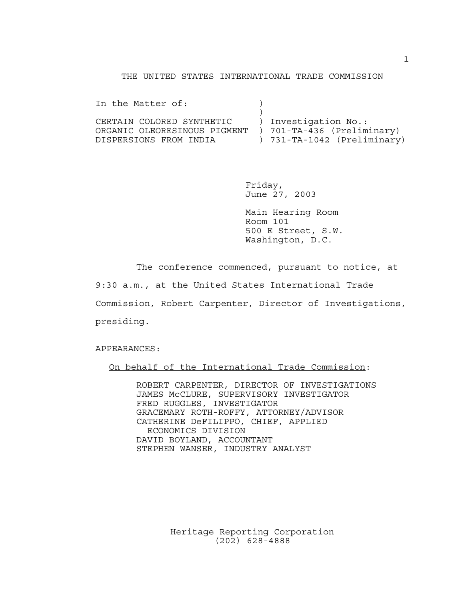## THE UNITED STATES INTERNATIONAL TRADE COMMISSION

In the Matter of:  $)$  $)$ CERTAIN COLORED SYNTHETIC ) Investigation No.: ORGANIC OLEORESINOUS PIGMENT ) 701-TA-436 (Preliminary) DISPERSIONS FROM INDIA ) 731-TA-1042 (Preliminary)

> Friday, June 27, 2003

Main Hearing Room Room 101 500 E Street, S.W. Washington, D.C.

The conference commenced, pursuant to notice, at 9:30 a.m., at the United States International Trade Commission, Robert Carpenter, Director of Investigations, presiding.

APPEARANCES:

On behalf of the International Trade Commission:

ROBERT CARPENTER, DIRECTOR OF INVESTIGATIONS JAMES McCLURE, SUPERVISORY INVESTIGATOR FRED RUGGLES, INVESTIGATOR GRACEMARY ROTH-ROFFY, ATTORNEY/ADVISOR CATHERINE DeFILIPPO, CHIEF, APPLIED ECONOMICS DIVISION DAVID BOYLAND, ACCOUNTANT STEPHEN WANSER, INDUSTRY ANALYST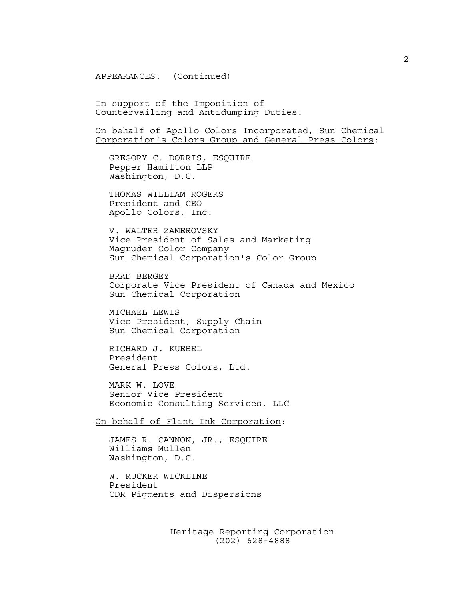APPEARANCES: (Continued)

In support of the Imposition of Countervailing and Antidumping Duties:

On behalf of Apollo Colors Incorporated, Sun Chemical Corporation's Colors Group and General Press Colors:

GREGORY C. DORRIS, ESQUIRE Pepper Hamilton LLP Washington, D.C.

THOMAS WILLIAM ROGERS President and CEO Apollo Colors, Inc.

V. WALTER ZAMEROVSKY Vice President of Sales and Marketing Magruder Color Company Sun Chemical Corporation's Color Group

BRAD BERGEY Corporate Vice President of Canada and Mexico Sun Chemical Corporation

MICHAEL LEWIS Vice President, Supply Chain Sun Chemical Corporation

RICHARD J. KUEBEL President General Press Colors, Ltd.

MARK W. LOVE Senior Vice President Economic Consulting Services, LLC

On behalf of Flint Ink Corporation:

JAMES R. CANNON, JR., ESQUIRE Williams Mullen Washington, D.C.

W. RUCKER WICKLINE President CDR Pigments and Dispersions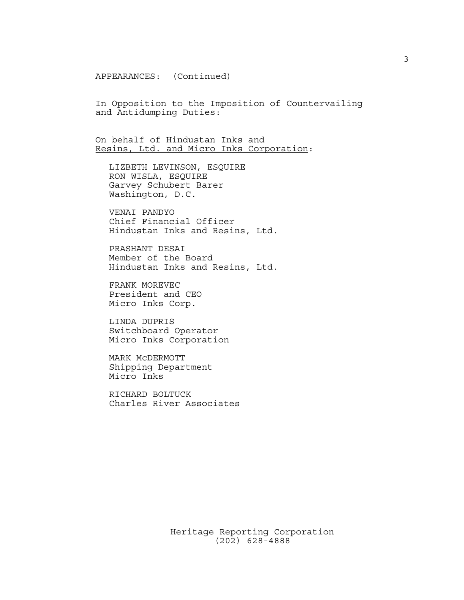APPEARANCES: (Continued)

In Opposition to the Imposition of Countervailing and Antidumping Duties:

On behalf of Hindustan Inks and Resins, Ltd. and Micro Inks Corporation:

LIZBETH LEVINSON, ESQUIRE RON WISLA, ESQUIRE Garvey Schubert Barer Washington, D.C.

VENAI PANDYO Chief Financial Officer Hindustan Inks and Resins, Ltd.

PRASHANT DESAI Member of the Board Hindustan Inks and Resins, Ltd.

FRANK MOREVEC President and CEO Micro Inks Corp.

LINDA DUPRIS Switchboard Operator Micro Inks Corporation

MARK McDERMOTT Shipping Department Micro Inks

RICHARD BOLTUCK Charles River Associates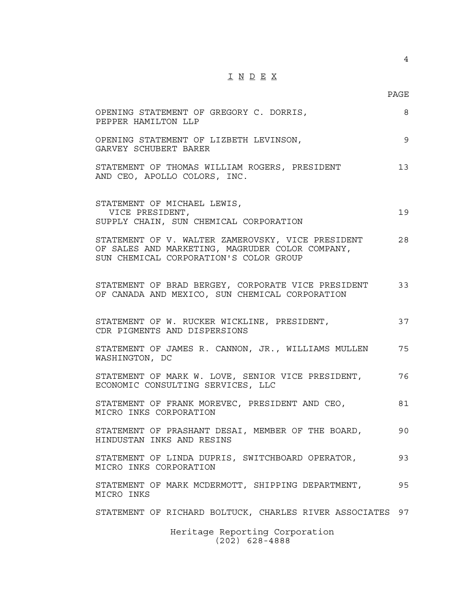## I N D E X

PAGE

4

| 9<br>OPENING STATEMENT OF LIZBETH LEVINSON,<br>GARVEY SCHUBERT BARER<br>STATEMENT OF THOMAS WILLIAM ROGERS, PRESIDENT<br>13<br>AND CEO, APOLLO COLORS, INC.<br>STATEMENT OF MICHAEL LEWIS,<br>VICE PRESIDENT,<br>19<br>SUPPLY CHAIN, SUN CHEMICAL CORPORATION<br>STATEMENT OF V. WALTER ZAMEROVSKY, VICE PRESIDENT<br>28<br>OF SALES AND MARKETING, MAGRUDER COLOR COMPANY,<br>SUN CHEMICAL CORPORATION'S COLOR GROUP<br>STATEMENT OF BRAD BERGEY, CORPORATE VICE PRESIDENT<br>33<br>OF CANADA AND MEXICO, SUN CHEMICAL CORPORATION<br>37<br>STATEMENT OF W. RUCKER WICKLINE, PRESIDENT,<br>CDR PIGMENTS AND DISPERSIONS<br>STATEMENT OF JAMES R. CANNON, JR., WILLIAMS MULLEN<br>75<br>WASHINGTON, DC<br>STATEMENT OF MARK W. LOVE, SENIOR VICE PRESIDENT,<br>76<br>ECONOMIC CONSULTING SERVICES, LLC<br>STATEMENT OF FRANK MOREVEC, PRESIDENT AND CEO,<br>81<br>MICRO INKS CORPORATION<br>STATEMENT OF PRASHANT DESAI, MEMBER OF THE BOARD,<br>90<br>HINDUSTAN INKS AND RESINS<br>STATEMENT OF LINDA DUPRIS, SWITCHBOARD OPERATOR,<br>93<br>MICRO INKS CORPORATION<br>95<br>STATEMENT OF MARK MCDERMOTT, SHIPPING DEPARTMENT,<br>MICRO INKS<br>STATEMENT OF RICHARD BOLTUCK, CHARLES RIVER ASSOCIATES 97 | OPENING STATEMENT OF GREGORY C. DORRIS,<br>PEPPER HAMILTON LLP | 8 |
|------------------------------------------------------------------------------------------------------------------------------------------------------------------------------------------------------------------------------------------------------------------------------------------------------------------------------------------------------------------------------------------------------------------------------------------------------------------------------------------------------------------------------------------------------------------------------------------------------------------------------------------------------------------------------------------------------------------------------------------------------------------------------------------------------------------------------------------------------------------------------------------------------------------------------------------------------------------------------------------------------------------------------------------------------------------------------------------------------------------------------------------------------------------------------------------------------------|----------------------------------------------------------------|---|
|                                                                                                                                                                                                                                                                                                                                                                                                                                                                                                                                                                                                                                                                                                                                                                                                                                                                                                                                                                                                                                                                                                                                                                                                            |                                                                |   |
|                                                                                                                                                                                                                                                                                                                                                                                                                                                                                                                                                                                                                                                                                                                                                                                                                                                                                                                                                                                                                                                                                                                                                                                                            |                                                                |   |
|                                                                                                                                                                                                                                                                                                                                                                                                                                                                                                                                                                                                                                                                                                                                                                                                                                                                                                                                                                                                                                                                                                                                                                                                            |                                                                |   |
|                                                                                                                                                                                                                                                                                                                                                                                                                                                                                                                                                                                                                                                                                                                                                                                                                                                                                                                                                                                                                                                                                                                                                                                                            |                                                                |   |
|                                                                                                                                                                                                                                                                                                                                                                                                                                                                                                                                                                                                                                                                                                                                                                                                                                                                                                                                                                                                                                                                                                                                                                                                            |                                                                |   |
|                                                                                                                                                                                                                                                                                                                                                                                                                                                                                                                                                                                                                                                                                                                                                                                                                                                                                                                                                                                                                                                                                                                                                                                                            |                                                                |   |
|                                                                                                                                                                                                                                                                                                                                                                                                                                                                                                                                                                                                                                                                                                                                                                                                                                                                                                                                                                                                                                                                                                                                                                                                            |                                                                |   |
|                                                                                                                                                                                                                                                                                                                                                                                                                                                                                                                                                                                                                                                                                                                                                                                                                                                                                                                                                                                                                                                                                                                                                                                                            |                                                                |   |
|                                                                                                                                                                                                                                                                                                                                                                                                                                                                                                                                                                                                                                                                                                                                                                                                                                                                                                                                                                                                                                                                                                                                                                                                            |                                                                |   |
|                                                                                                                                                                                                                                                                                                                                                                                                                                                                                                                                                                                                                                                                                                                                                                                                                                                                                                                                                                                                                                                                                                                                                                                                            |                                                                |   |
|                                                                                                                                                                                                                                                                                                                                                                                                                                                                                                                                                                                                                                                                                                                                                                                                                                                                                                                                                                                                                                                                                                                                                                                                            |                                                                |   |
|                                                                                                                                                                                                                                                                                                                                                                                                                                                                                                                                                                                                                                                                                                                                                                                                                                                                                                                                                                                                                                                                                                                                                                                                            |                                                                |   |
| $H \circ m + \circ \alpha$ $D \circ m \circ m + \alpha$ $C \circ m \circ m \circ t$                                                                                                                                                                                                                                                                                                                                                                                                                                                                                                                                                                                                                                                                                                                                                                                                                                                                                                                                                                                                                                                                                                                        |                                                                |   |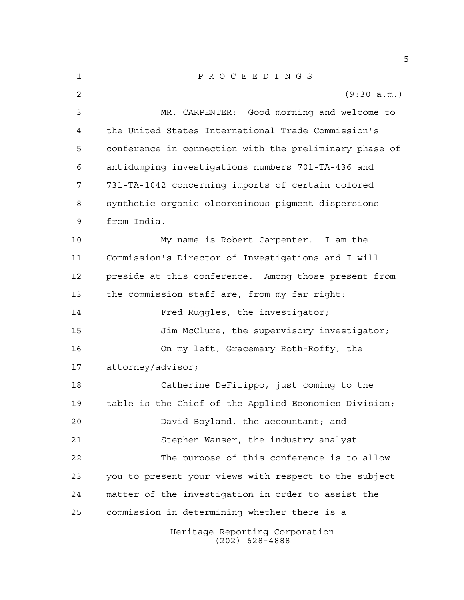| $\mathbf 1$    | $\underline{P} \underline{R} \underline{O} \underline{C} \underline{E} \underline{E} \underline{D} \underline{I} \underline{N} \underline{G} \underline{S}$ |
|----------------|-------------------------------------------------------------------------------------------------------------------------------------------------------------|
| $\overline{c}$ | (9:30 a.m.)                                                                                                                                                 |
| 3              | MR. CARPENTER: Good morning and welcome to                                                                                                                  |
| 4              | the United States International Trade Commission's                                                                                                          |
| 5              | conference in connection with the preliminary phase of                                                                                                      |
| 6              | antidumping investigations numbers 701-TA-436 and                                                                                                           |
| 7              | 731-TA-1042 concerning imports of certain colored                                                                                                           |
| 8              | synthetic organic oleoresinous pigment dispersions                                                                                                          |
| 9              | from India.                                                                                                                                                 |
| 10             | My name is Robert Carpenter. I am the                                                                                                                       |
| 11             | Commission's Director of Investigations and I will                                                                                                          |
| 12             | preside at this conference. Among those present from                                                                                                        |
| 13             | the commission staff are, from my far right:                                                                                                                |
| 14             | Fred Ruggles, the investigator;                                                                                                                             |
| 15             | Jim McClure, the supervisory investigator;                                                                                                                  |
| 16             | On my left, Gracemary Roth-Roffy, the                                                                                                                       |
| 17             | attorney/advisor;                                                                                                                                           |
| 18             | Catherine DeFilippo, just coming to the                                                                                                                     |
| 19             | table is the Chief of the Applied Economics Division;                                                                                                       |
| 20             | David Boyland, the accountant; and                                                                                                                          |
| 21             | Stephen Wanser, the industry analyst.                                                                                                                       |
| 22             | The purpose of this conference is to allow                                                                                                                  |
| 23             | you to present your views with respect to the subject                                                                                                       |
| 24             | matter of the investigation in order to assist the                                                                                                          |
| 25             | commission in determining whether there is a                                                                                                                |
|                | Heritage Reporting Corporation<br>$(202)$ 628-4888                                                                                                          |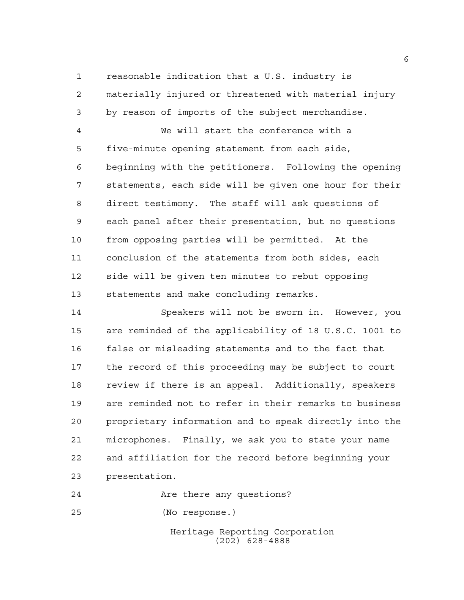reasonable indication that a U.S. industry is materially injured or threatened with material injury by reason of imports of the subject merchandise.

 We will start the conference with a five-minute opening statement from each side, beginning with the petitioners. Following the opening statements, each side will be given one hour for their direct testimony. The staff will ask questions of each panel after their presentation, but no questions from opposing parties will be permitted. At the conclusion of the statements from both sides, each side will be given ten minutes to rebut opposing statements and make concluding remarks.

 Speakers will not be sworn in. However, you are reminded of the applicability of 18 U.S.C. 1001 to false or misleading statements and to the fact that the record of this proceeding may be subject to court review if there is an appeal. Additionally, speakers are reminded not to refer in their remarks to business proprietary information and to speak directly into the microphones. Finally, we ask you to state your name and affiliation for the record before beginning your presentation.

**Are there any questions?** 

(No response.)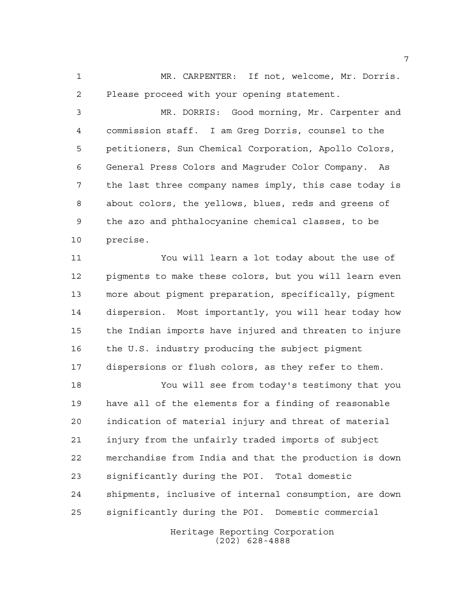MR. CARPENTER: If not, welcome, Mr. Dorris. Please proceed with your opening statement.

 MR. DORRIS: Good morning, Mr. Carpenter and commission staff. I am Greg Dorris, counsel to the petitioners, Sun Chemical Corporation, Apollo Colors, General Press Colors and Magruder Color Company. As the last three company names imply, this case today is about colors, the yellows, blues, reds and greens of the azo and phthalocyanine chemical classes, to be precise.

 You will learn a lot today about the use of pigments to make these colors, but you will learn even more about pigment preparation, specifically, pigment dispersion. Most importantly, you will hear today how the Indian imports have injured and threaten to injure the U.S. industry producing the subject pigment dispersions or flush colors, as they refer to them.

 You will see from today's testimony that you have all of the elements for a finding of reasonable indication of material injury and threat of material injury from the unfairly traded imports of subject merchandise from India and that the production is down significantly during the POI. Total domestic shipments, inclusive of internal consumption, are down significantly during the POI. Domestic commercial

> Heritage Reporting Corporation (202) 628-4888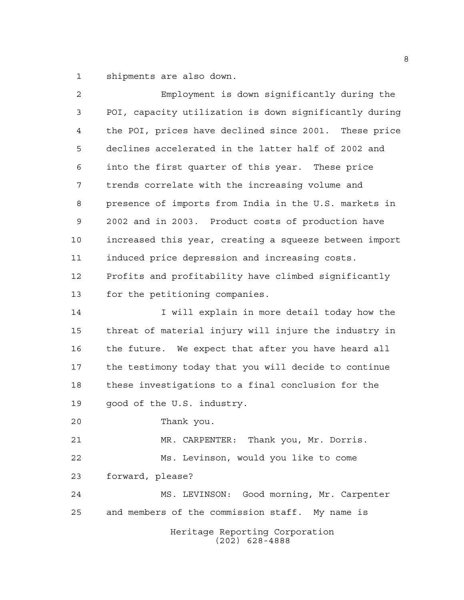shipments are also down.

| 2  | Employment is down significantly during the            |
|----|--------------------------------------------------------|
| 3  | POI, capacity utilization is down significantly during |
| 4  | the POI, prices have declined since 2001. These price  |
| 5  | declines accelerated in the latter half of 2002 and    |
| 6  | into the first quarter of this year. These price       |
| 7  | trends correlate with the increasing volume and        |
| 8  | presence of imports from India in the U.S. markets in  |
| 9  | 2002 and in 2003. Product costs of production have     |
| 10 | increased this year, creating a squeeze between import |
| 11 | induced price depression and increasing costs.         |
| 12 | Profits and profitability have climbed significantly   |
| 13 | for the petitioning companies.                         |
| 14 | I will explain in more detail today how the            |
| 15 | threat of material injury will injure the industry in  |
| 16 | the future. We expect that after you have heard all    |
| 17 | the testimony today that you will decide to continue   |
| 18 | these investigations to a final conclusion for the     |
| 19 | good of the U.S. industry.                             |
| 20 | Thank you.                                             |
| 21 | MR. CARPENTER: Thank you, Mr. Dorris.                  |
| 22 | Ms. Levinson, would you like to come                   |
| 23 | forward, please?                                       |
| 24 | MS. LEVINSON: Good morning, Mr. Carpenter              |
| 25 | and members of the commission staff. My name is        |
|    | Heritage Reporting Corporation<br>$(202)$ 628-4888     |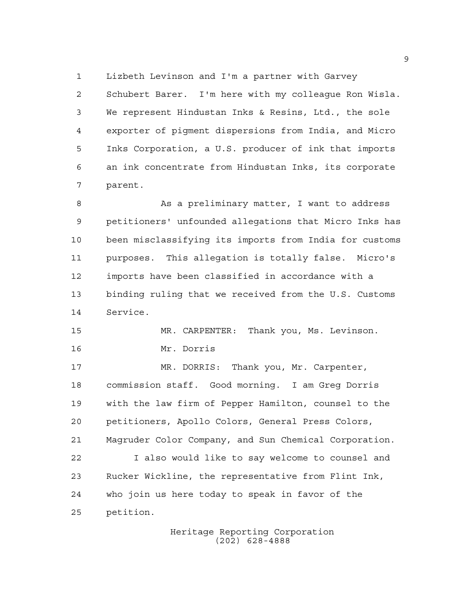Lizbeth Levinson and I'm a partner with Garvey

 Schubert Barer. I'm here with my colleague Ron Wisla. We represent Hindustan Inks & Resins, Ltd., the sole exporter of pigment dispersions from India, and Micro Inks Corporation, a U.S. producer of ink that imports an ink concentrate from Hindustan Inks, its corporate parent.

8 As a preliminary matter, I want to address petitioners' unfounded allegations that Micro Inks has been misclassifying its imports from India for customs purposes. This allegation is totally false. Micro's imports have been classified in accordance with a binding ruling that we received from the U.S. Customs Service.

 MR. CARPENTER: Thank you, Ms. Levinson. Mr. Dorris

 MR. DORRIS: Thank you, Mr. Carpenter, commission staff. Good morning. I am Greg Dorris with the law firm of Pepper Hamilton, counsel to the petitioners, Apollo Colors, General Press Colors, Magruder Color Company, and Sun Chemical Corporation.

 I also would like to say welcome to counsel and Rucker Wickline, the representative from Flint Ink, who join us here today to speak in favor of the petition.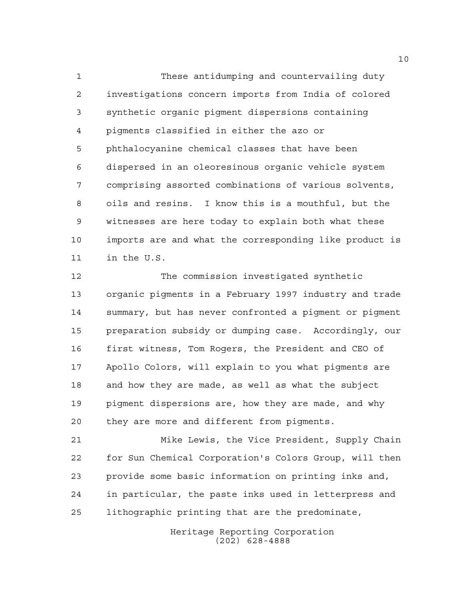These antidumping and countervailing duty investigations concern imports from India of colored synthetic organic pigment dispersions containing pigments classified in either the azo or phthalocyanine chemical classes that have been dispersed in an oleoresinous organic vehicle system comprising assorted combinations of various solvents, oils and resins. I know this is a mouthful, but the witnesses are here today to explain both what these imports are and what the corresponding like product is in the U.S.

 The commission investigated synthetic organic pigments in a February 1997 industry and trade summary, but has never confronted a pigment or pigment preparation subsidy or dumping case. Accordingly, our first witness, Tom Rogers, the President and CEO of Apollo Colors, will explain to you what pigments are and how they are made, as well as what the subject pigment dispersions are, how they are made, and why they are more and different from pigments.

 Mike Lewis, the Vice President, Supply Chain for Sun Chemical Corporation's Colors Group, will then provide some basic information on printing inks and, in particular, the paste inks used in letterpress and lithographic printing that are the predominate,

> Heritage Reporting Corporation (202) 628-4888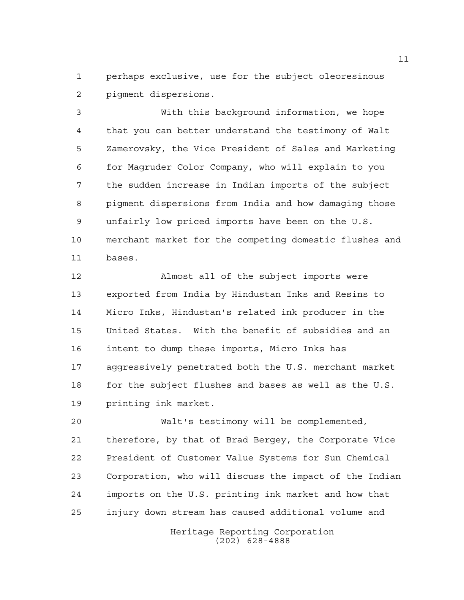perhaps exclusive, use for the subject oleoresinous pigment dispersions.

 With this background information, we hope that you can better understand the testimony of Walt Zamerovsky, the Vice President of Sales and Marketing for Magruder Color Company, who will explain to you the sudden increase in Indian imports of the subject pigment dispersions from India and how damaging those unfairly low priced imports have been on the U.S. merchant market for the competing domestic flushes and bases.

 Almost all of the subject imports were exported from India by Hindustan Inks and Resins to Micro Inks, Hindustan's related ink producer in the United States. With the benefit of subsidies and an intent to dump these imports, Micro Inks has aggressively penetrated both the U.S. merchant market 18 for the subject flushes and bases as well as the U.S. printing ink market.

 Walt's testimony will be complemented, therefore, by that of Brad Bergey, the Corporate Vice President of Customer Value Systems for Sun Chemical Corporation, who will discuss the impact of the Indian imports on the U.S. printing ink market and how that injury down stream has caused additional volume and

> Heritage Reporting Corporation (202) 628-4888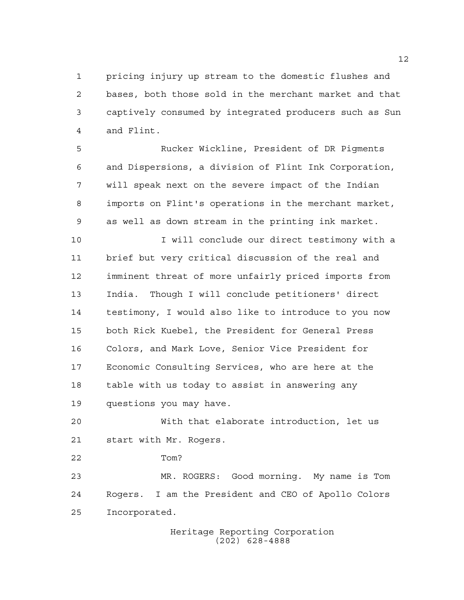pricing injury up stream to the domestic flushes and bases, both those sold in the merchant market and that captively consumed by integrated producers such as Sun and Flint.

 Rucker Wickline, President of DR Pigments and Dispersions, a division of Flint Ink Corporation, will speak next on the severe impact of the Indian imports on Flint's operations in the merchant market, as well as down stream in the printing ink market.

 I will conclude our direct testimony with a brief but very critical discussion of the real and imminent threat of more unfairly priced imports from India. Though I will conclude petitioners' direct testimony, I would also like to introduce to you now both Rick Kuebel, the President for General Press Colors, and Mark Love, Senior Vice President for Economic Consulting Services, who are here at the table with us today to assist in answering any questions you may have.

 With that elaborate introduction, let us start with Mr. Rogers.

Tom?

 MR. ROGERS: Good morning. My name is Tom Rogers. I am the President and CEO of Apollo Colors Incorporated.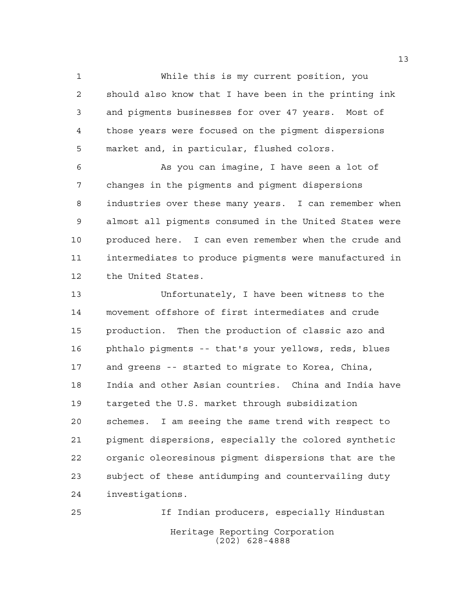While this is my current position, you should also know that I have been in the printing ink and pigments businesses for over 47 years. Most of those years were focused on the pigment dispersions market and, in particular, flushed colors.

 As you can imagine, I have seen a lot of changes in the pigments and pigment dispersions industries over these many years. I can remember when almost all pigments consumed in the United States were 10 produced here. I can even remember when the crude and intermediates to produce pigments were manufactured in the United States.

 Unfortunately, I have been witness to the movement offshore of first intermediates and crude production. Then the production of classic azo and phthalo pigments -- that's your yellows, reds, blues and greens -- started to migrate to Korea, China, India and other Asian countries. China and India have targeted the U.S. market through subsidization schemes. I am seeing the same trend with respect to pigment dispersions, especially the colored synthetic organic oleoresinous pigment dispersions that are the subject of these antidumping and countervailing duty investigations.

Heritage Reporting Corporation (202) 628-4888 If Indian producers, especially Hindustan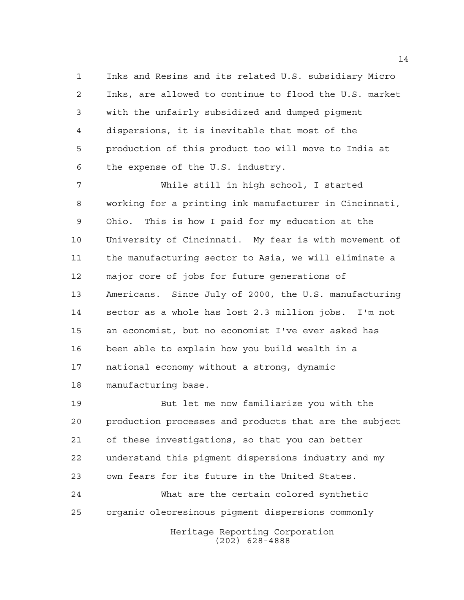Inks and Resins and its related U.S. subsidiary Micro Inks, are allowed to continue to flood the U.S. market with the unfairly subsidized and dumped pigment dispersions, it is inevitable that most of the production of this product too will move to India at the expense of the U.S. industry.

 While still in high school, I started working for a printing ink manufacturer in Cincinnati, Ohio. This is how I paid for my education at the University of Cincinnati. My fear is with movement of the manufacturing sector to Asia, we will eliminate a major core of jobs for future generations of Americans. Since July of 2000, the U.S. manufacturing sector as a whole has lost 2.3 million jobs. I'm not an economist, but no economist I've ever asked has been able to explain how you build wealth in a national economy without a strong, dynamic manufacturing base.

 But let me now familiarize you with the production processes and products that are the subject of these investigations, so that you can better understand this pigment dispersions industry and my own fears for its future in the United States. What are the certain colored synthetic organic oleoresinous pigment dispersions commonly

Heritage Reporting Corporation (202) 628-4888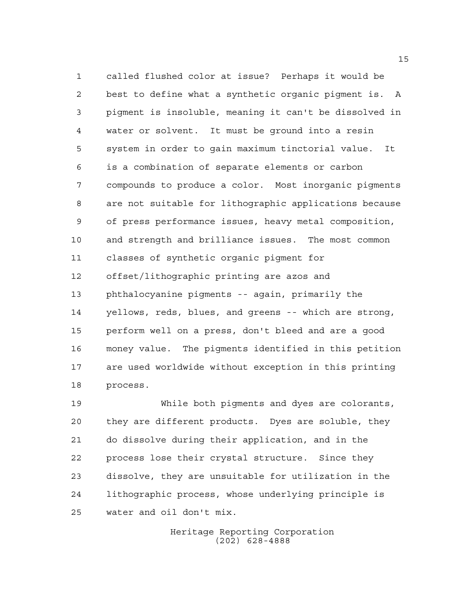called flushed color at issue? Perhaps it would be best to define what a synthetic organic pigment is. A pigment is insoluble, meaning it can't be dissolved in water or solvent. It must be ground into a resin system in order to gain maximum tinctorial value. It is a combination of separate elements or carbon compounds to produce a color. Most inorganic pigments are not suitable for lithographic applications because of press performance issues, heavy metal composition, and strength and brilliance issues. The most common classes of synthetic organic pigment for offset/lithographic printing are azos and phthalocyanine pigments -- again, primarily the yellows, reds, blues, and greens -- which are strong, perform well on a press, don't bleed and are a good money value. The pigments identified in this petition are used worldwide without exception in this printing process.

 While both pigments and dyes are colorants, they are different products. Dyes are soluble, they do dissolve during their application, and in the process lose their crystal structure. Since they dissolve, they are unsuitable for utilization in the lithographic process, whose underlying principle is water and oil don't mix.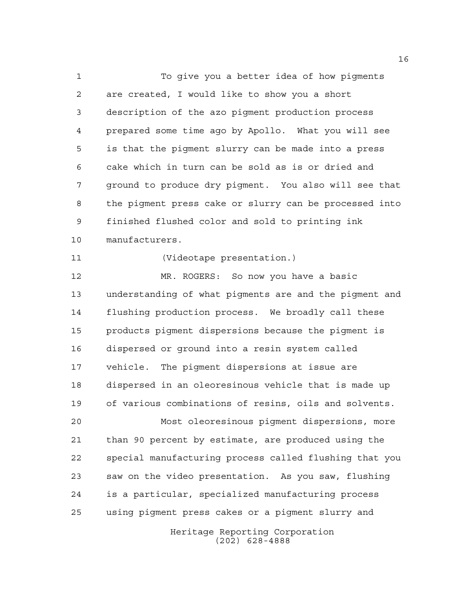To give you a better idea of how pigments are created, I would like to show you a short description of the azo pigment production process prepared some time ago by Apollo. What you will see is that the pigment slurry can be made into a press cake which in turn can be sold as is or dried and ground to produce dry pigment. You also will see that the pigment press cake or slurry can be processed into finished flushed color and sold to printing ink manufacturers.

(Videotape presentation.)

 MR. ROGERS: So now you have a basic understanding of what pigments are and the pigment and flushing production process. We broadly call these products pigment dispersions because the pigment is dispersed or ground into a resin system called vehicle. The pigment dispersions at issue are dispersed in an oleoresinous vehicle that is made up of various combinations of resins, oils and solvents.

 Most oleoresinous pigment dispersions, more than 90 percent by estimate, are produced using the special manufacturing process called flushing that you saw on the video presentation. As you saw, flushing is a particular, specialized manufacturing process using pigment press cakes or a pigment slurry and

> Heritage Reporting Corporation (202) 628-4888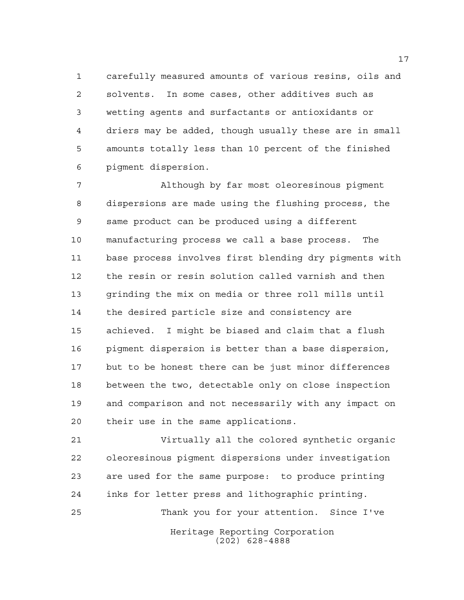carefully measured amounts of various resins, oils and solvents. In some cases, other additives such as wetting agents and surfactants or antioxidants or driers may be added, though usually these are in small amounts totally less than 10 percent of the finished pigment dispersion.

 Although by far most oleoresinous pigment dispersions are made using the flushing process, the same product can be produced using a different manufacturing process we call a base process. The base process involves first blending dry pigments with the resin or resin solution called varnish and then grinding the mix on media or three roll mills until the desired particle size and consistency are achieved. I might be biased and claim that a flush pigment dispersion is better than a base dispersion, but to be honest there can be just minor differences between the two, detectable only on close inspection and comparison and not necessarily with any impact on their use in the same applications.

 Virtually all the colored synthetic organic oleoresinous pigment dispersions under investigation are used for the same purpose: to produce printing inks for letter press and lithographic printing. Thank you for your attention. Since I've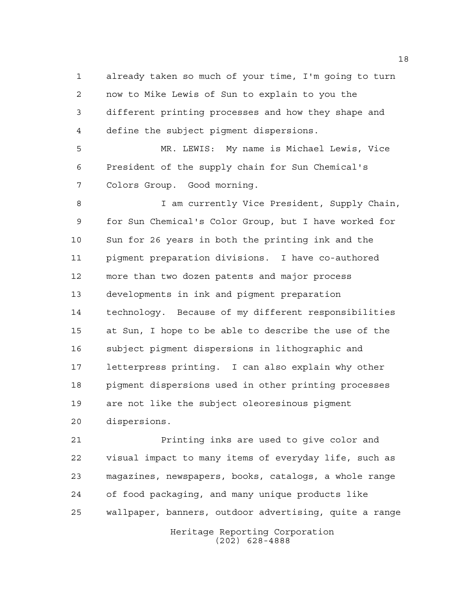already taken so much of your time, I'm going to turn now to Mike Lewis of Sun to explain to you the different printing processes and how they shape and define the subject pigment dispersions.

 MR. LEWIS: My name is Michael Lewis, Vice President of the supply chain for Sun Chemical's Colors Group. Good morning.

8 I am currently Vice President, Supply Chain, for Sun Chemical's Color Group, but I have worked for Sun for 26 years in both the printing ink and the pigment preparation divisions. I have co-authored more than two dozen patents and major process developments in ink and pigment preparation technology. Because of my different responsibilities at Sun, I hope to be able to describe the use of the subject pigment dispersions in lithographic and letterpress printing. I can also explain why other pigment dispersions used in other printing processes are not like the subject oleoresinous pigment dispersions.

 Printing inks are used to give color and visual impact to many items of everyday life, such as magazines, newspapers, books, catalogs, a whole range of food packaging, and many unique products like wallpaper, banners, outdoor advertising, quite a range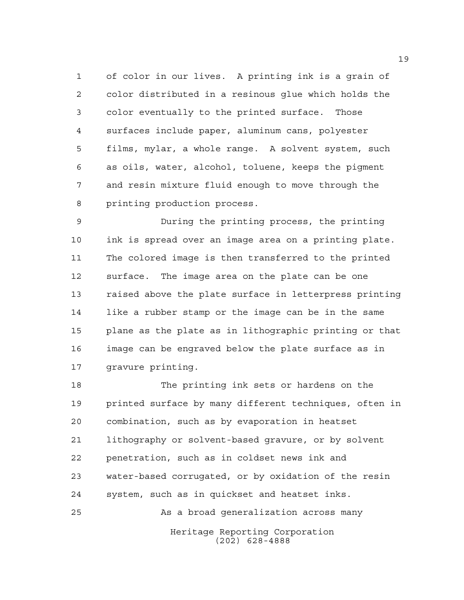of color in our lives. A printing ink is a grain of color distributed in a resinous glue which holds the color eventually to the printed surface. Those surfaces include paper, aluminum cans, polyester films, mylar, a whole range. A solvent system, such as oils, water, alcohol, toluene, keeps the pigment and resin mixture fluid enough to move through the printing production process.

 During the printing process, the printing ink is spread over an image area on a printing plate. The colored image is then transferred to the printed surface. The image area on the plate can be one raised above the plate surface in letterpress printing like a rubber stamp or the image can be in the same plane as the plate as in lithographic printing or that image can be engraved below the plate surface as in gravure printing.

 The printing ink sets or hardens on the printed surface by many different techniques, often in combination, such as by evaporation in heatset lithography or solvent-based gravure, or by solvent penetration, such as in coldset news ink and water-based corrugated, or by oxidation of the resin system, such as in quickset and heatset inks.

As a broad generalization across many

Heritage Reporting Corporation (202) 628-4888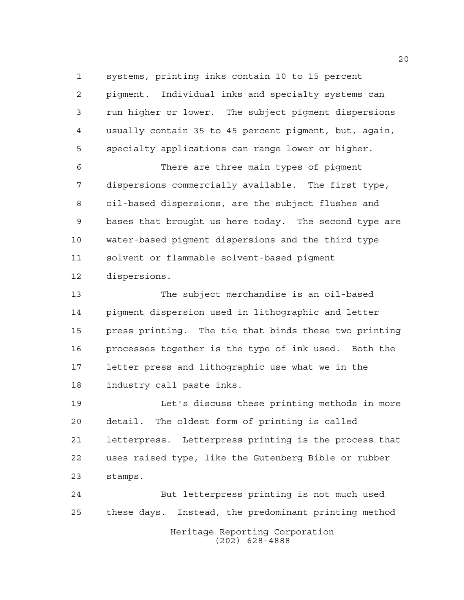systems, printing inks contain 10 to 15 percent

 pigment. Individual inks and specialty systems can run higher or lower. The subject pigment dispersions usually contain 35 to 45 percent pigment, but, again, specialty applications can range lower or higher.

 There are three main types of pigment dispersions commercially available. The first type, oil-based dispersions, are the subject flushes and bases that brought us here today. The second type are water-based pigment dispersions and the third type solvent or flammable solvent-based pigment dispersions.

 The subject merchandise is an oil-based pigment dispersion used in lithographic and letter press printing. The tie that binds these two printing processes together is the type of ink used. Both the letter press and lithographic use what we in the industry call paste inks.

 Let's discuss these printing methods in more detail. The oldest form of printing is called letterpress. Letterpress printing is the process that uses raised type, like the Gutenberg Bible or rubber stamps.

Heritage Reporting Corporation (202) 628-4888 But letterpress printing is not much used these days. Instead, the predominant printing method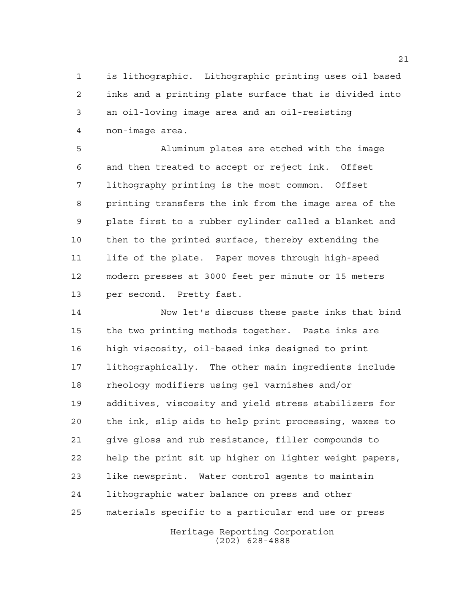is lithographic. Lithographic printing uses oil based inks and a printing plate surface that is divided into an oil-loving image area and an oil-resisting non-image area.

 Aluminum plates are etched with the image and then treated to accept or reject ink. Offset lithography printing is the most common. Offset printing transfers the ink from the image area of the plate first to a rubber cylinder called a blanket and then to the printed surface, thereby extending the life of the plate. Paper moves through high-speed modern presses at 3000 feet per minute or 15 meters per second. Pretty fast.

 Now let's discuss these paste inks that bind the two printing methods together. Paste inks are high viscosity, oil-based inks designed to print lithographically. The other main ingredients include rheology modifiers using gel varnishes and/or additives, viscosity and yield stress stabilizers for the ink, slip aids to help print processing, waxes to give gloss and rub resistance, filler compounds to help the print sit up higher on lighter weight papers, like newsprint. Water control agents to maintain lithographic water balance on press and other materials specific to a particular end use or press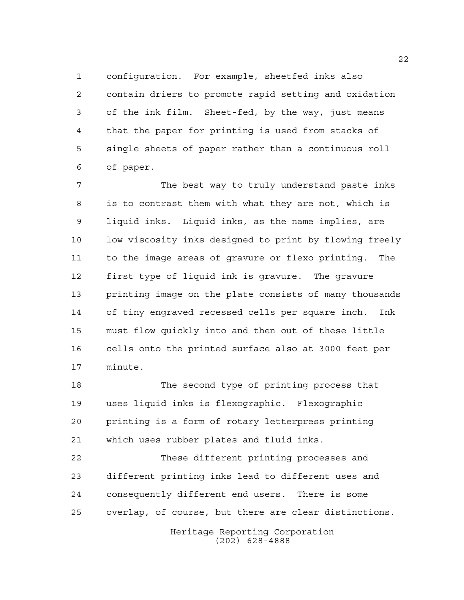configuration. For example, sheetfed inks also contain driers to promote rapid setting and oxidation of the ink film. Sheet-fed, by the way, just means that the paper for printing is used from stacks of single sheets of paper rather than a continuous roll of paper.

 The best way to truly understand paste inks is to contrast them with what they are not, which is liquid inks. Liquid inks, as the name implies, are low viscosity inks designed to print by flowing freely to the image areas of gravure or flexo printing. The first type of liquid ink is gravure. The gravure printing image on the plate consists of many thousands of tiny engraved recessed cells per square inch. Ink must flow quickly into and then out of these little cells onto the printed surface also at 3000 feet per minute.

 The second type of printing process that uses liquid inks is flexographic. Flexographic printing is a form of rotary letterpress printing which uses rubber plates and fluid inks.

 These different printing processes and different printing inks lead to different uses and consequently different end users. There is some overlap, of course, but there are clear distinctions.

> Heritage Reporting Corporation (202) 628-4888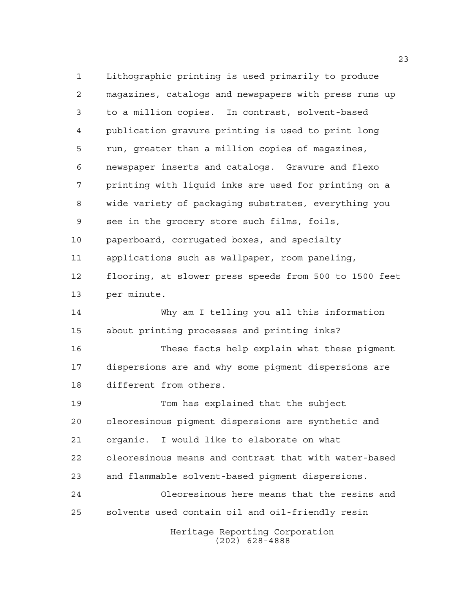Heritage Reporting Corporation (202) 628-4888 Lithographic printing is used primarily to produce magazines, catalogs and newspapers with press runs up to a million copies. In contrast, solvent-based publication gravure printing is used to print long run, greater than a million copies of magazines, newspaper inserts and catalogs. Gravure and flexo printing with liquid inks are used for printing on a wide variety of packaging substrates, everything you see in the grocery store such films, foils, paperboard, corrugated boxes, and specialty applications such as wallpaper, room paneling, flooring, at slower press speeds from 500 to 1500 feet per minute. Why am I telling you all this information about printing processes and printing inks? These facts help explain what these pigment dispersions are and why some pigment dispersions are different from others. Tom has explained that the subject oleoresinous pigment dispersions are synthetic and organic. I would like to elaborate on what oleoresinous means and contrast that with water-based and flammable solvent-based pigment dispersions. Oleoresinous here means that the resins and solvents used contain oil and oil-friendly resin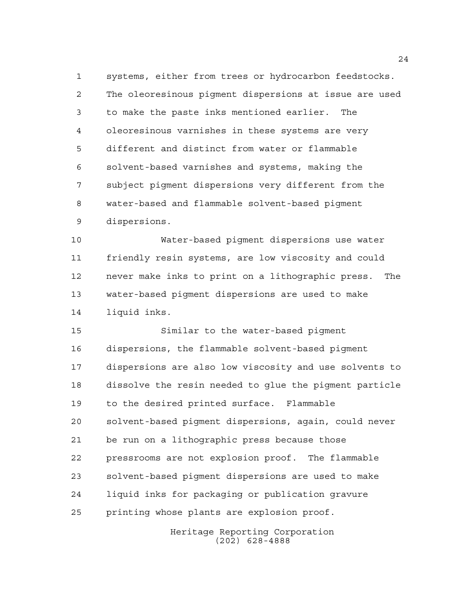systems, either from trees or hydrocarbon feedstocks. The oleoresinous pigment dispersions at issue are used to make the paste inks mentioned earlier. The oleoresinous varnishes in these systems are very different and distinct from water or flammable solvent-based varnishes and systems, making the subject pigment dispersions very different from the water-based and flammable solvent-based pigment dispersions.

 Water-based pigment dispersions use water friendly resin systems, are low viscosity and could never make inks to print on a lithographic press. The water-based pigment dispersions are used to make liquid inks.

 Similar to the water-based pigment dispersions, the flammable solvent-based pigment dispersions are also low viscosity and use solvents to dissolve the resin needed to glue the pigment particle to the desired printed surface. Flammable solvent-based pigment dispersions, again, could never be run on a lithographic press because those pressrooms are not explosion proof. The flammable solvent-based pigment dispersions are used to make liquid inks for packaging or publication gravure printing whose plants are explosion proof.

> Heritage Reporting Corporation (202) 628-4888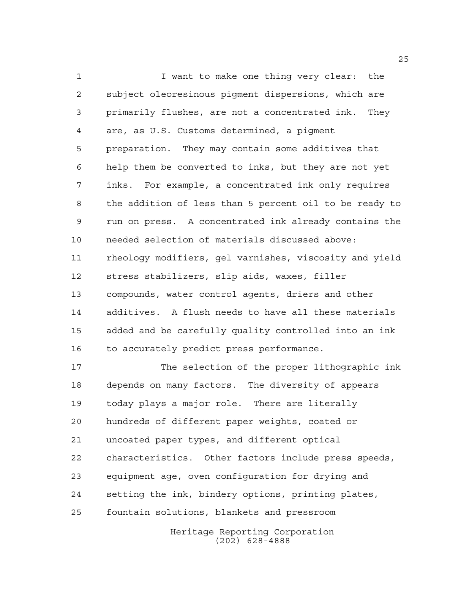1 1 I want to make one thing very clear: the subject oleoresinous pigment dispersions, which are primarily flushes, are not a concentrated ink. They are, as U.S. Customs determined, a pigment preparation. They may contain some additives that help them be converted to inks, but they are not yet inks. For example, a concentrated ink only requires the addition of less than 5 percent oil to be ready to run on press. A concentrated ink already contains the needed selection of materials discussed above: rheology modifiers, gel varnishes, viscosity and yield stress stabilizers, slip aids, waxes, filler compounds, water control agents, driers and other additives. A flush needs to have all these materials added and be carefully quality controlled into an ink to accurately predict press performance.

 The selection of the proper lithographic ink depends on many factors. The diversity of appears today plays a major role. There are literally hundreds of different paper weights, coated or uncoated paper types, and different optical characteristics. Other factors include press speeds, equipment age, oven configuration for drying and setting the ink, bindery options, printing plates, fountain solutions, blankets and pressroom

> Heritage Reporting Corporation (202) 628-4888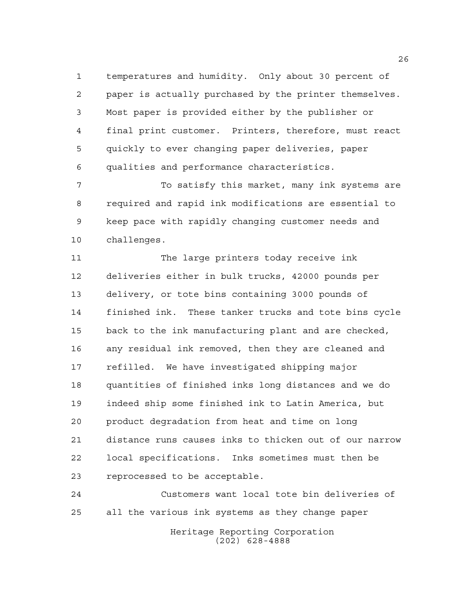temperatures and humidity. Only about 30 percent of paper is actually purchased by the printer themselves. Most paper is provided either by the publisher or final print customer. Printers, therefore, must react quickly to ever changing paper deliveries, paper qualities and performance characteristics.

 To satisfy this market, many ink systems are required and rapid ink modifications are essential to keep pace with rapidly changing customer needs and challenges.

11 The large printers today receive ink deliveries either in bulk trucks, 42000 pounds per delivery, or tote bins containing 3000 pounds of finished ink. These tanker trucks and tote bins cycle back to the ink manufacturing plant and are checked, any residual ink removed, then they are cleaned and refilled. We have investigated shipping major quantities of finished inks long distances and we do indeed ship some finished ink to Latin America, but product degradation from heat and time on long distance runs causes inks to thicken out of our narrow local specifications. Inks sometimes must then be reprocessed to be acceptable.

Heritage Reporting Corporation Customers want local tote bin deliveries of all the various ink systems as they change paper

(202) 628-4888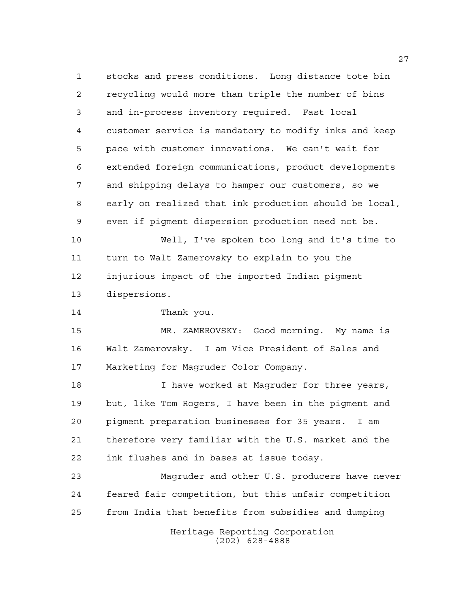Heritage Reporting Corporation stocks and press conditions. Long distance tote bin recycling would more than triple the number of bins and in-process inventory required. Fast local customer service is mandatory to modify inks and keep pace with customer innovations. We can't wait for extended foreign communications, product developments and shipping delays to hamper our customers, so we early on realized that ink production should be local, even if pigment dispersion production need not be. Well, I've spoken too long and it's time to turn to Walt Zamerovsky to explain to you the injurious impact of the imported Indian pigment dispersions. Thank you. MR. ZAMEROVSKY: Good morning. My name is Walt Zamerovsky. I am Vice President of Sales and Marketing for Magruder Color Company. **I** have worked at Magruder for three years, but, like Tom Rogers, I have been in the pigment and pigment preparation businesses for 35 years. I am therefore very familiar with the U.S. market and the ink flushes and in bases at issue today. Magruder and other U.S. producers have never feared fair competition, but this unfair competition from India that benefits from subsidies and dumping

(202) 628-4888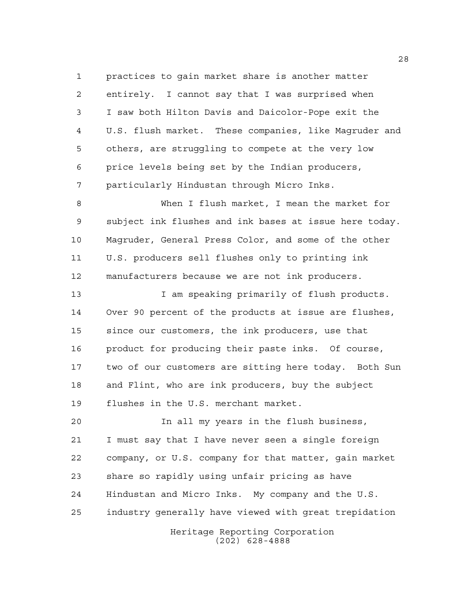practices to gain market share is another matter entirely. I cannot say that I was surprised when I saw both Hilton Davis and Daicolor-Pope exit the U.S. flush market. These companies, like Magruder and others, are struggling to compete at the very low price levels being set by the Indian producers, particularly Hindustan through Micro Inks.

 When I flush market, I mean the market for subject ink flushes and ink bases at issue here today. Magruder, General Press Color, and some of the other U.S. producers sell flushes only to printing ink manufacturers because we are not ink producers.

13 13 I am speaking primarily of flush products. Over 90 percent of the products at issue are flushes, since our customers, the ink producers, use that product for producing their paste inks. Of course, two of our customers are sitting here today. Both Sun and Flint, who are ink producers, buy the subject flushes in the U.S. merchant market.

 In all my years in the flush business, I must say that I have never seen a single foreign company, or U.S. company for that matter, gain market share so rapidly using unfair pricing as have Hindustan and Micro Inks. My company and the U.S. industry generally have viewed with great trepidation

> Heritage Reporting Corporation (202) 628-4888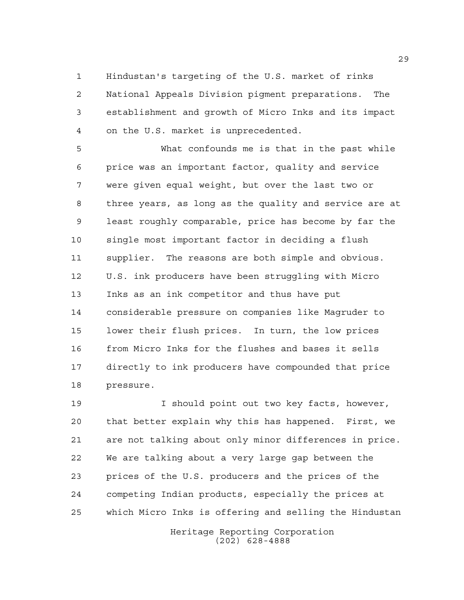Hindustan's targeting of the U.S. market of rinks National Appeals Division pigment preparations. The establishment and growth of Micro Inks and its impact on the U.S. market is unprecedented.

 What confounds me is that in the past while price was an important factor, quality and service were given equal weight, but over the last two or three years, as long as the quality and service are at least roughly comparable, price has become by far the single most important factor in deciding a flush supplier. The reasons are both simple and obvious. U.S. ink producers have been struggling with Micro Inks as an ink competitor and thus have put considerable pressure on companies like Magruder to lower their flush prices. In turn, the low prices from Micro Inks for the flushes and bases it sells directly to ink producers have compounded that price pressure.

 I should point out two key facts, however, that better explain why this has happened. First, we are not talking about only minor differences in price. We are talking about a very large gap between the prices of the U.S. producers and the prices of the competing Indian products, especially the prices at which Micro Inks is offering and selling the Hindustan

> Heritage Reporting Corporation (202) 628-4888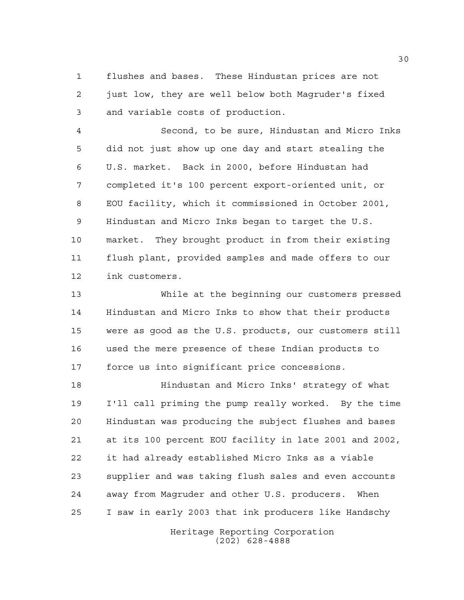flushes and bases. These Hindustan prices are not just low, they are well below both Magruder's fixed and variable costs of production.

 Second, to be sure, Hindustan and Micro Inks did not just show up one day and start stealing the U.S. market. Back in 2000, before Hindustan had completed it's 100 percent export-oriented unit, or EOU facility, which it commissioned in October 2001, Hindustan and Micro Inks began to target the U.S. market. They brought product in from their existing flush plant, provided samples and made offers to our ink customers.

 While at the beginning our customers pressed Hindustan and Micro Inks to show that their products were as good as the U.S. products, our customers still used the mere presence of these Indian products to force us into significant price concessions.

 Hindustan and Micro Inks' strategy of what I'll call priming the pump really worked. By the time Hindustan was producing the subject flushes and bases at its 100 percent EOU facility in late 2001 and 2002, it had already established Micro Inks as a viable supplier and was taking flush sales and even accounts away from Magruder and other U.S. producers. When I saw in early 2003 that ink producers like Handschy

> Heritage Reporting Corporation (202) 628-4888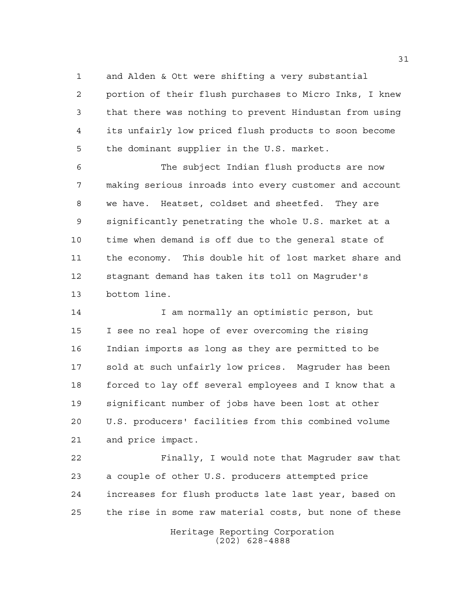and Alden & Ott were shifting a very substantial

 portion of their flush purchases to Micro Inks, I knew that there was nothing to prevent Hindustan from using its unfairly low priced flush products to soon become the dominant supplier in the U.S. market.

 The subject Indian flush products are now making serious inroads into every customer and account we have. Heatset, coldset and sheetfed. They are significantly penetrating the whole U.S. market at a time when demand is off due to the general state of the economy. This double hit of lost market share and stagnant demand has taken its toll on Magruder's bottom line.

 I am normally an optimistic person, but I see no real hope of ever overcoming the rising Indian imports as long as they are permitted to be sold at such unfairly low prices. Magruder has been forced to lay off several employees and I know that a significant number of jobs have been lost at other U.S. producers' facilities from this combined volume and price impact.

 Finally, I would note that Magruder saw that a couple of other U.S. producers attempted price increases for flush products late last year, based on the rise in some raw material costs, but none of these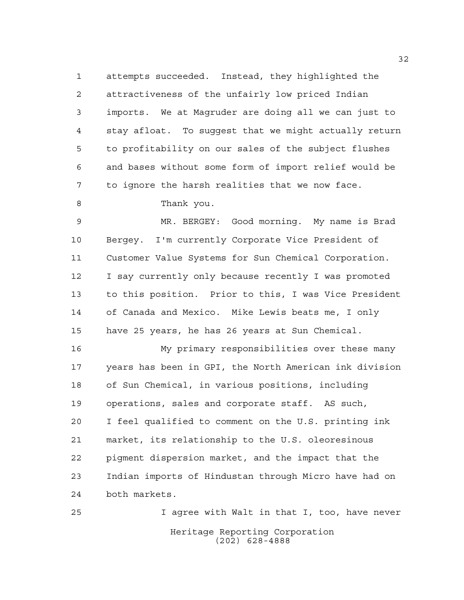attempts succeeded. Instead, they highlighted the attractiveness of the unfairly low priced Indian imports. We at Magruder are doing all we can just to stay afloat. To suggest that we might actually return to profitability on our sales of the subject flushes and bases without some form of import relief would be to ignore the harsh realities that we now face.

8 Thank you.

 MR. BERGEY: Good morning. My name is Brad Bergey. I'm currently Corporate Vice President of Customer Value Systems for Sun Chemical Corporation. I say currently only because recently I was promoted to this position. Prior to this, I was Vice President of Canada and Mexico. Mike Lewis beats me, I only have 25 years, he has 26 years at Sun Chemical.

 My primary responsibilities over these many years has been in GPI, the North American ink division of Sun Chemical, in various positions, including operations, sales and corporate staff. AS such, I feel qualified to comment on the U.S. printing ink market, its relationship to the U.S. oleoresinous pigment dispersion market, and the impact that the Indian imports of Hindustan through Micro have had on both markets.

Heritage Reporting Corporation (202) 628-4888 I agree with Walt in that I, too, have never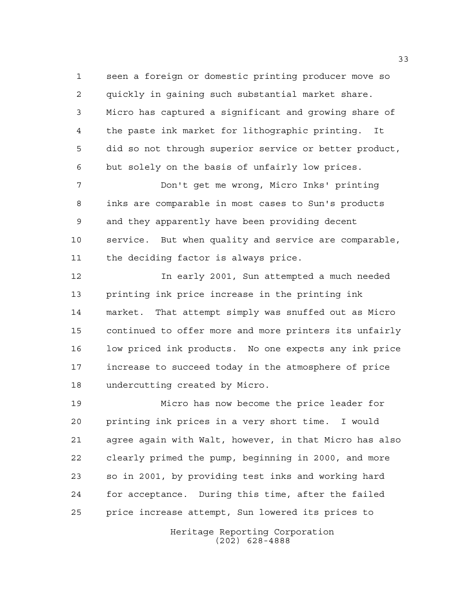seen a foreign or domestic printing producer move so quickly in gaining such substantial market share. Micro has captured a significant and growing share of the paste ink market for lithographic printing. It did so not through superior service or better product, but solely on the basis of unfairly low prices.

 Don't get me wrong, Micro Inks' printing inks are comparable in most cases to Sun's products and they apparently have been providing decent service. But when quality and service are comparable, the deciding factor is always price.

 In early 2001, Sun attempted a much needed printing ink price increase in the printing ink market. That attempt simply was snuffed out as Micro continued to offer more and more printers its unfairly low priced ink products. No one expects any ink price increase to succeed today in the atmosphere of price undercutting created by Micro.

 Micro has now become the price leader for printing ink prices in a very short time. I would agree again with Walt, however, in that Micro has also clearly primed the pump, beginning in 2000, and more so in 2001, by providing test inks and working hard for acceptance. During this time, after the failed price increase attempt, Sun lowered its prices to

> Heritage Reporting Corporation (202) 628-4888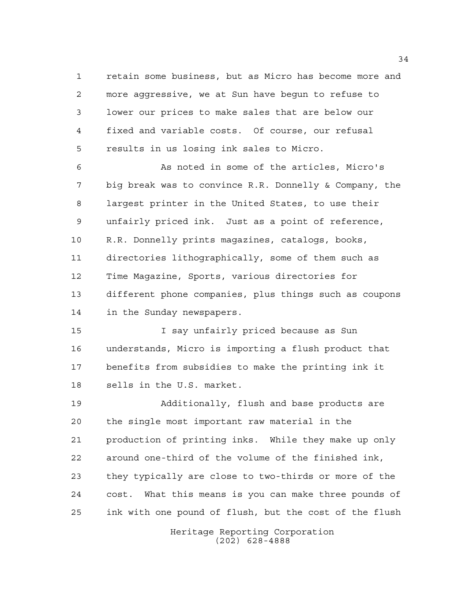retain some business, but as Micro has become more and more aggressive, we at Sun have begun to refuse to lower our prices to make sales that are below our fixed and variable costs. Of course, our refusal results in us losing ink sales to Micro.

 As noted in some of the articles, Micro's big break was to convince R.R. Donnelly & Company, the largest printer in the United States, to use their unfairly priced ink. Just as a point of reference, R.R. Donnelly prints magazines, catalogs, books, directories lithographically, some of them such as Time Magazine, Sports, various directories for different phone companies, plus things such as coupons in the Sunday newspapers.

 I say unfairly priced because as Sun understands, Micro is importing a flush product that benefits from subsidies to make the printing ink it sells in the U.S. market.

 Additionally, flush and base products are the single most important raw material in the production of printing inks. While they make up only around one-third of the volume of the finished ink, they typically are close to two-thirds or more of the cost. What this means is you can make three pounds of ink with one pound of flush, but the cost of the flush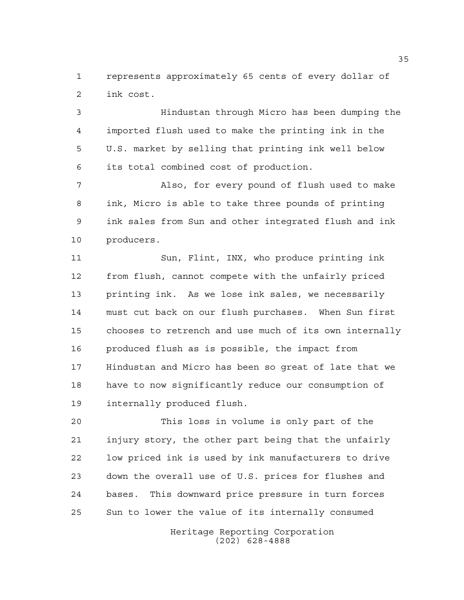represents approximately 65 cents of every dollar of ink cost.

 Hindustan through Micro has been dumping the imported flush used to make the printing ink in the U.S. market by selling that printing ink well below its total combined cost of production.

 Also, for every pound of flush used to make ink, Micro is able to take three pounds of printing ink sales from Sun and other integrated flush and ink producers.

 Sun, Flint, INX, who produce printing ink from flush, cannot compete with the unfairly priced printing ink. As we lose ink sales, we necessarily must cut back on our flush purchases. When Sun first chooses to retrench and use much of its own internally produced flush as is possible, the impact from Hindustan and Micro has been so great of late that we have to now significantly reduce our consumption of internally produced flush.

 This loss in volume is only part of the injury story, the other part being that the unfairly low priced ink is used by ink manufacturers to drive down the overall use of U.S. prices for flushes and bases. This downward price pressure in turn forces Sun to lower the value of its internally consumed

> Heritage Reporting Corporation (202) 628-4888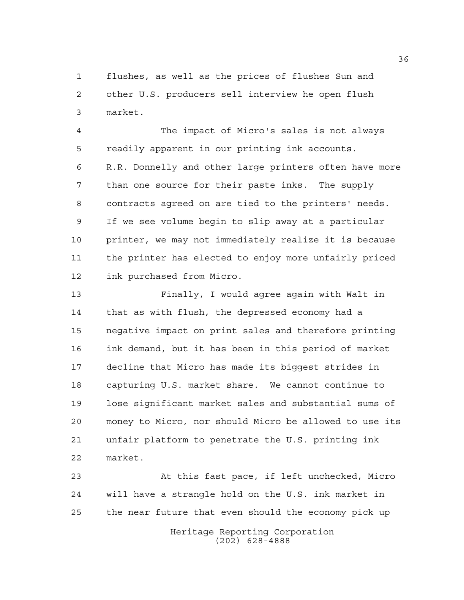flushes, as well as the prices of flushes Sun and other U.S. producers sell interview he open flush market.

 The impact of Micro's sales is not always readily apparent in our printing ink accounts. R.R. Donnelly and other large printers often have more than one source for their paste inks. The supply contracts agreed on are tied to the printers' needs. If we see volume begin to slip away at a particular printer, we may not immediately realize it is because the printer has elected to enjoy more unfairly priced ink purchased from Micro.

 Finally, I would agree again with Walt in that as with flush, the depressed economy had a negative impact on print sales and therefore printing ink demand, but it has been in this period of market decline that Micro has made its biggest strides in capturing U.S. market share. We cannot continue to lose significant market sales and substantial sums of money to Micro, nor should Micro be allowed to use its unfair platform to penetrate the U.S. printing ink market.

 At this fast pace, if left unchecked, Micro will have a strangle hold on the U.S. ink market in the near future that even should the economy pick up

> Heritage Reporting Corporation (202) 628-4888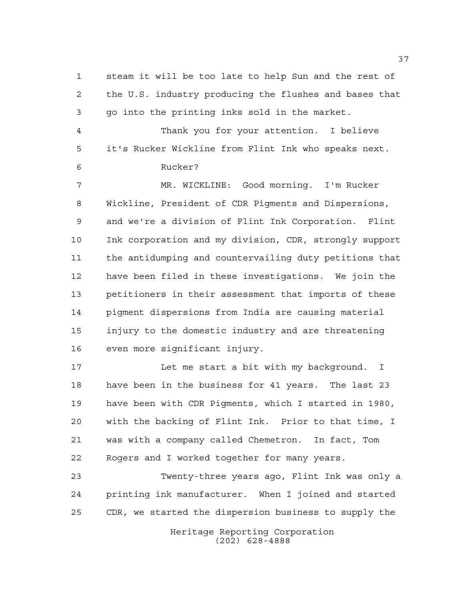steam it will be too late to help Sun and the rest of the U.S. industry producing the flushes and bases that go into the printing inks sold in the market. Thank you for your attention. I believe it's Rucker Wickline from Flint Ink who speaks next. Rucker? MR. WICKLINE: Good morning. I'm Rucker Wickline, President of CDR Pigments and Dispersions, and we're a division of Flint Ink Corporation. Flint Ink corporation and my division, CDR, strongly support the antidumping and countervailing duty petitions that have been filed in these investigations. We join the petitioners in their assessment that imports of these pigment dispersions from India are causing material injury to the domestic industry and are threatening even more significant injury. 17 Let me start a bit with my background. I have been in the business for 41 years. The last 23

 have been with CDR Pigments, which I started in 1980, with the backing of Flint Ink. Prior to that time, I was with a company called Chemetron. In fact, Tom Rogers and I worked together for many years.

 Twenty-three years ago, Flint Ink was only a printing ink manufacturer. When I joined and started CDR, we started the dispersion business to supply the

> Heritage Reporting Corporation (202) 628-4888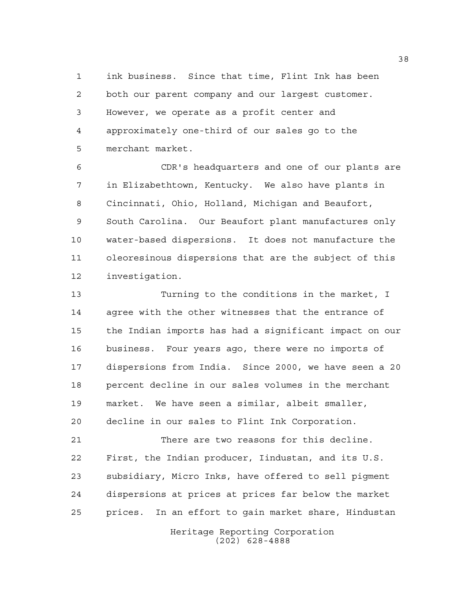ink business. Since that time, Flint Ink has been both our parent company and our largest customer. However, we operate as a profit center and approximately one-third of our sales go to the merchant market.

 CDR's headquarters and one of our plants are in Elizabethtown, Kentucky. We also have plants in Cincinnati, Ohio, Holland, Michigan and Beaufort, South Carolina. Our Beaufort plant manufactures only water-based dispersions. It does not manufacture the oleoresinous dispersions that are the subject of this investigation.

 Turning to the conditions in the market, I agree with the other witnesses that the entrance of the Indian imports has had a significant impact on our business. Four years ago, there were no imports of dispersions from India. Since 2000, we have seen a 20 percent decline in our sales volumes in the merchant market. We have seen a similar, albeit smaller, decline in our sales to Flint Ink Corporation.

 There are two reasons for this decline. First, the Indian producer, Iindustan, and its U.S. subsidiary, Micro Inks, have offered to sell pigment dispersions at prices at prices far below the market prices. In an effort to gain market share, Hindustan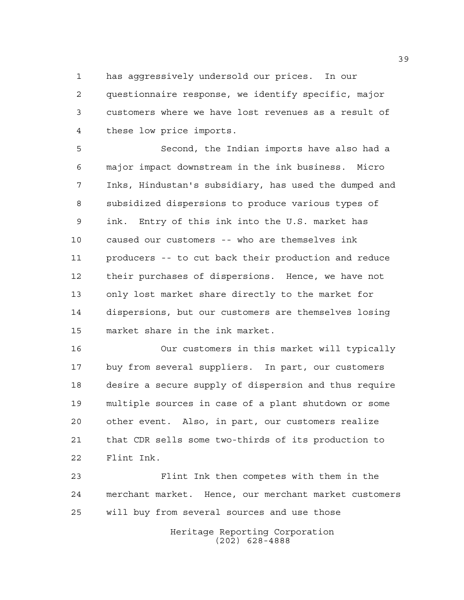has aggressively undersold our prices. In our questionnaire response, we identify specific, major customers where we have lost revenues as a result of these low price imports.

 Second, the Indian imports have also had a major impact downstream in the ink business. Micro Inks, Hindustan's subsidiary, has used the dumped and subsidized dispersions to produce various types of ink. Entry of this ink into the U.S. market has caused our customers -- who are themselves ink producers -- to cut back their production and reduce their purchases of dispersions. Hence, we have not only lost market share directly to the market for dispersions, but our customers are themselves losing market share in the ink market.

 Our customers in this market will typically buy from several suppliers. In part, our customers desire a secure supply of dispersion and thus require multiple sources in case of a plant shutdown or some other event. Also, in part, our customers realize that CDR sells some two-thirds of its production to Flint Ink.

 Flint Ink then competes with them in the merchant market. Hence, our merchant market customers will buy from several sources and use those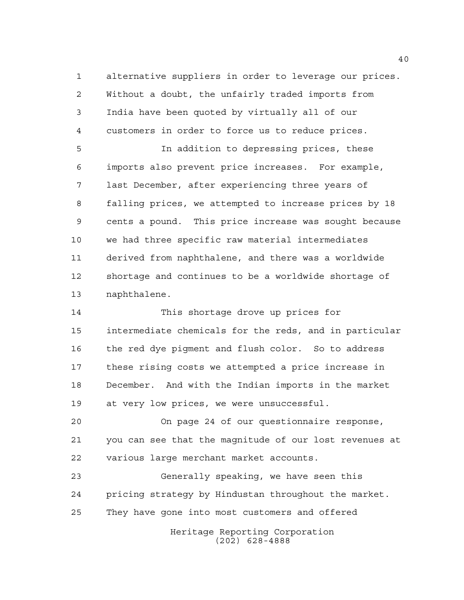alternative suppliers in order to leverage our prices. Without a doubt, the unfairly traded imports from India have been quoted by virtually all of our customers in order to force us to reduce prices.

 In addition to depressing prices, these imports also prevent price increases. For example, last December, after experiencing three years of falling prices, we attempted to increase prices by 18 cents a pound. This price increase was sought because we had three specific raw material intermediates derived from naphthalene, and there was a worldwide shortage and continues to be a worldwide shortage of naphthalene.

 This shortage drove up prices for intermediate chemicals for the reds, and in particular the red dye pigment and flush color. So to address these rising costs we attempted a price increase in December. And with the Indian imports in the market at very low prices, we were unsuccessful.

 On page 24 of our questionnaire response, you can see that the magnitude of our lost revenues at various large merchant market accounts.

 Generally speaking, we have seen this pricing strategy by Hindustan throughout the market. They have gone into most customers and offered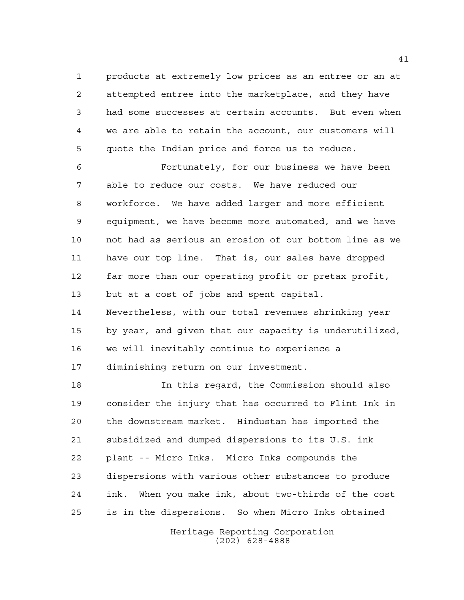products at extremely low prices as an entree or an at attempted entree into the marketplace, and they have had some successes at certain accounts. But even when we are able to retain the account, our customers will quote the Indian price and force us to reduce.

 Fortunately, for our business we have been able to reduce our costs. We have reduced our workforce. We have added larger and more efficient equipment, we have become more automated, and we have not had as serious an erosion of our bottom line as we have our top line. That is, our sales have dropped far more than our operating profit or pretax profit, but at a cost of jobs and spent capital. Nevertheless, with our total revenues shrinking year

 by year, and given that our capacity is underutilized, we will inevitably continue to experience a diminishing return on our investment.

 In this regard, the Commission should also consider the injury that has occurred to Flint Ink in the downstream market. Hindustan has imported the subsidized and dumped dispersions to its U.S. ink plant -- Micro Inks. Micro Inks compounds the dispersions with various other substances to produce ink. When you make ink, about two-thirds of the cost is in the dispersions. So when Micro Inks obtained

> Heritage Reporting Corporation (202) 628-4888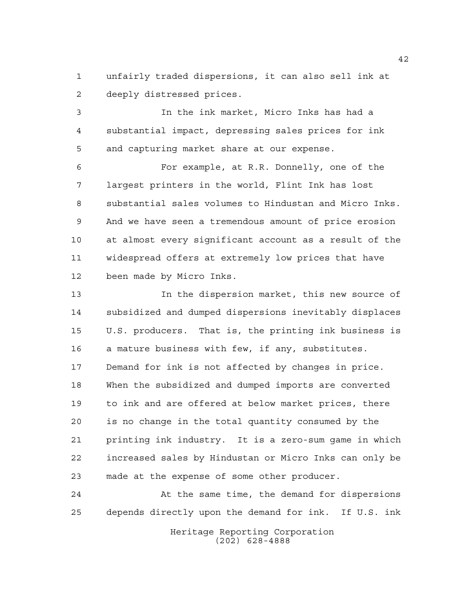unfairly traded dispersions, it can also sell ink at deeply distressed prices.

 In the ink market, Micro Inks has had a substantial impact, depressing sales prices for ink and capturing market share at our expense.

 For example, at R.R. Donnelly, one of the largest printers in the world, Flint Ink has lost substantial sales volumes to Hindustan and Micro Inks. And we have seen a tremendous amount of price erosion at almost every significant account as a result of the widespread offers at extremely low prices that have been made by Micro Inks.

 In the dispersion market, this new source of subsidized and dumped dispersions inevitably displaces U.S. producers. That is, the printing ink business is a mature business with few, if any, substitutes. Demand for ink is not affected by changes in price. When the subsidized and dumped imports are converted to ink and are offered at below market prices, there is no change in the total quantity consumed by the printing ink industry. It is a zero-sum game in which increased sales by Hindustan or Micro Inks can only be made at the expense of some other producer.

 At the same time, the demand for dispersions depends directly upon the demand for ink. If U.S. ink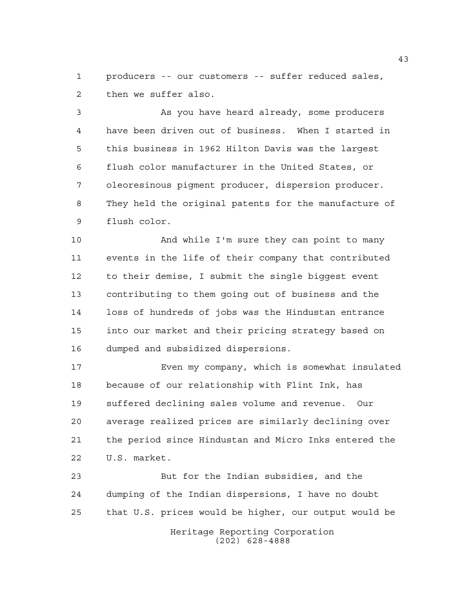producers -- our customers -- suffer reduced sales, then we suffer also.

 As you have heard already, some producers have been driven out of business. When I started in this business in 1962 Hilton Davis was the largest flush color manufacturer in the United States, or oleoresinous pigment producer, dispersion producer. They held the original patents for the manufacture of flush color.

 And while I'm sure they can point to many events in the life of their company that contributed to their demise, I submit the single biggest event contributing to them going out of business and the loss of hundreds of jobs was the Hindustan entrance into our market and their pricing strategy based on dumped and subsidized dispersions.

 Even my company, which is somewhat insulated because of our relationship with Flint Ink, has suffered declining sales volume and revenue. Our average realized prices are similarly declining over the period since Hindustan and Micro Inks entered the U.S. market.

 But for the Indian subsidies, and the dumping of the Indian dispersions, I have no doubt that U.S. prices would be higher, our output would be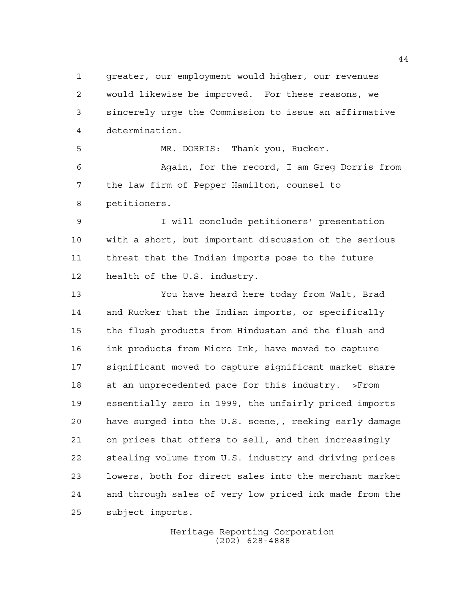greater, our employment would higher, our revenues would likewise be improved. For these reasons, we sincerely urge the Commission to issue an affirmative determination. MR. DORRIS: Thank you, Rucker.

 Again, for the record, I am Greg Dorris from the law firm of Pepper Hamilton, counsel to petitioners.

 I will conclude petitioners' presentation with a short, but important discussion of the serious threat that the Indian imports pose to the future health of the U.S. industry.

 You have heard here today from Walt, Brad and Rucker that the Indian imports, or specifically the flush products from Hindustan and the flush and ink products from Micro Ink, have moved to capture significant moved to capture significant market share at an unprecedented pace for this industry. >From essentially zero in 1999, the unfairly priced imports have surged into the U.S. scene,, reeking early damage on prices that offers to sell, and then increasingly stealing volume from U.S. industry and driving prices lowers, both for direct sales into the merchant market and through sales of very low priced ink made from the subject imports.

> Heritage Reporting Corporation (202) 628-4888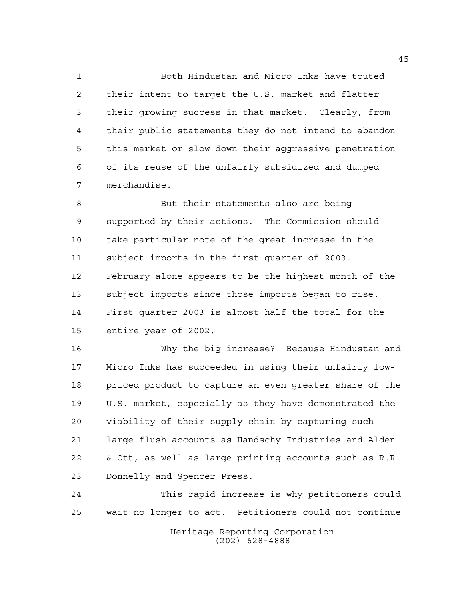Both Hindustan and Micro Inks have touted their intent to target the U.S. market and flatter their growing success in that market. Clearly, from their public statements they do not intend to abandon this market or slow down their aggressive penetration of its reuse of the unfairly subsidized and dumped merchandise.

 But their statements also are being supported by their actions. The Commission should take particular note of the great increase in the subject imports in the first quarter of 2003. February alone appears to be the highest month of the subject imports since those imports began to rise. First quarter 2003 is almost half the total for the entire year of 2002.

 Why the big increase? Because Hindustan and Micro Inks has succeeded in using their unfairly low- priced product to capture an even greater share of the U.S. market, especially as they have demonstrated the viability of their supply chain by capturing such large flush accounts as Handschy Industries and Alden & Ott, as well as large printing accounts such as R.R. Donnelly and Spencer Press.

 This rapid increase is why petitioners could wait no longer to act. Petitioners could not continue

> Heritage Reporting Corporation (202) 628-4888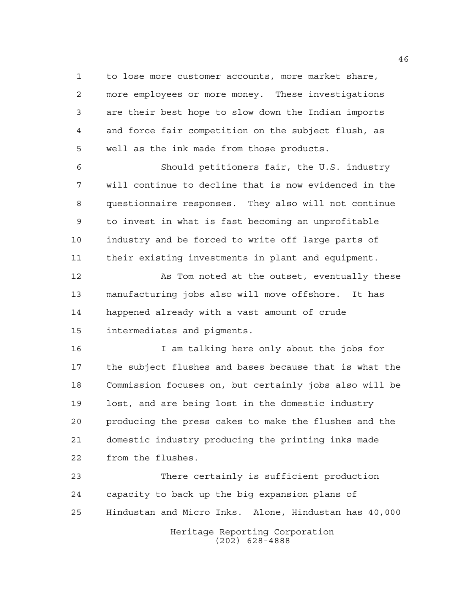to lose more customer accounts, more market share, more employees or more money. These investigations are their best hope to slow down the Indian imports and force fair competition on the subject flush, as well as the ink made from those products.

 Should petitioners fair, the U.S. industry will continue to decline that is now evidenced in the questionnaire responses. They also will not continue to invest in what is fast becoming an unprofitable industry and be forced to write off large parts of their existing investments in plant and equipment.

 As Tom noted at the outset, eventually these manufacturing jobs also will move offshore. It has happened already with a vast amount of crude intermediates and pigments.

16 16 I am talking here only about the jobs for the subject flushes and bases because that is what the Commission focuses on, but certainly jobs also will be lost, and are being lost in the domestic industry producing the press cakes to make the flushes and the domestic industry producing the printing inks made from the flushes.

 There certainly is sufficient production capacity to back up the big expansion plans of Hindustan and Micro Inks. Alone, Hindustan has 40,000

> Heritage Reporting Corporation (202) 628-4888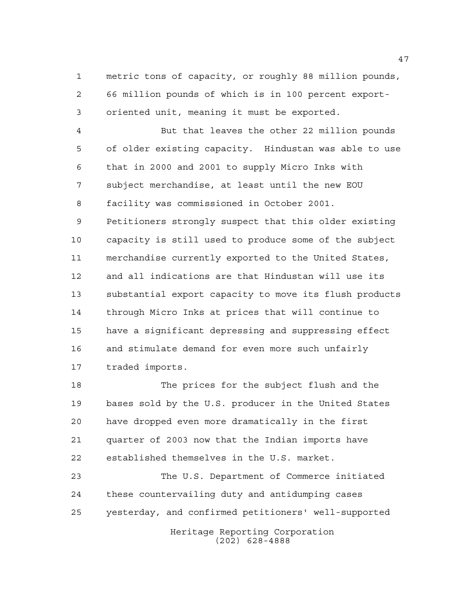metric tons of capacity, or roughly 88 million pounds, 66 million pounds of which is in 100 percent export-oriented unit, meaning it must be exported.

 But that leaves the other 22 million pounds of older existing capacity. Hindustan was able to use that in 2000 and 2001 to supply Micro Inks with subject merchandise, at least until the new EOU facility was commissioned in October 2001. Petitioners strongly suspect that this older existing capacity is still used to produce some of the subject merchandise currently exported to the United States, and all indications are that Hindustan will use its substantial export capacity to move its flush products through Micro Inks at prices that will continue to have a significant depressing and suppressing effect and stimulate demand for even more such unfairly traded imports.

 The prices for the subject flush and the bases sold by the U.S. producer in the United States have dropped even more dramatically in the first quarter of 2003 now that the Indian imports have established themselves in the U.S. market.

 The U.S. Department of Commerce initiated these countervailing duty and antidumping cases yesterday, and confirmed petitioners' well-supported

> Heritage Reporting Corporation (202) 628-4888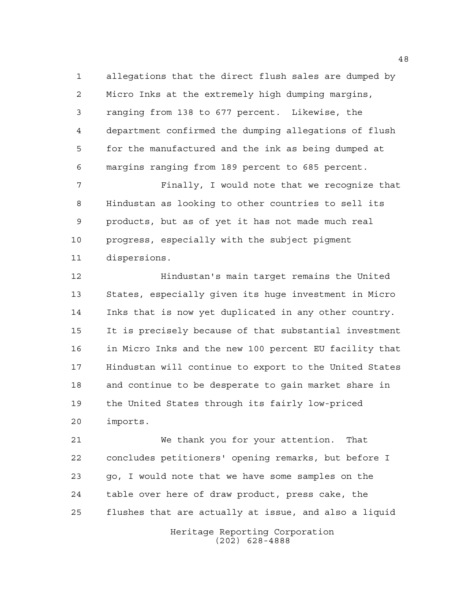allegations that the direct flush sales are dumped by Micro Inks at the extremely high dumping margins, ranging from 138 to 677 percent. Likewise, the department confirmed the dumping allegations of flush for the manufactured and the ink as being dumped at margins ranging from 189 percent to 685 percent.

 Finally, I would note that we recognize that Hindustan as looking to other countries to sell its products, but as of yet it has not made much real progress, especially with the subject pigment dispersions.

 Hindustan's main target remains the United States, especially given its huge investment in Micro Inks that is now yet duplicated in any other country. It is precisely because of that substantial investment in Micro Inks and the new 100 percent EU facility that Hindustan will continue to export to the United States and continue to be desperate to gain market share in the United States through its fairly low-priced imports.

 We thank you for your attention. That concludes petitioners' opening remarks, but before I go, I would note that we have some samples on the table over here of draw product, press cake, the flushes that are actually at issue, and also a liquid

> Heritage Reporting Corporation (202) 628-4888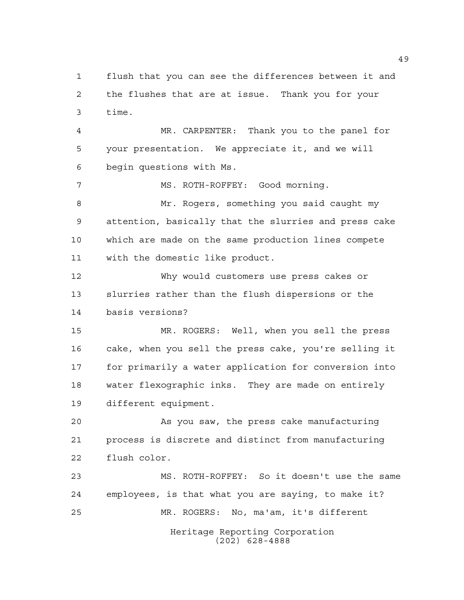flush that you can see the differences between it and the flushes that are at issue. Thank you for your time.

 MR. CARPENTER: Thank you to the panel for your presentation. We appreciate it, and we will begin questions with Ms.

MS. ROTH-ROFFEY: Good morning.

 Mr. Rogers, something you said caught my attention, basically that the slurries and press cake which are made on the same production lines compete with the domestic like product.

 Why would customers use press cakes or slurries rather than the flush dispersions or the basis versions?

 MR. ROGERS: Well, when you sell the press cake, when you sell the press cake, you're selling it for primarily a water application for conversion into water flexographic inks. They are made on entirely different equipment.

 As you saw, the press cake manufacturing process is discrete and distinct from manufacturing flush color.

 MS. ROTH-ROFFEY: So it doesn't use the same employees, is that what you are saying, to make it? MR. ROGERS: No, ma'am, it's different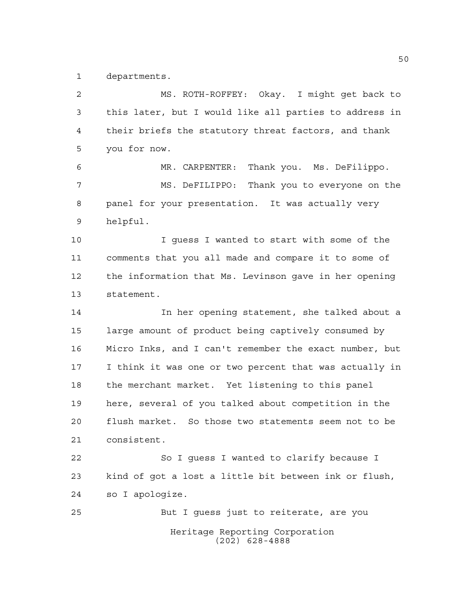departments.

Heritage Reporting Corporation (202) 628-4888 MS. ROTH-ROFFEY: Okay. I might get back to this later, but I would like all parties to address in their briefs the statutory threat factors, and thank you for now. MR. CARPENTER: Thank you. Ms. DeFilippo. MS. DeFILIPPO: Thank you to everyone on the panel for your presentation. It was actually very helpful. I guess I wanted to start with some of the comments that you all made and compare it to some of the information that Ms. Levinson gave in her opening statement. In her opening statement, she talked about a large amount of product being captively consumed by Micro Inks, and I can't remember the exact number, but I think it was one or two percent that was actually in the merchant market. Yet listening to this panel here, several of you talked about competition in the flush market. So those two statements seem not to be consistent. So I guess I wanted to clarify because I kind of got a lost a little bit between ink or flush, so I apologize. But I guess just to reiterate, are you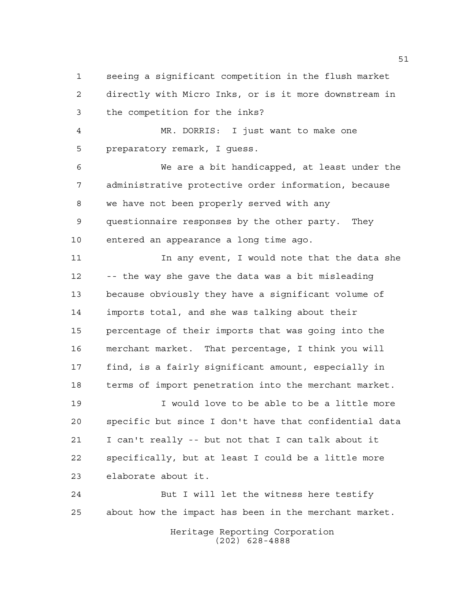seeing a significant competition in the flush market directly with Micro Inks, or is it more downstream in the competition for the inks?

 MR. DORRIS: I just want to make one preparatory remark, I guess.

 We are a bit handicapped, at least under the administrative protective order information, because we have not been properly served with any questionnaire responses by the other party. They entered an appearance a long time ago.

11 In any event, I would note that the data she -- the way she gave the data was a bit misleading because obviously they have a significant volume of imports total, and she was talking about their percentage of their imports that was going into the merchant market. That percentage, I think you will find, is a fairly significant amount, especially in terms of import penetration into the merchant market.

 I would love to be able to be a little more specific but since I don't have that confidential data I can't really -- but not that I can talk about it specifically, but at least I could be a little more elaborate about it.

 But I will let the witness here testify about how the impact has been in the merchant market.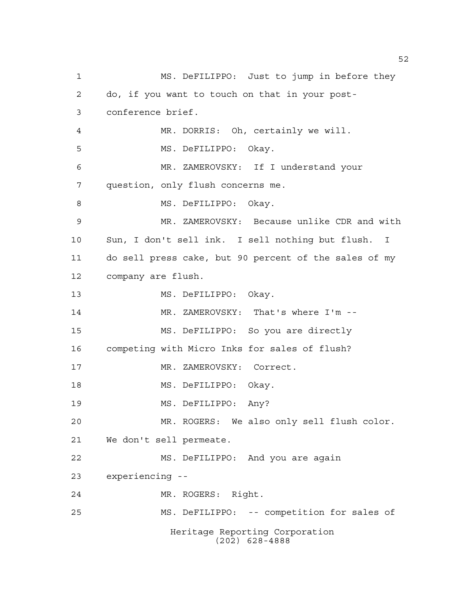Heritage Reporting Corporation (202) 628-4888 MS. DeFILIPPO: Just to jump in before they do, if you want to touch on that in your post- conference brief. MR. DORRIS: Oh, certainly we will. MS. DeFILIPPO: Okay. MR. ZAMEROVSKY: If I understand your question, only flush concerns me. 8 MS. DeFILIPPO: Okay. MR. ZAMEROVSKY: Because unlike CDR and with Sun, I don't sell ink. I sell nothing but flush. I do sell press cake, but 90 percent of the sales of my company are flush. MS. DeFILIPPO: Okay. MR. ZAMEROVSKY: That's where I'm -- MS. DeFILIPPO: So you are directly competing with Micro Inks for sales of flush? 17 MR. ZAMEROVSKY: Correct. 18 MS. DeFILIPPO: Okay. 19 MS. DeFILIPPO: Any? MR. ROGERS: We also only sell flush color. We don't sell permeate. MS. DeFILIPPO: And you are again experiencing -- MR. ROGERS: Right. MS. DeFILIPPO: -- competition for sales of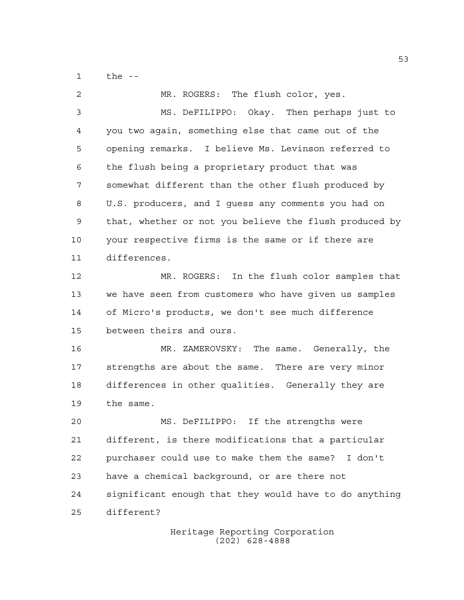the --

| 2  | MR. ROGERS: The flush color, yes.                      |
|----|--------------------------------------------------------|
| 3  | MS. DeFILIPPO: Okay. Then perhaps just to              |
| 4  | you two again, something else that came out of the     |
| 5  | opening remarks. I believe Ms. Levinson referred to    |
| 6  | the flush being a proprietary product that was         |
| 7  | somewhat different than the other flush produced by    |
| 8  | U.S. producers, and I guess any comments you had on    |
| 9  | that, whether or not you believe the flush produced by |
| 10 | your respective firms is the same or if there are      |
| 11 | differences.                                           |
| 12 | MR. ROGERS: In the flush color samples that            |
| 13 | we have seen from customers who have given us samples  |
| 14 | of Micro's products, we don't see much difference      |
| 15 | between theirs and ours.                               |
| 16 | MR. ZAMEROVSKY: The same. Generally, the               |
| 17 | strengths are about the same. There are very minor     |
| 18 | differences in other qualities. Generally they are     |
| 19 | the same.                                              |
| 20 | MS. DeFILIPPO: If the strengths were                   |
| 21 | different, is there modifications that a particular    |
| 22 | purchaser could use to make them the same?<br>I don't  |
| 23 | have a chemical background, or are there not           |
| 24 | significant enough that they would have to do anything |
| 25 | different?                                             |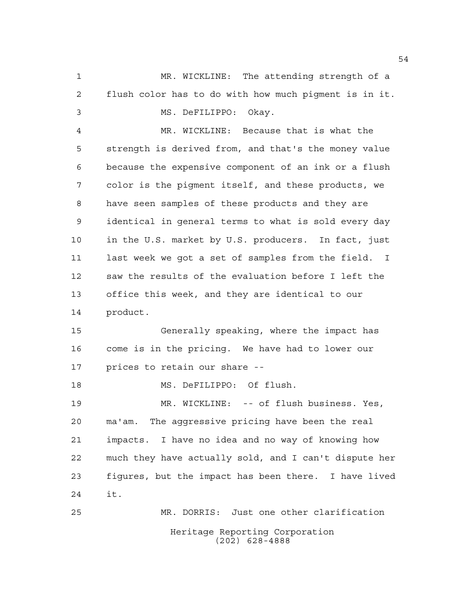MR. WICKLINE: The attending strength of a flush color has to do with how much pigment is in it. MS. DeFILIPPO: Okay. MR. WICKLINE: Because that is what the

 strength is derived from, and that's the money value because the expensive component of an ink or a flush color is the pigment itself, and these products, we have seen samples of these products and they are identical in general terms to what is sold every day in the U.S. market by U.S. producers. In fact, just last week we got a set of samples from the field. I saw the results of the evaluation before I left the office this week, and they are identical to our product.

 Generally speaking, where the impact has come is in the pricing. We have had to lower our prices to retain our share --

MS. DeFILIPPO: Of flush.

 MR. WICKLINE: -- of flush business. Yes, ma'am. The aggressive pricing have been the real impacts. I have no idea and no way of knowing how much they have actually sold, and I can't dispute her figures, but the impact has been there. I have lived it.

Heritage Reporting Corporation (202) 628-4888 MR. DORRIS: Just one other clarification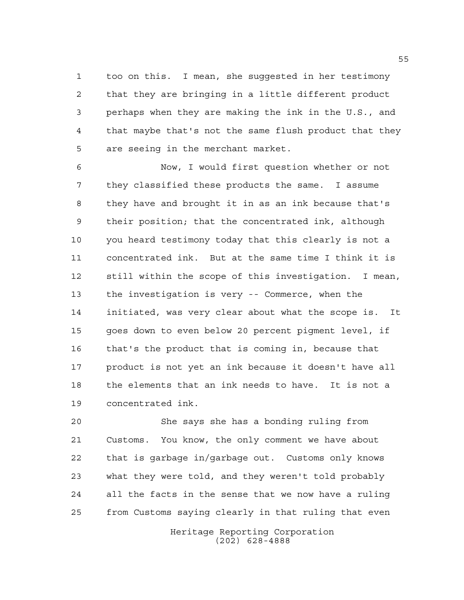too on this. I mean, she suggested in her testimony that they are bringing in a little different product perhaps when they are making the ink in the U.S., and that maybe that's not the same flush product that they are seeing in the merchant market.

 Now, I would first question whether or not they classified these products the same. I assume they have and brought it in as an ink because that's their position; that the concentrated ink, although you heard testimony today that this clearly is not a concentrated ink. But at the same time I think it is still within the scope of this investigation. I mean, the investigation is very -- Commerce, when the initiated, was very clear about what the scope is. It goes down to even below 20 percent pigment level, if that's the product that is coming in, because that product is not yet an ink because it doesn't have all the elements that an ink needs to have. It is not a concentrated ink.

 She says she has a bonding ruling from Customs. You know, the only comment we have about that is garbage in/garbage out. Customs only knows what they were told, and they weren't told probably all the facts in the sense that we now have a ruling from Customs saying clearly in that ruling that even

> Heritage Reporting Corporation (202) 628-4888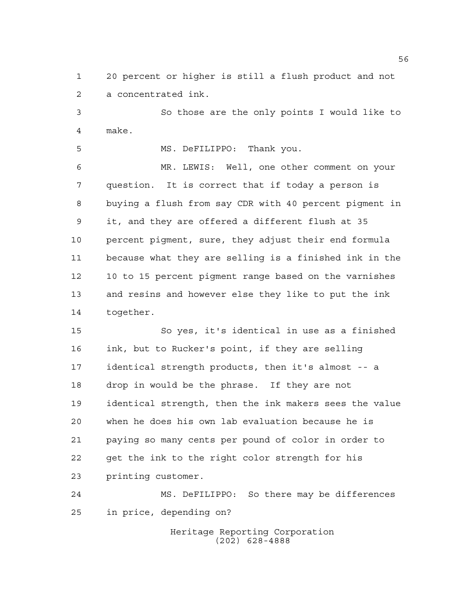20 percent or higher is still a flush product and not a concentrated ink.

 So those are the only points I would like to make.

MS. DeFILIPPO: Thank you.

 MR. LEWIS: Well, one other comment on your question. It is correct that if today a person is buying a flush from say CDR with 40 percent pigment in it, and they are offered a different flush at 35 percent pigment, sure, they adjust their end formula because what they are selling is a finished ink in the 10 to 15 percent pigment range based on the varnishes and resins and however else they like to put the ink together.

 So yes, it's identical in use as a finished ink, but to Rucker's point, if they are selling identical strength products, then it's almost -- a drop in would be the phrase. If they are not identical strength, then the ink makers sees the value when he does his own lab evaluation because he is paying so many cents per pound of color in order to get the ink to the right color strength for his printing customer.

 MS. DeFILIPPO: So there may be differences in price, depending on?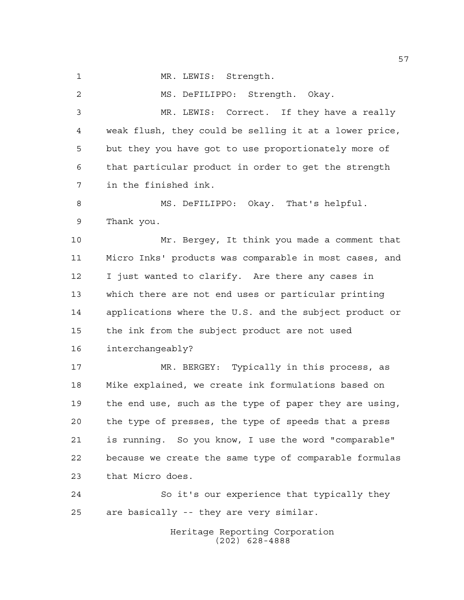MR. LEWIS: Strength.

MS. DeFILIPPO: Strength. Okay.

 MR. LEWIS: Correct. If they have a really weak flush, they could be selling it at a lower price, but they you have got to use proportionately more of that particular product in order to get the strength in the finished ink.

 MS. DeFILIPPO: Okay. That's helpful. Thank you.

 Mr. Bergey, It think you made a comment that Micro Inks' products was comparable in most cases, and I just wanted to clarify. Are there any cases in which there are not end uses or particular printing applications where the U.S. and the subject product or the ink from the subject product are not used interchangeably?

 MR. BERGEY: Typically in this process, as Mike explained, we create ink formulations based on the end use, such as the type of paper they are using, the type of presses, the type of speeds that a press is running. So you know, I use the word "comparable" because we create the same type of comparable formulas that Micro does.

 So it's our experience that typically they are basically -- they are very similar.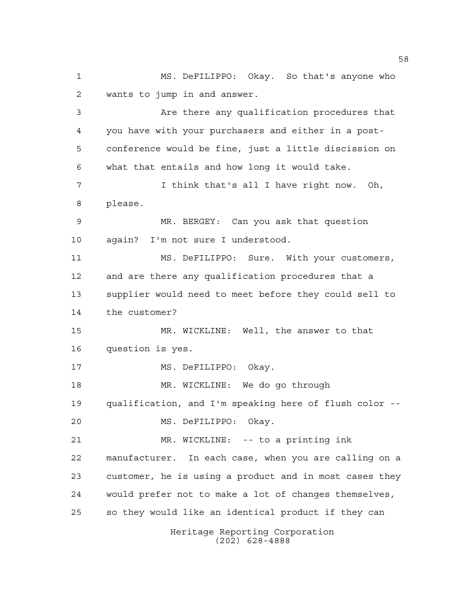Heritage Reporting Corporation MS. DeFILIPPO: Okay. So that's anyone who wants to jump in and answer. Are there any qualification procedures that you have with your purchasers and either in a post- conference would be fine, just a little discission on what that entails and how long it would take. I think that's all I have right now. Oh, please. MR. BERGEY: Can you ask that question again? I'm not sure I understood. MS. DeFILIPPO: Sure. With your customers, and are there any qualification procedures that a supplier would need to meet before they could sell to the customer? MR. WICKLINE: Well, the answer to that question is yes. MS. DeFILIPPO: Okay. MR. WICKLINE: We do go through qualification, and I'm speaking here of flush color -- MS. DeFILIPPO: Okay. MR. WICKLINE: -- to a printing ink manufacturer. In each case, when you are calling on a customer, he is using a product and in most cases they would prefer not to make a lot of changes themselves, so they would like an identical product if they can

(202) 628-4888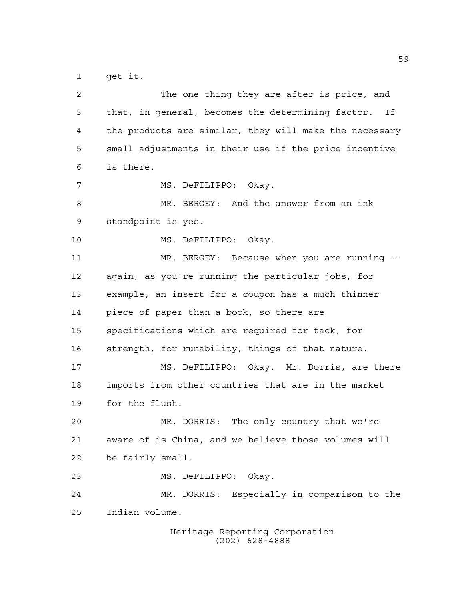get it.

| 2  | The one thing they are after is price, and                           |
|----|----------------------------------------------------------------------|
| 3  | that, in general, becomes the determining factor.<br>Ιf              |
| 4  | the products are similar, they will make the necessary               |
| 5  | small adjustments in their use if the price incentive                |
| 6  | is there.                                                            |
| 7  | MS. DeFILIPPO: Okay.                                                 |
| 8  | MR. BERGEY: And the answer from an ink                               |
| 9  | standpoint is yes.                                                   |
| 10 | MS. DeFILIPPO: Okay.                                                 |
| 11 | MR. BERGEY: Because when you are running<br>$\overline{\phantom{0}}$ |
| 12 | again, as you're running the particular jobs, for                    |
| 13 | example, an insert for a coupon has a much thinner                   |
| 14 | piece of paper than a book, so there are                             |
| 15 | specifications which are required for tack, for                      |
| 16 | strength, for runability, things of that nature.                     |
| 17 | MS. DeFILIPPO: Okay. Mr. Dorris, are there                           |
| 18 | imports from other countries that are in the market                  |
| 19 | for the flush.                                                       |
| 20 | MR. DORRIS: The only country that we're                              |
| 21 | aware of is China, and we believe those volumes will                 |
| 22 | be fairly small.                                                     |
| 23 | MS. DeFILIPPO: Okay.                                                 |
| 24 | MR. DORRIS: Especially in comparison to the                          |
| 25 | Indian volume.                                                       |
|    | Heritage Reporting Corporation                                       |

(202) 628-4888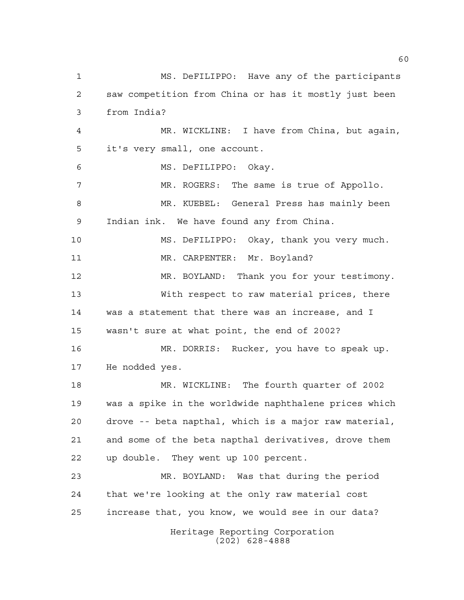Heritage Reporting Corporation (202) 628-4888 MS. DeFILIPPO: Have any of the participants saw competition from China or has it mostly just been from India? MR. WICKLINE: I have from China, but again, it's very small, one account. MS. DeFILIPPO: Okay. MR. ROGERS: The same is true of Appollo. MR. KUEBEL: General Press has mainly been Indian ink. We have found any from China. MS. DeFILIPPO: Okay, thank you very much. 11 MR. CARPENTER: Mr. Boyland? MR. BOYLAND: Thank you for your testimony. With respect to raw material prices, there was a statement that there was an increase, and I wasn't sure at what point, the end of 2002? MR. DORRIS: Rucker, you have to speak up. He nodded yes. MR. WICKLINE: The fourth quarter of 2002 was a spike in the worldwide naphthalene prices which drove -- beta napthal, which is a major raw material, and some of the beta napthal derivatives, drove them up double. They went up 100 percent. MR. BOYLAND: Was that during the period that we're looking at the only raw material cost increase that, you know, we would see in our data?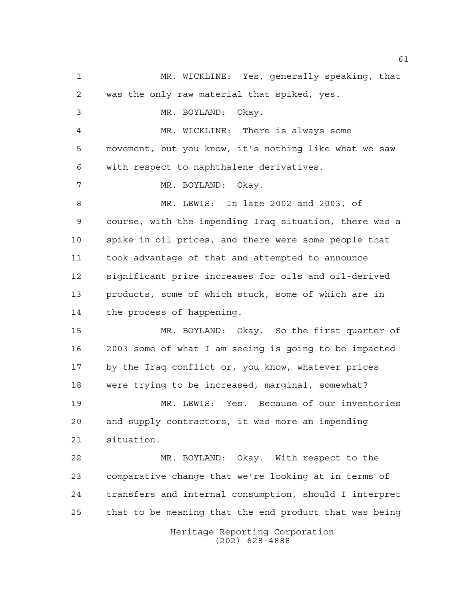Heritage Reporting Corporation (202) 628-4888 MR. WICKLINE: Yes, generally speaking, that was the only raw material that spiked, yes. MR. BOYLAND: Okay. MR. WICKLINE: There is always some movement, but you know, it's nothing like what we saw with respect to naphthalene derivatives. MR. BOYLAND: Okay. MR. LEWIS: In late 2002 and 2003, of course, with the impending Iraq situation, there was a spike in oil prices, and there were some people that took advantage of that and attempted to announce significant price increases for oils and oil-derived products, some of which stuck, some of which are in the process of happening. MR. BOYLAND: Okay. So the first quarter of 2003 some of what I am seeing is going to be impacted by the Iraq conflict or, you know, whatever prices were trying to be increased, marginal, somewhat? MR. LEWIS: Yes. Because of our inventories and supply contractors, it was more an impending situation. MR. BOYLAND: Okay. With respect to the comparative change that we're looking at in terms of transfers and internal consumption, should I interpret that to be meaning that the end product that was being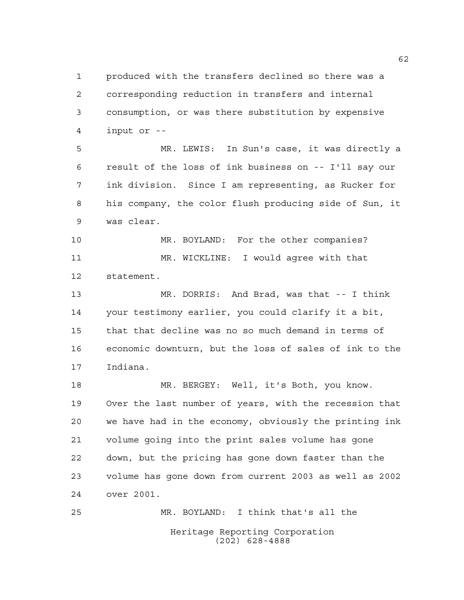produced with the transfers declined so there was a corresponding reduction in transfers and internal consumption, or was there substitution by expensive input or --

 MR. LEWIS: In Sun's case, it was directly a result of the loss of ink business on -- I'll say our ink division. Since I am representing, as Rucker for his company, the color flush producing side of Sun, it was clear.

 MR. BOYLAND: For the other companies? MR. WICKLINE: I would agree with that statement.

 MR. DORRIS: And Brad, was that -- I think your testimony earlier, you could clarify it a bit, that that decline was no so much demand in terms of economic downturn, but the loss of sales of ink to the Indiana.

 MR. BERGEY: Well, it's Both, you know. Over the last number of years, with the recession that we have had in the economy, obviously the printing ink volume going into the print sales volume has gone down, but the pricing has gone down faster than the volume has gone down from current 2003 as well as 2002 over 2001.

Heritage Reporting Corporation (202) 628-4888 MR. BOYLAND: I think that's all the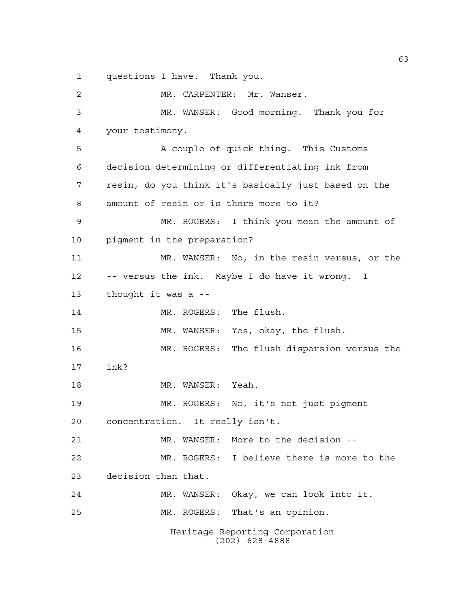questions I have. Thank you.

Heritage Reporting Corporation (202) 628-4888 MR. CARPENTER: Mr. Wanser. MR. WANSER: Good morning. Thank you for your testimony. 5 A couple of quick thing. This Customs decision determining or differentiating ink from resin, do you think it's basically just based on the amount of resin or is there more to it? MR. ROGERS: I think you mean the amount of pigment in the preparation? MR. WANSER: No, in the resin versus, or the -- versus the ink. Maybe I do have it wrong. I thought it was a -- 14 MR. ROGERS: The flush. MR. WANSER: Yes, okay, the flush. MR. ROGERS: The flush dispersion versus the ink? 18 MR. WANSER: Yeah. MR. ROGERS: No, it's not just pigment concentration. It really isn't. MR. WANSER: More to the decision -- MR. ROGERS: I believe there is more to the decision than that. MR. WANSER: Okay, we can look into it. MR. ROGERS: That's an opinion.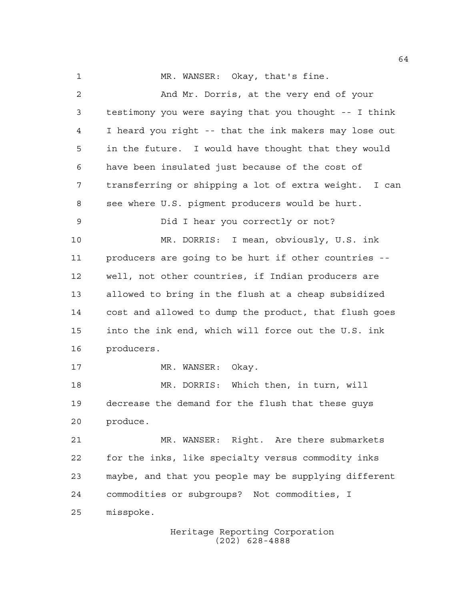1 MR. WANSER: Okay, that's fine. And Mr. Dorris, at the very end of your testimony you were saying that you thought -- I think I heard you right -- that the ink makers may lose out in the future. I would have thought that they would have been insulated just because of the cost of transferring or shipping a lot of extra weight. I can see where U.S. pigment producers would be hurt. Did I hear you correctly or not? MR. DORRIS: I mean, obviously, U.S. ink producers are going to be hurt if other countries -- well, not other countries, if Indian producers are allowed to bring in the flush at a cheap subsidized cost and allowed to dump the product, that flush goes into the ink end, which will force out the U.S. ink producers. 17 MR. WANSER: Okay. MR. DORRIS: Which then, in turn, will decrease the demand for the flush that these guys produce. MR. WANSER: Right. Are there submarkets

 for the inks, like specialty versus commodity inks maybe, and that you people may be supplying different commodities or subgroups? Not commodities, I misspoke.

> Heritage Reporting Corporation (202) 628-4888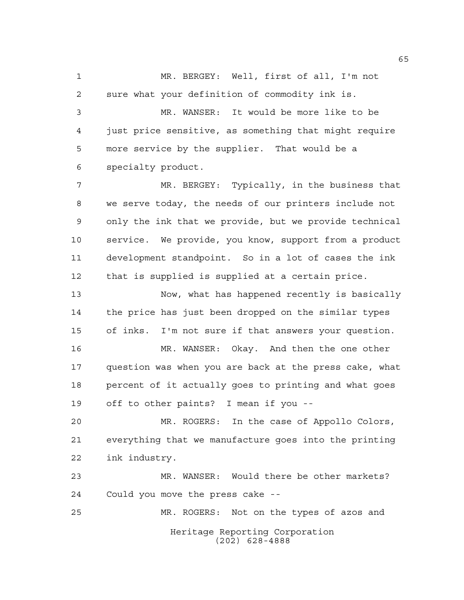MR. BERGEY: Well, first of all, I'm not sure what your definition of commodity ink is.

 MR. WANSER: It would be more like to be just price sensitive, as something that might require more service by the supplier. That would be a specialty product.

 MR. BERGEY: Typically, in the business that we serve today, the needs of our printers include not only the ink that we provide, but we provide technical service. We provide, you know, support from a product development standpoint. So in a lot of cases the ink that is supplied is supplied at a certain price.

 Now, what has happened recently is basically the price has just been dropped on the similar types of inks. I'm not sure if that answers your question.

 MR. WANSER: Okay. And then the one other question was when you are back at the press cake, what percent of it actually goes to printing and what goes off to other paints? I mean if you --

 MR. ROGERS: In the case of Appollo Colors, everything that we manufacture goes into the printing ink industry.

 MR. WANSER: Would there be other markets? Could you move the press cake --

Heritage Reporting Corporation (202) 628-4888 MR. ROGERS: Not on the types of azos and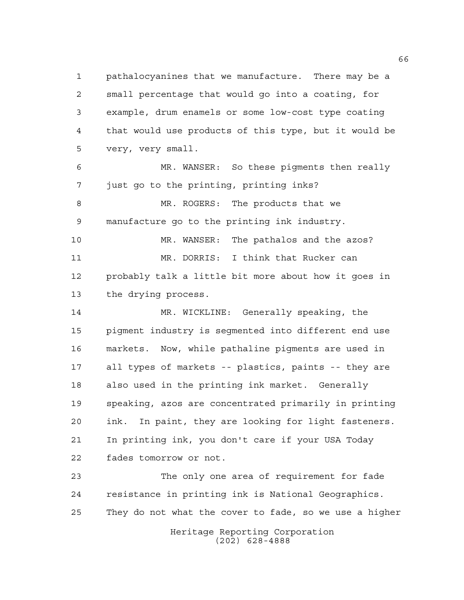pathalocyanines that we manufacture. There may be a small percentage that would go into a coating, for example, drum enamels or some low-cost type coating that would use products of this type, but it would be very, very small.

 MR. WANSER: So these pigments then really just go to the printing, printing inks?

 MR. ROGERS: The products that we manufacture go to the printing ink industry.

 MR. WANSER: The pathalos and the azos? MR. DORRIS: I think that Rucker can probably talk a little bit more about how it goes in the drying process.

 MR. WICKLINE: Generally speaking, the pigment industry is segmented into different end use markets. Now, while pathaline pigments are used in all types of markets -- plastics, paints -- they are also used in the printing ink market. Generally speaking, azos are concentrated primarily in printing ink. In paint, they are looking for light fasteners. In printing ink, you don't care if your USA Today fades tomorrow or not.

 The only one area of requirement for fade resistance in printing ink is National Geographics. They do not what the cover to fade, so we use a higher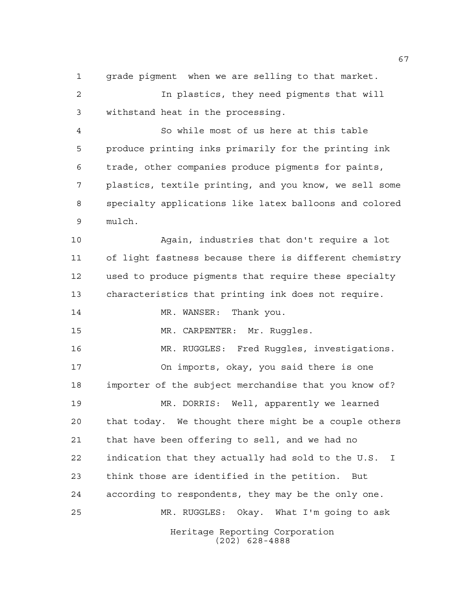grade pigment when we are selling to that market.

 In plastics, they need pigments that will withstand heat in the processing.

 So while most of us here at this table produce printing inks primarily for the printing ink trade, other companies produce pigments for paints, plastics, textile printing, and you know, we sell some specialty applications like latex balloons and colored mulch.

 Again, industries that don't require a lot of light fastness because there is different chemistry used to produce pigments that require these specialty characteristics that printing ink does not require.

14 MR. WANSER: Thank you.

MR. CARPENTER: Mr. Ruggles.

Heritage Reporting Corporation MR. RUGGLES: Fred Ruggles, investigations. On imports, okay, you said there is one importer of the subject merchandise that you know of? MR. DORRIS: Well, apparently we learned that today. We thought there might be a couple others that have been offering to sell, and we had no indication that they actually had sold to the U.S. I think those are identified in the petition. But according to respondents, they may be the only one. MR. RUGGLES: Okay. What I'm going to ask

(202) 628-4888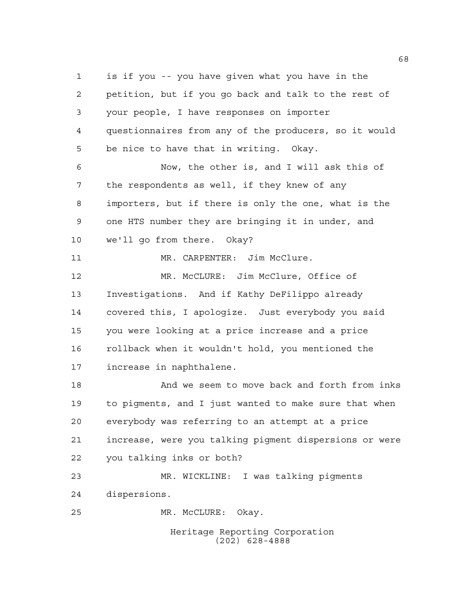Heritage Reporting Corporation is if you -- you have given what you have in the petition, but if you go back and talk to the rest of your people, I have responses on importer questionnaires from any of the producers, so it would be nice to have that in writing. Okay. Now, the other is, and I will ask this of the respondents as well, if they knew of any importers, but if there is only the one, what is the one HTS number they are bringing it in under, and we'll go from there. Okay? 11 MR. CARPENTER: Jim McClure. MR. McCLURE: Jim McClure, Office of Investigations. And if Kathy DeFilippo already covered this, I apologize. Just everybody you said you were looking at a price increase and a price rollback when it wouldn't hold, you mentioned the increase in naphthalene. 18 And we seem to move back and forth from inks to pigments, and I just wanted to make sure that when everybody was referring to an attempt at a price increase, were you talking pigment dispersions or were you talking inks or both? MR. WICKLINE: I was talking pigments dispersions. MR. McCLURE: Okay.

(202) 628-4888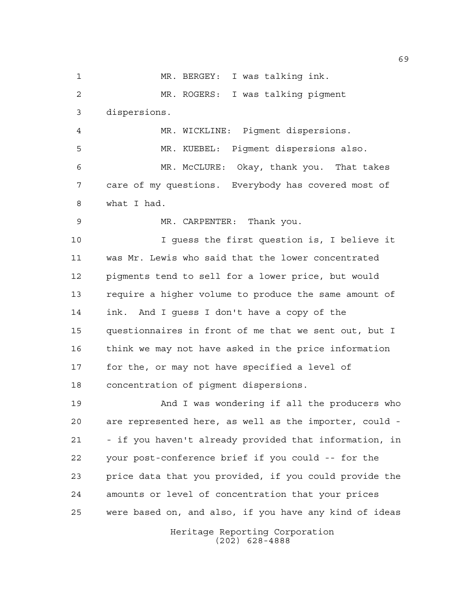Heritage Reporting Corporation (202) 628-4888 MR. BERGEY: I was talking ink. MR. ROGERS: I was talking pigment dispersions. MR. WICKLINE: Pigment dispersions. MR. KUEBEL: Pigment dispersions also. MR. McCLURE: Okay, thank you. That takes care of my questions. Everybody has covered most of what I had. MR. CARPENTER: Thank you. I guess the first question is, I believe it was Mr. Lewis who said that the lower concentrated pigments tend to sell for a lower price, but would require a higher volume to produce the same amount of ink. And I guess I don't have a copy of the questionnaires in front of me that we sent out, but I think we may not have asked in the price information for the, or may not have specified a level of concentration of pigment dispersions. And I was wondering if all the producers who are represented here, as well as the importer, could - - if you haven't already provided that information, in your post-conference brief if you could -- for the price data that you provided, if you could provide the amounts or level of concentration that your prices were based on, and also, if you have any kind of ideas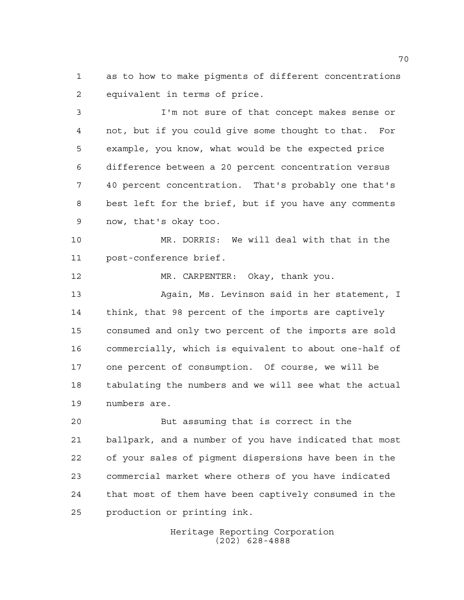as to how to make pigments of different concentrations equivalent in terms of price.

 I'm not sure of that concept makes sense or not, but if you could give some thought to that. For example, you know, what would be the expected price difference between a 20 percent concentration versus 40 percent concentration. That's probably one that's best left for the brief, but if you have any comments now, that's okay too.

 MR. DORRIS: We will deal with that in the post-conference brief.

 MR. CARPENTER: Okay, thank you. Again, Ms. Levinson said in her statement, I think, that 98 percent of the imports are captively consumed and only two percent of the imports are sold commercially, which is equivalent to about one-half of one percent of consumption. Of course, we will be tabulating the numbers and we will see what the actual numbers are.

 But assuming that is correct in the ballpark, and a number of you have indicated that most of your sales of pigment dispersions have been in the commercial market where others of you have indicated that most of them have been captively consumed in the production or printing ink.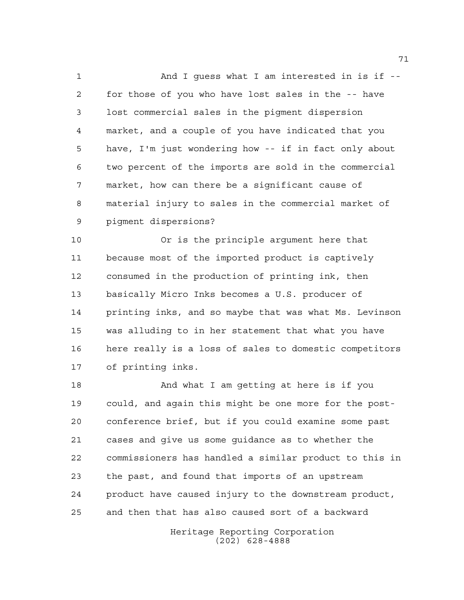1 And I quess what I am interested in is if -- for those of you who have lost sales in the -- have lost commercial sales in the pigment dispersion market, and a couple of you have indicated that you have, I'm just wondering how -- if in fact only about two percent of the imports are sold in the commercial market, how can there be a significant cause of material injury to sales in the commercial market of pigment dispersions?

 Or is the principle argument here that because most of the imported product is captively consumed in the production of printing ink, then basically Micro Inks becomes a U.S. producer of printing inks, and so maybe that was what Ms. Levinson was alluding to in her statement that what you have here really is a loss of sales to domestic competitors of printing inks.

 And what I am getting at here is if you could, and again this might be one more for the post- conference brief, but if you could examine some past cases and give us some guidance as to whether the commissioners has handled a similar product to this in the past, and found that imports of an upstream product have caused injury to the downstream product, and then that has also caused sort of a backward

> Heritage Reporting Corporation (202) 628-4888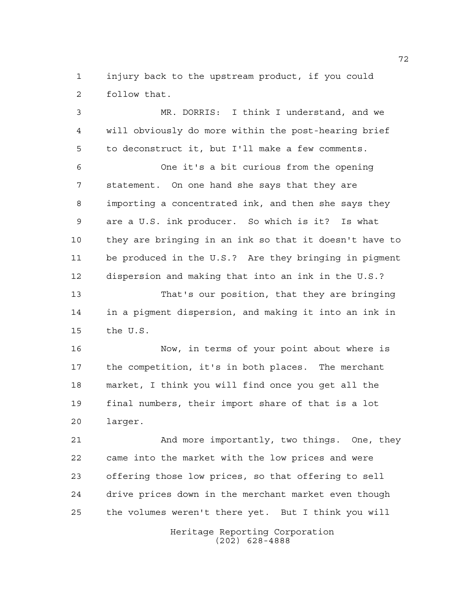injury back to the upstream product, if you could follow that.

 MR. DORRIS: I think I understand, and we will obviously do more within the post-hearing brief to deconstruct it, but I'll make a few comments. One it's a bit curious from the opening statement. On one hand she says that they are importing a concentrated ink, and then she says they are a U.S. ink producer. So which is it? Is what they are bringing in an ink so that it doesn't have to be produced in the U.S.? Are they bringing in pigment dispersion and making that into an ink in the U.S.? That's our position, that they are bringing in a pigment dispersion, and making it into an ink in the U.S.

 Now, in terms of your point about where is the competition, it's in both places. The merchant market, I think you will find once you get all the final numbers, their import share of that is a lot larger.

 And more importantly, two things. One, they came into the market with the low prices and were offering those low prices, so that offering to sell drive prices down in the merchant market even though the volumes weren't there yet. But I think you will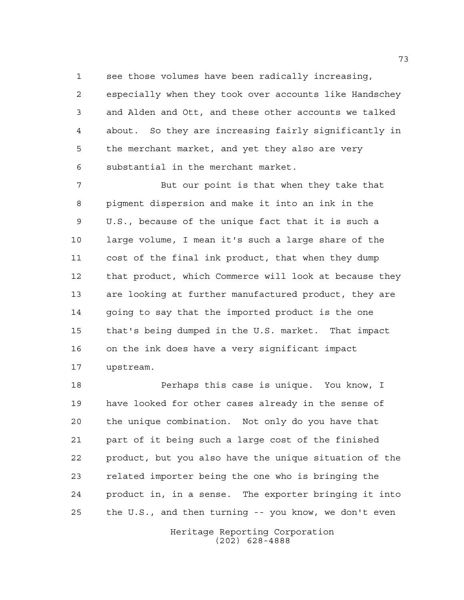see those volumes have been radically increasing,

 especially when they took over accounts like Handschey and Alden and Ott, and these other accounts we talked about. So they are increasing fairly significantly in the merchant market, and yet they also are very substantial in the merchant market.

 But our point is that when they take that pigment dispersion and make it into an ink in the U.S., because of the unique fact that it is such a large volume, I mean it's such a large share of the cost of the final ink product, that when they dump that product, which Commerce will look at because they are looking at further manufactured product, they are going to say that the imported product is the one that's being dumped in the U.S. market. That impact on the ink does have a very significant impact upstream.

 Perhaps this case is unique. You know, I have looked for other cases already in the sense of the unique combination. Not only do you have that part of it being such a large cost of the finished product, but you also have the unique situation of the related importer being the one who is bringing the product in, in a sense. The exporter bringing it into the U.S., and then turning -- you know, we don't even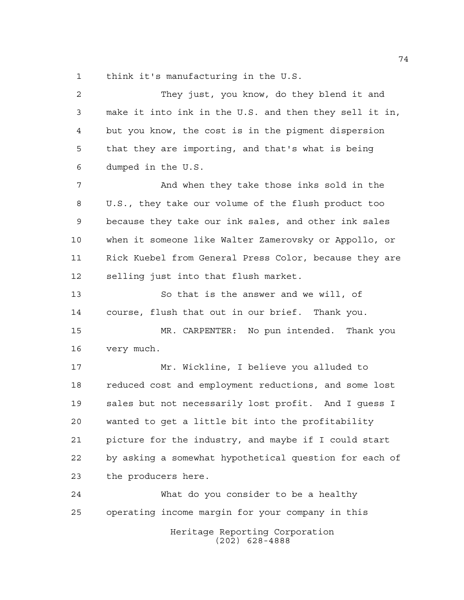think it's manufacturing in the U.S.

| $\overline{a}$ | They just, you know, do they blend it and              |
|----------------|--------------------------------------------------------|
| 3              | make it into ink in the U.S. and then they sell it in, |
| 4              | but you know, the cost is in the pigment dispersion    |
| 5              | that they are importing, and that's what is being      |
| 6              | dumped in the U.S.                                     |
| 7              | And when they take those inks sold in the              |
| 8              | U.S., they take our volume of the flush product too    |
| 9              | because they take our ink sales, and other ink sales   |
| 10             | when it someone like Walter Zamerovsky or Appollo, or  |
| 11             | Rick Kuebel from General Press Color, because they are |
| 12             | selling just into that flush market.                   |
| 13             | So that is the answer and we will, of                  |
| 14             | course, flush that out in our brief. Thank you.        |
| 15             | MR. CARPENTER: No pun intended. Thank you              |
| 16             | very much.                                             |
| 17             | Mr. Wickline, I believe you alluded to                 |
| 18             | reduced cost and employment reductions, and some lost  |
| 19             | sales but not necessarily lost profit. And I guess I   |
| 20             | wanted to get a little bit into the profitability      |
| 21             | picture for the industry, and maybe if I could start   |
| 22             | by asking a somewhat hypothetical question for each of |
| 23             | the producers here.                                    |
| 24             | What do you consider to be a healthy                   |
| 25             | operating income margin for your company in this       |
|                | Heritage Reporting Corporation<br>628-4888<br>(202)    |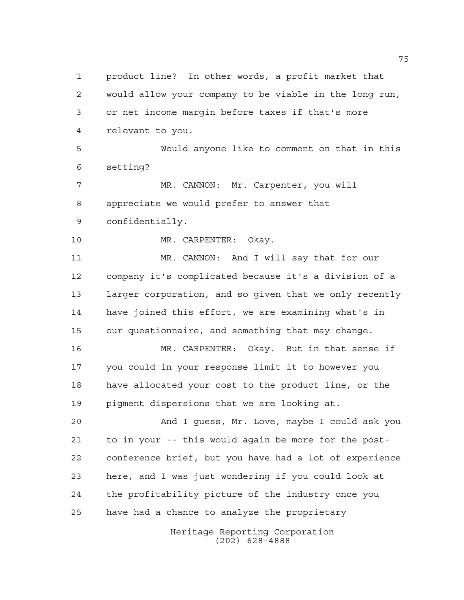Heritage Reporting Corporation product line? In other words, a profit market that would allow your company to be viable in the long run, or net income margin before taxes if that's more relevant to you. Would anyone like to comment on that in this setting? MR. CANNON: Mr. Carpenter, you will appreciate we would prefer to answer that confidentially. MR. CARPENTER: Okay. MR. CANNON: And I will say that for our company it's complicated because it's a division of a larger corporation, and so given that we only recently have joined this effort, we are examining what's in our questionnaire, and something that may change. MR. CARPENTER: Okay. But in that sense if you could in your response limit it to however you have allocated your cost to the product line, or the pigment dispersions that we are looking at. And I guess, Mr. Love, maybe I could ask you to in your -- this would again be more for the post- conference brief, but you have had a lot of experience here, and I was just wondering if you could look at the profitability picture of the industry once you have had a chance to analyze the proprietary

(202) 628-4888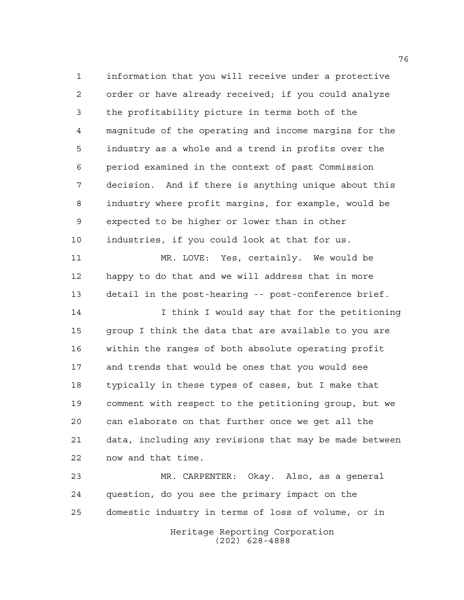information that you will receive under a protective order or have already received; if you could analyze the profitability picture in terms both of the magnitude of the operating and income margins for the industry as a whole and a trend in profits over the period examined in the context of past Commission decision. And if there is anything unique about this industry where profit margins, for example, would be expected to be higher or lower than in other industries, if you could look at that for us.

 MR. LOVE: Yes, certainly. We would be happy to do that and we will address that in more detail in the post-hearing -- post-conference brief.

 I think I would say that for the petitioning group I think the data that are available to you are within the ranges of both absolute operating profit and trends that would be ones that you would see typically in these types of cases, but I make that comment with respect to the petitioning group, but we can elaborate on that further once we get all the data, including any revisions that may be made between now and that time.

 MR. CARPENTER: Okay. Also, as a general question, do you see the primary impact on the domestic industry in terms of loss of volume, or in

> Heritage Reporting Corporation (202) 628-4888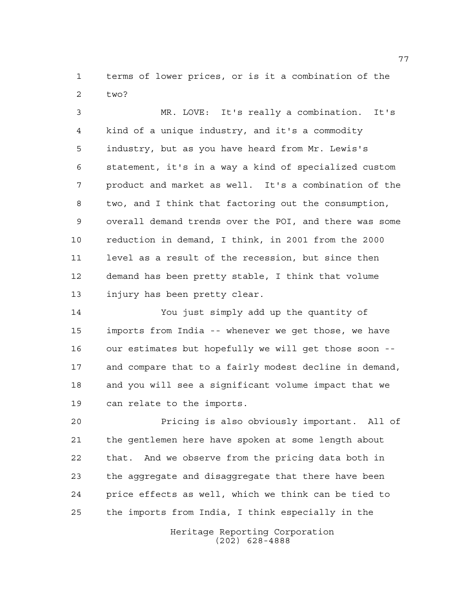terms of lower prices, or is it a combination of the two?

 MR. LOVE: It's really a combination. It's kind of a unique industry, and it's a commodity industry, but as you have heard from Mr. Lewis's statement, it's in a way a kind of specialized custom product and market as well. It's a combination of the two, and I think that factoring out the consumption, overall demand trends over the POI, and there was some reduction in demand, I think, in 2001 from the 2000 level as a result of the recession, but since then demand has been pretty stable, I think that volume injury has been pretty clear.

 You just simply add up the quantity of imports from India -- whenever we get those, we have our estimates but hopefully we will get those soon -- and compare that to a fairly modest decline in demand, and you will see a significant volume impact that we can relate to the imports.

 Pricing is also obviously important. All of the gentlemen here have spoken at some length about that. And we observe from the pricing data both in the aggregate and disaggregate that there have been price effects as well, which we think can be tied to the imports from India, I think especially in the

> Heritage Reporting Corporation (202) 628-4888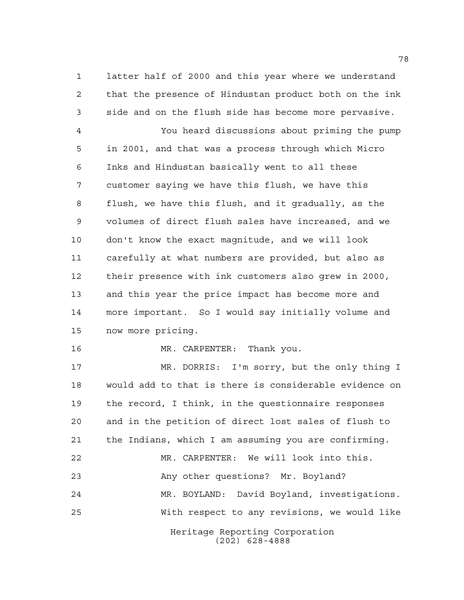latter half of 2000 and this year where we understand that the presence of Hindustan product both on the ink side and on the flush side has become more pervasive.

 You heard discussions about priming the pump in 2001, and that was a process through which Micro Inks and Hindustan basically went to all these customer saying we have this flush, we have this flush, we have this flush, and it gradually, as the volumes of direct flush sales have increased, and we don't know the exact magnitude, and we will look carefully at what numbers are provided, but also as their presence with ink customers also grew in 2000, and this year the price impact has become more and more important. So I would say initially volume and now more pricing.

MR. CARPENTER: Thank you.

Heritage Reporting Corporation MR. DORRIS: I'm sorry, but the only thing I would add to that is there is considerable evidence on the record, I think, in the questionnaire responses and in the petition of direct lost sales of flush to the Indians, which I am assuming you are confirming. MR. CARPENTER: We will look into this. Any other questions? Mr. Boyland? MR. BOYLAND: David Boyland, investigations. With respect to any revisions, we would like

(202) 628-4888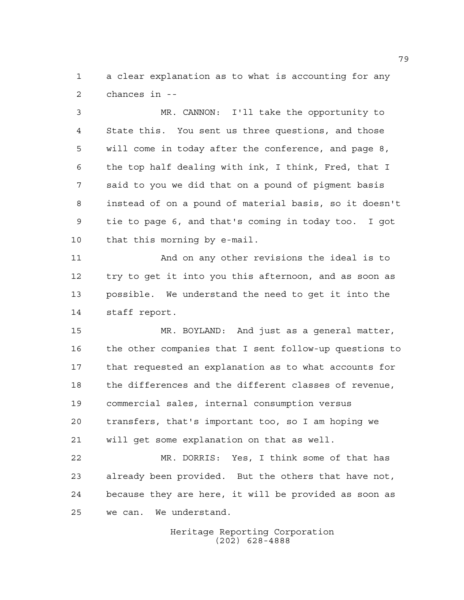a clear explanation as to what is accounting for any chances in --

 MR. CANNON: I'll take the opportunity to State this. You sent us three questions, and those will come in today after the conference, and page 8, the top half dealing with ink, I think, Fred, that I said to you we did that on a pound of pigment basis instead of on a pound of material basis, so it doesn't tie to page 6, and that's coming in today too. I got that this morning by e-mail.

 And on any other revisions the ideal is to try to get it into you this afternoon, and as soon as possible. We understand the need to get it into the staff report.

 MR. BOYLAND: And just as a general matter, the other companies that I sent follow-up questions to that requested an explanation as to what accounts for the differences and the different classes of revenue, commercial sales, internal consumption versus transfers, that's important too, so I am hoping we will get some explanation on that as well.

 MR. DORRIS: Yes, I think some of that has already been provided. But the others that have not, because they are here, it will be provided as soon as we can. We understand.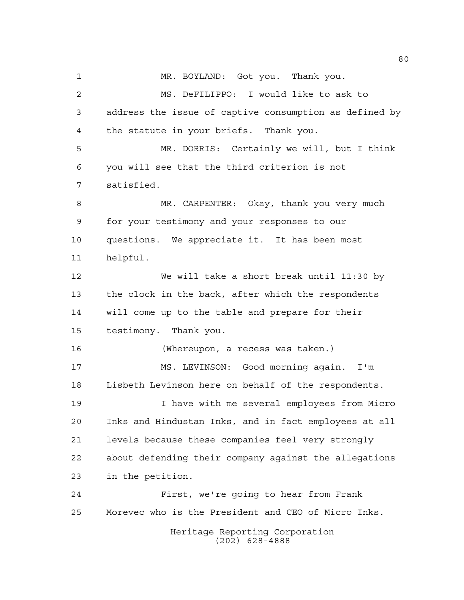MR. BOYLAND: Got you. Thank you. MS. DeFILIPPO: I would like to ask to address the issue of captive consumption as defined by the statute in your briefs. Thank you. MR. DORRIS: Certainly we will, but I think you will see that the third criterion is not satisfied. 8 MR. CARPENTER: Okay, thank you very much for your testimony and your responses to our questions. We appreciate it. It has been most helpful. We will take a short break until 11:30 by the clock in the back, after which the respondents will come up to the table and prepare for their testimony. Thank you. (Whereupon, a recess was taken.) MS. LEVINSON: Good morning again. I'm Lisbeth Levinson here on behalf of the respondents. I have with me several employees from Micro Inks and Hindustan Inks, and in fact employees at all levels because these companies feel very strongly about defending their company against the allegations in the petition. First, we're going to hear from Frank Morevec who is the President and CEO of Micro Inks.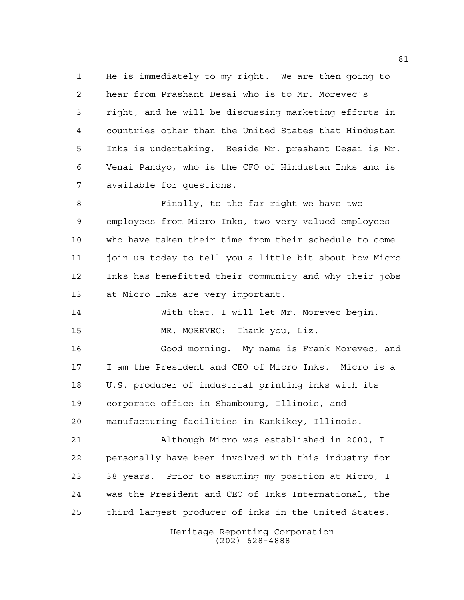He is immediately to my right. We are then going to hear from Prashant Desai who is to Mr. Morevec's right, and he will be discussing marketing efforts in countries other than the United States that Hindustan Inks is undertaking. Beside Mr. prashant Desai is Mr. Venai Pandyo, who is the CFO of Hindustan Inks and is available for questions.

 Finally, to the far right we have two employees from Micro Inks, two very valued employees who have taken their time from their schedule to come join us today to tell you a little bit about how Micro Inks has benefitted their community and why their jobs at Micro Inks are very important.

 With that, I will let Mr. Morevec begin. 15 MR. MOREVEC: Thank you, Liz.

 Good morning. My name is Frank Morevec, and I am the President and CEO of Micro Inks. Micro is a U.S. producer of industrial printing inks with its corporate office in Shambourg, Illinois, and manufacturing facilities in Kankikey, Illinois.

 Although Micro was established in 2000, I personally have been involved with this industry for 38 years. Prior to assuming my position at Micro, I was the President and CEO of Inks International, the third largest producer of inks in the United States.

> Heritage Reporting Corporation (202) 628-4888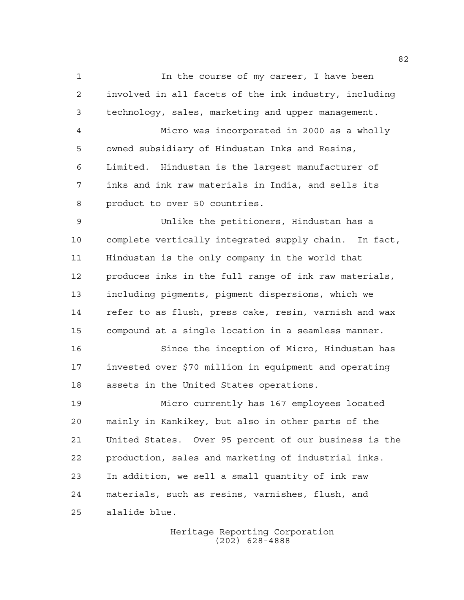1 1 In the course of my career, I have been involved in all facets of the ink industry, including technology, sales, marketing and upper management.

 Micro was incorporated in 2000 as a wholly owned subsidiary of Hindustan Inks and Resins, Limited. Hindustan is the largest manufacturer of inks and ink raw materials in India, and sells its product to over 50 countries.

 Unlike the petitioners, Hindustan has a complete vertically integrated supply chain. In fact, Hindustan is the only company in the world that produces inks in the full range of ink raw materials, including pigments, pigment dispersions, which we refer to as flush, press cake, resin, varnish and wax compound at a single location in a seamless manner.

 Since the inception of Micro, Hindustan has invested over \$70 million in equipment and operating assets in the United States operations.

 Micro currently has 167 employees located mainly in Kankikey, but also in other parts of the United States. Over 95 percent of our business is the production, sales and marketing of industrial inks. In addition, we sell a small quantity of ink raw materials, such as resins, varnishes, flush, and alalide blue.

> Heritage Reporting Corporation (202) 628-4888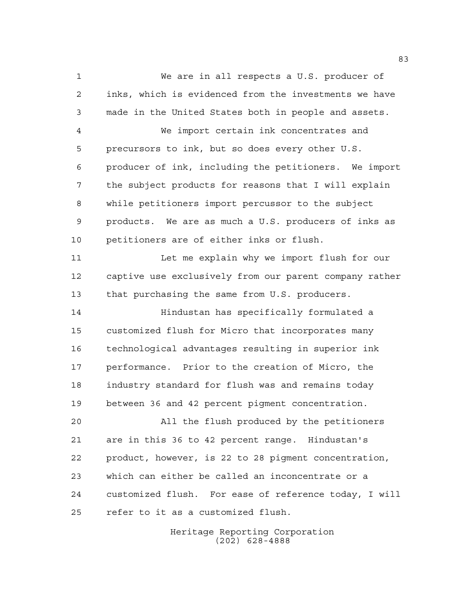We are in all respects a U.S. producer of inks, which is evidenced from the investments we have made in the United States both in people and assets. We import certain ink concentrates and precursors to ink, but so does every other U.S. producer of ink, including the petitioners. We import the subject products for reasons that I will explain while petitioners import percussor to the subject products. We are as much a U.S. producers of inks as petitioners are of either inks or flush. 11 Let me explain why we import flush for our captive use exclusively from our parent company rather that purchasing the same from U.S. producers. Hindustan has specifically formulated a customized flush for Micro that incorporates many technological advantages resulting in superior ink performance. Prior to the creation of Micro, the industry standard for flush was and remains today between 36 and 42 percent pigment concentration. All the flush produced by the petitioners are in this 36 to 42 percent range. Hindustan's product, however, is 22 to 28 pigment concentration, which can either be called an inconcentrate or a customized flush. For ease of reference today, I will refer to it as a customized flush.

> Heritage Reporting Corporation (202) 628-4888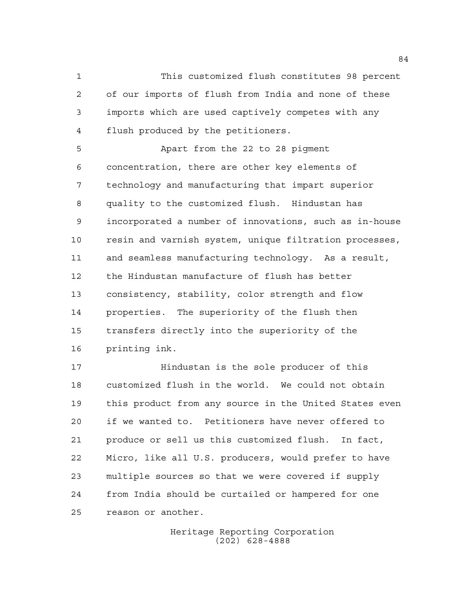This customized flush constitutes 98 percent of our imports of flush from India and none of these imports which are used captively competes with any flush produced by the petitioners.

 Apart from the 22 to 28 pigment concentration, there are other key elements of technology and manufacturing that impart superior quality to the customized flush. Hindustan has incorporated a number of innovations, such as in-house resin and varnish system, unique filtration processes, and seamless manufacturing technology. As a result, the Hindustan manufacture of flush has better consistency, stability, color strength and flow properties. The superiority of the flush then transfers directly into the superiority of the printing ink.

**Hindustan is the sole producer of this**  customized flush in the world. We could not obtain this product from any source in the United States even if we wanted to. Petitioners have never offered to produce or sell us this customized flush. In fact, Micro, like all U.S. producers, would prefer to have multiple sources so that we were covered if supply from India should be curtailed or hampered for one reason or another.

> Heritage Reporting Corporation (202) 628-4888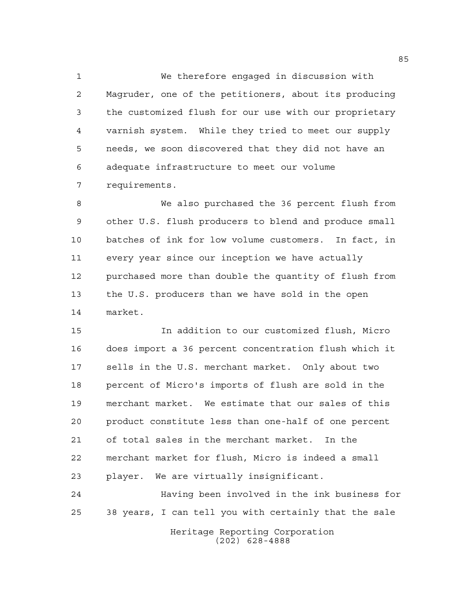We therefore engaged in discussion with Magruder, one of the petitioners, about its producing the customized flush for our use with our proprietary varnish system. While they tried to meet our supply needs, we soon discovered that they did not have an adequate infrastructure to meet our volume requirements.

 We also purchased the 36 percent flush from other U.S. flush producers to blend and produce small batches of ink for low volume customers. In fact, in every year since our inception we have actually purchased more than double the quantity of flush from the U.S. producers than we have sold in the open market.

 In addition to our customized flush, Micro does import a 36 percent concentration flush which it sells in the U.S. merchant market. Only about two percent of Micro's imports of flush are sold in the merchant market. We estimate that our sales of this product constitute less than one-half of one percent of total sales in the merchant market. In the merchant market for flush, Micro is indeed a small player. We are virtually insignificant.

 Having been involved in the ink business for 38 years, I can tell you with certainly that the sale

> Heritage Reporting Corporation (202) 628-4888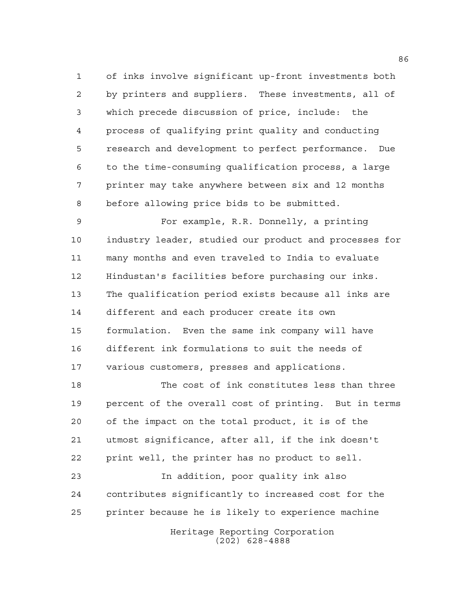of inks involve significant up-front investments both by printers and suppliers. These investments, all of which precede discussion of price, include: the process of qualifying print quality and conducting research and development to perfect performance. Due to the time-consuming qualification process, a large printer may take anywhere between six and 12 months before allowing price bids to be submitted.

 For example, R.R. Donnelly, a printing industry leader, studied our product and processes for many months and even traveled to India to evaluate Hindustan's facilities before purchasing our inks. The qualification period exists because all inks are different and each producer create its own formulation. Even the same ink company will have different ink formulations to suit the needs of various customers, presses and applications.

 The cost of ink constitutes less than three percent of the overall cost of printing. But in terms of the impact on the total product, it is of the utmost significance, after all, if the ink doesn't print well, the printer has no product to sell.

 In addition, poor quality ink also contributes significantly to increased cost for the printer because he is likely to experience machine

> Heritage Reporting Corporation (202) 628-4888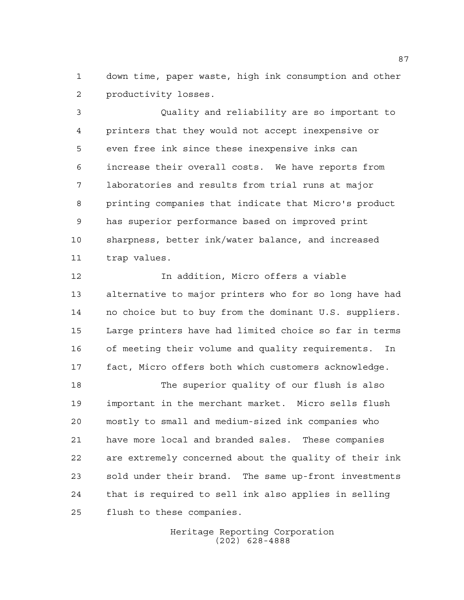down time, paper waste, high ink consumption and other productivity losses.

 Quality and reliability are so important to printers that they would not accept inexpensive or even free ink since these inexpensive inks can increase their overall costs. We have reports from laboratories and results from trial runs at major printing companies that indicate that Micro's product has superior performance based on improved print sharpness, better ink/water balance, and increased trap values.

 In addition, Micro offers a viable alternative to major printers who for so long have had no choice but to buy from the dominant U.S. suppliers. Large printers have had limited choice so far in terms of meeting their volume and quality requirements. In fact, Micro offers both which customers acknowledge.

 The superior quality of our flush is also important in the merchant market. Micro sells flush mostly to small and medium-sized ink companies who have more local and branded sales. These companies are extremely concerned about the quality of their ink sold under their brand. The same up-front investments that is required to sell ink also applies in selling flush to these companies.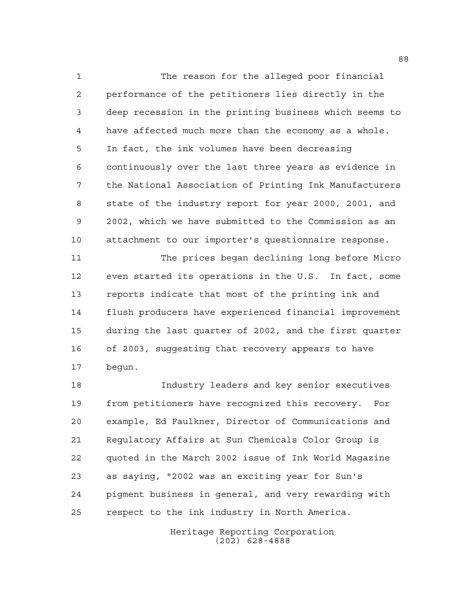The reason for the alleged poor financial performance of the petitioners lies directly in the deep recession in the printing business which seems to have affected much more than the economy as a whole. In fact, the ink volumes have been decreasing continuously over the last three years as evidence in the National Association of Printing Ink Manufacturers state of the industry report for year 2000, 2001, and 2002, which we have submitted to the Commission as an attachment to our importer's questionnaire response.

 The prices began declining long before Micro even started its operations in the U.S. In fact, some reports indicate that most of the printing ink and flush producers have experienced financial improvement during the last quarter of 2002, and the first quarter of 2003, suggesting that recovery appears to have begun.

 Industry leaders and key senior executives from petitioners have recognized this recovery. For example, Ed Faulkner, Director of Communications and Regulatory Affairs at Sun Chemicals Color Group is quoted in the March 2002 issue of Ink World Magazine as saying, "2002 was an exciting year for Sun's pigment business in general, and very rewarding with respect to the ink industry in North America.

> Heritage Reporting Corporation (202) 628-4888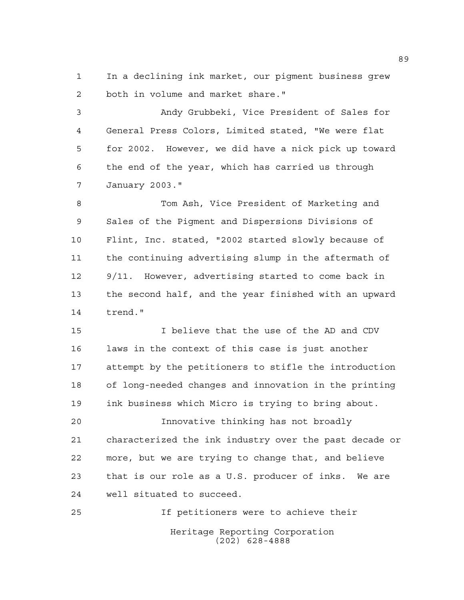In a declining ink market, our pigment business grew both in volume and market share."

 Andy Grubbeki, Vice President of Sales for General Press Colors, Limited stated, "We were flat for 2002. However, we did have a nick pick up toward the end of the year, which has carried us through January 2003."

 Tom Ash, Vice President of Marketing and Sales of the Pigment and Dispersions Divisions of Flint, Inc. stated, "2002 started slowly because of the continuing advertising slump in the aftermath of 9/11. However, advertising started to come back in the second half, and the year finished with an upward trend."

 I believe that the use of the AD and CDV laws in the context of this case is just another attempt by the petitioners to stifle the introduction of long-needed changes and innovation in the printing ink business which Micro is trying to bring about.

 Innovative thinking has not broadly characterized the ink industry over the past decade or more, but we are trying to change that, and believe that is our role as a U.S. producer of inks. We are well situated to succeed.

Heritage Reporting Corporation (202) 628-4888 If petitioners were to achieve their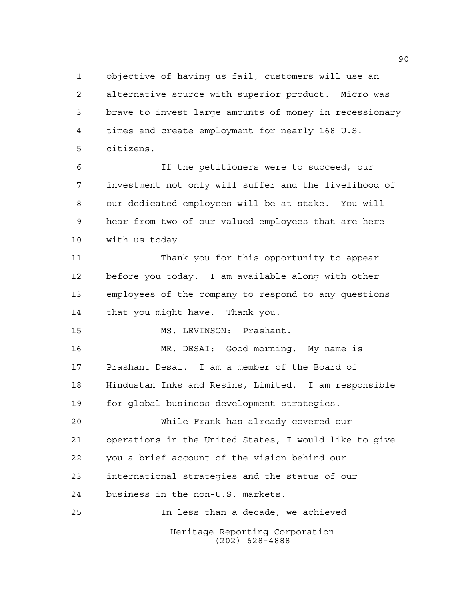objective of having us fail, customers will use an alternative source with superior product. Micro was brave to invest large amounts of money in recessionary times and create employment for nearly 168 U.S. citizens.

 If the petitioners were to succeed, our investment not only will suffer and the livelihood of our dedicated employees will be at stake. You will hear from two of our valued employees that are here with us today.

 Thank you for this opportunity to appear before you today. I am available along with other employees of the company to respond to any questions that you might have. Thank you.

MS. LEVINSON: Prashant.

 MR. DESAI: Good morning. My name is Prashant Desai. I am a member of the Board of Hindustan Inks and Resins, Limited. I am responsible for global business development strategies.

 While Frank has already covered our operations in the United States, I would like to give you a brief account of the vision behind our international strategies and the status of our business in the non-U.S. markets.

Heritage Reporting Corporation (202) 628-4888 In less than a decade, we achieved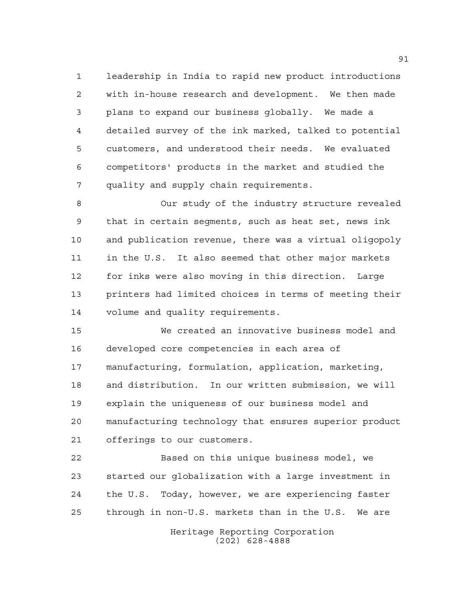leadership in India to rapid new product introductions with in-house research and development. We then made plans to expand our business globally. We made a detailed survey of the ink marked, talked to potential customers, and understood their needs. We evaluated competitors' products in the market and studied the quality and supply chain requirements.

 Our study of the industry structure revealed that in certain segments, such as heat set, news ink and publication revenue, there was a virtual oligopoly in the U.S. It also seemed that other major markets for inks were also moving in this direction. Large printers had limited choices in terms of meeting their volume and quality requirements.

 We created an innovative business model and developed core competencies in each area of manufacturing, formulation, application, marketing, and distribution. In our written submission, we will explain the uniqueness of our business model and manufacturing technology that ensures superior product offerings to our customers.

 Based on this unique business model, we started our globalization with a large investment in the U.S. Today, however, we are experiencing faster through in non-U.S. markets than in the U.S. We are

> Heritage Reporting Corporation (202) 628-4888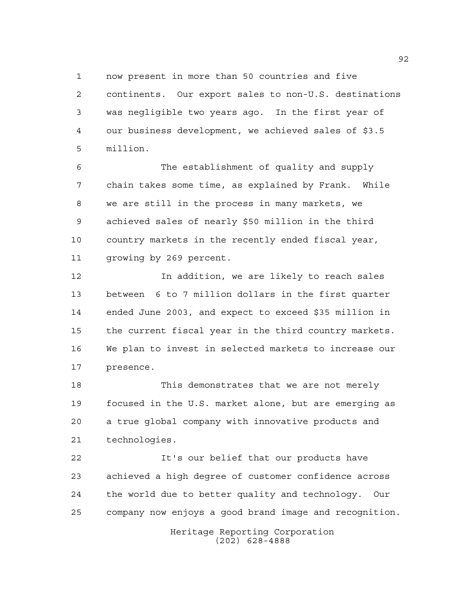now present in more than 50 countries and five continents. Our export sales to non-U.S. destinations was negligible two years ago. In the first year of our business development, we achieved sales of \$3.5 million.

 The establishment of quality and supply chain takes some time, as explained by Frank. While we are still in the process in many markets, we achieved sales of nearly \$50 million in the third country markets in the recently ended fiscal year, growing by 269 percent.

 In addition, we are likely to reach sales between 6 to 7 million dollars in the first quarter ended June 2003, and expect to exceed \$35 million in the current fiscal year in the third country markets. We plan to invest in selected markets to increase our presence.

 This demonstrates that we are not merely focused in the U.S. market alone, but are emerging as a true global company with innovative products and technologies.

 It's our belief that our products have achieved a high degree of customer confidence across the world due to better quality and technology. Our company now enjoys a good brand image and recognition.

> Heritage Reporting Corporation (202) 628-4888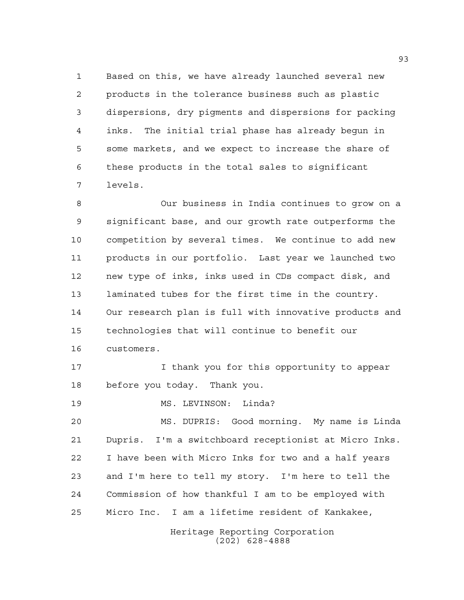Based on this, we have already launched several new products in the tolerance business such as plastic dispersions, dry pigments and dispersions for packing inks. The initial trial phase has already begun in some markets, and we expect to increase the share of these products in the total sales to significant levels.

 Our business in India continues to grow on a significant base, and our growth rate outperforms the competition by several times. We continue to add new products in our portfolio. Last year we launched two new type of inks, inks used in CDs compact disk, and laminated tubes for the first time in the country. Our research plan is full with innovative products and technologies that will continue to benefit our customers.

 I thank you for this opportunity to appear before you today. Thank you.

19 MS. LEVINSON: Linda?

 MS. DUPRIS: Good morning. My name is Linda Dupris. I'm a switchboard receptionist at Micro Inks. I have been with Micro Inks for two and a half years and I'm here to tell my story. I'm here to tell the Commission of how thankful I am to be employed with Micro Inc. I am a lifetime resident of Kankakee,

> Heritage Reporting Corporation (202) 628-4888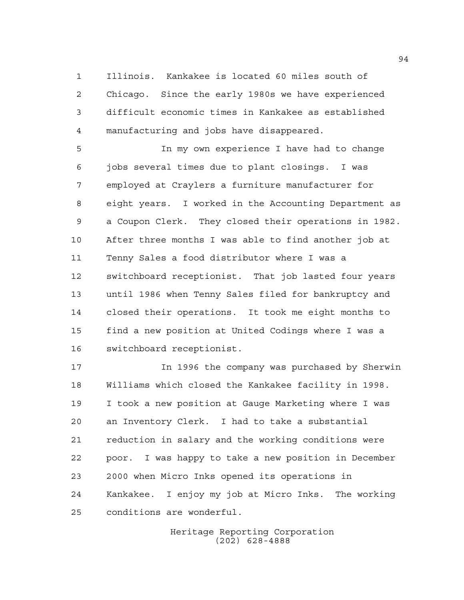Illinois. Kankakee is located 60 miles south of Chicago. Since the early 1980s we have experienced difficult economic times in Kankakee as established manufacturing and jobs have disappeared.

 In my own experience I have had to change jobs several times due to plant closings. I was employed at Craylers a furniture manufacturer for eight years. I worked in the Accounting Department as a Coupon Clerk. They closed their operations in 1982. After three months I was able to find another job at Tenny Sales a food distributor where I was a switchboard receptionist. That job lasted four years until 1986 when Tenny Sales filed for bankruptcy and closed their operations. It took me eight months to find a new position at United Codings where I was a switchboard receptionist.

 In 1996 the company was purchased by Sherwin Williams which closed the Kankakee facility in 1998. I took a new position at Gauge Marketing where I was an Inventory Clerk. I had to take a substantial reduction in salary and the working conditions were poor. I was happy to take a new position in December 2000 when Micro Inks opened its operations in Kankakee. I enjoy my job at Micro Inks. The working conditions are wonderful.

> Heritage Reporting Corporation (202) 628-4888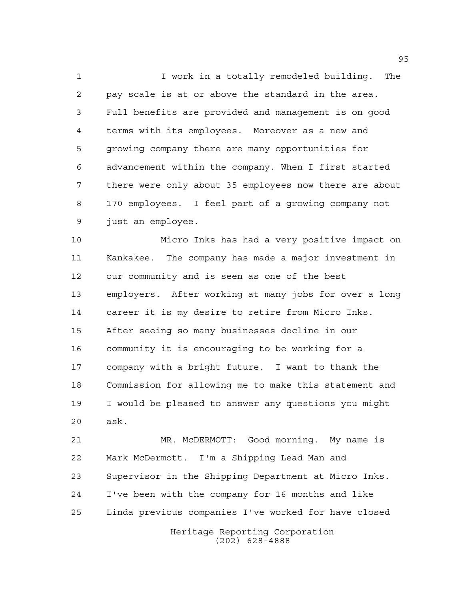I work in a totally remodeled building. The pay scale is at or above the standard in the area. Full benefits are provided and management is on good terms with its employees. Moreover as a new and growing company there are many opportunities for advancement within the company. When I first started there were only about 35 employees now there are about 170 employees. I feel part of a growing company not just an employee.

 Micro Inks has had a very positive impact on Kankakee. The company has made a major investment in our community and is seen as one of the best employers. After working at many jobs for over a long career it is my desire to retire from Micro Inks. After seeing so many businesses decline in our community it is encouraging to be working for a company with a bright future. I want to thank the Commission for allowing me to make this statement and I would be pleased to answer any questions you might ask.

 MR. McDERMOTT: Good morning. My name is Mark McDermott. I'm a Shipping Lead Man and Supervisor in the Shipping Department at Micro Inks. I've been with the company for 16 months and like Linda previous companies I've worked for have closed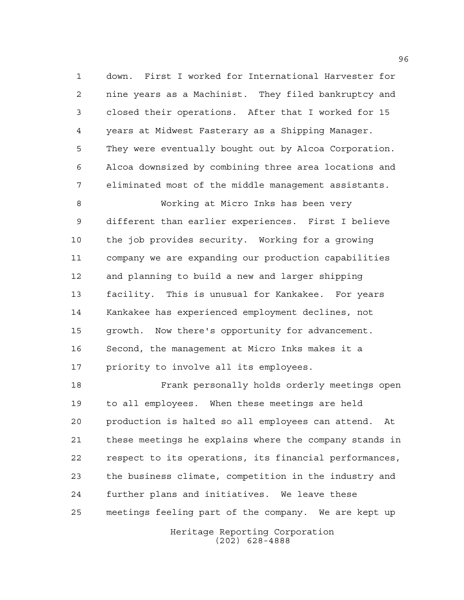down. First I worked for International Harvester for nine years as a Machinist. They filed bankruptcy and closed their operations. After that I worked for 15 years at Midwest Fasterary as a Shipping Manager. They were eventually bought out by Alcoa Corporation. Alcoa downsized by combining three area locations and eliminated most of the middle management assistants.

 Working at Micro Inks has been very different than earlier experiences. First I believe the job provides security. Working for a growing company we are expanding our production capabilities and planning to build a new and larger shipping facility. This is unusual for Kankakee. For years Kankakee has experienced employment declines, not growth. Now there's opportunity for advancement. Second, the management at Micro Inks makes it a priority to involve all its employees.

 Frank personally holds orderly meetings open to all employees. When these meetings are held production is halted so all employees can attend. At these meetings he explains where the company stands in respect to its operations, its financial performances, the business climate, competition in the industry and further plans and initiatives. We leave these meetings feeling part of the company. We are kept up

> Heritage Reporting Corporation (202) 628-4888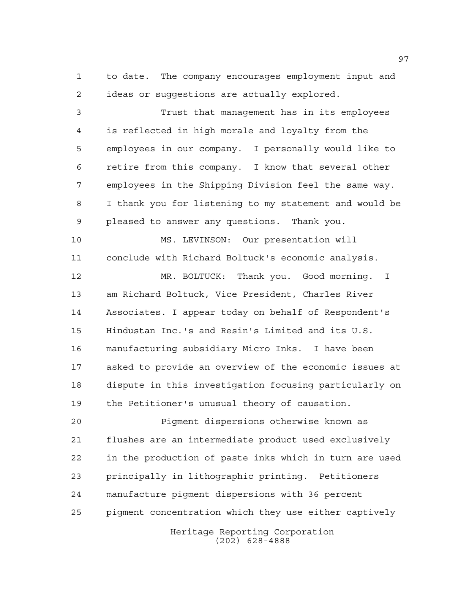to date. The company encourages employment input and ideas or suggestions are actually explored.

 Trust that management has in its employees is reflected in high morale and loyalty from the employees in our company. I personally would like to retire from this company. I know that several other employees in the Shipping Division feel the same way. I thank you for listening to my statement and would be pleased to answer any questions. Thank you.

 MS. LEVINSON: Our presentation will conclude with Richard Boltuck's economic analysis.

 MR. BOLTUCK: Thank you. Good morning. I am Richard Boltuck, Vice President, Charles River Associates. I appear today on behalf of Respondent's Hindustan Inc.'s and Resin's Limited and its U.S. manufacturing subsidiary Micro Inks. I have been asked to provide an overview of the economic issues at dispute in this investigation focusing particularly on the Petitioner's unusual theory of causation.

 Pigment dispersions otherwise known as flushes are an intermediate product used exclusively in the production of paste inks which in turn are used principally in lithographic printing. Petitioners manufacture pigment dispersions with 36 percent pigment concentration which they use either captively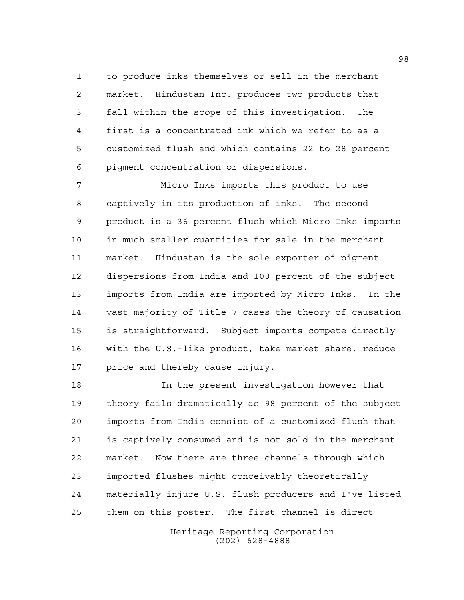to produce inks themselves or sell in the merchant market. Hindustan Inc. produces two products that fall within the scope of this investigation. The first is a concentrated ink which we refer to as a customized flush and which contains 22 to 28 percent pigment concentration or dispersions.

 Micro Inks imports this product to use captively in its production of inks. The second product is a 36 percent flush which Micro Inks imports in much smaller quantities for sale in the merchant market. Hindustan is the sole exporter of pigment dispersions from India and 100 percent of the subject imports from India are imported by Micro Inks. In the vast majority of Title 7 cases the theory of causation is straightforward. Subject imports compete directly with the U.S.-like product, take market share, reduce price and thereby cause injury.

 In the present investigation however that theory fails dramatically as 98 percent of the subject imports from India consist of a customized flush that is captively consumed and is not sold in the merchant market. Now there are three channels through which imported flushes might conceivably theoretically materially injure U.S. flush producers and I've listed them on this poster. The first channel is direct

> Heritage Reporting Corporation (202) 628-4888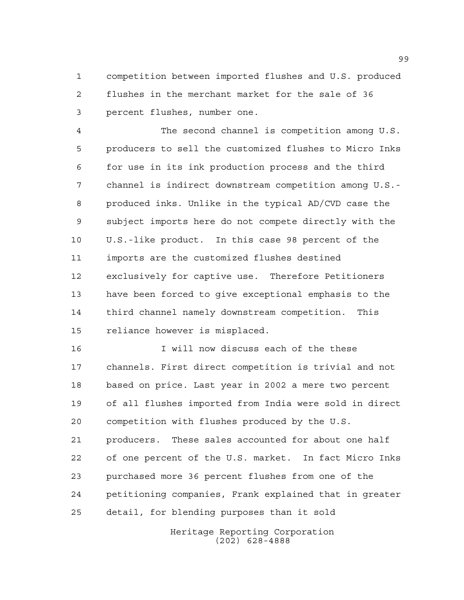competition between imported flushes and U.S. produced flushes in the merchant market for the sale of 36 percent flushes, number one.

 The second channel is competition among U.S. producers to sell the customized flushes to Micro Inks for use in its ink production process and the third channel is indirect downstream competition among U.S.- produced inks. Unlike in the typical AD/CVD case the subject imports here do not compete directly with the U.S.-like product. In this case 98 percent of the imports are the customized flushes destined exclusively for captive use. Therefore Petitioners have been forced to give exceptional emphasis to the third channel namely downstream competition. This reliance however is misplaced.

 I will now discuss each of the these channels. First direct competition is trivial and not based on price. Last year in 2002 a mere two percent of all flushes imported from India were sold in direct competition with flushes produced by the U.S. producers. These sales accounted for about one half of one percent of the U.S. market. In fact Micro Inks purchased more 36 percent flushes from one of the petitioning companies, Frank explained that in greater detail, for blending purposes than it sold

> Heritage Reporting Corporation (202) 628-4888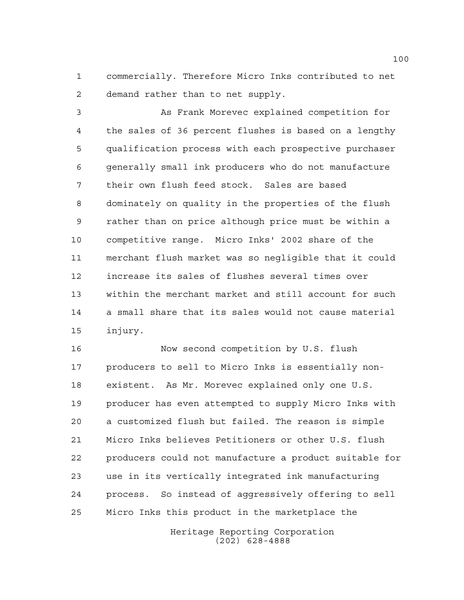commercially. Therefore Micro Inks contributed to net demand rather than to net supply.

 As Frank Morevec explained competition for the sales of 36 percent flushes is based on a lengthy qualification process with each prospective purchaser generally small ink producers who do not manufacture their own flush feed stock. Sales are based dominately on quality in the properties of the flush rather than on price although price must be within a competitive range. Micro Inks' 2002 share of the merchant flush market was so negligible that it could increase its sales of flushes several times over within the merchant market and still account for such a small share that its sales would not cause material injury.

 Now second competition by U.S. flush producers to sell to Micro Inks is essentially non- existent. As Mr. Morevec explained only one U.S. producer has even attempted to supply Micro Inks with a customized flush but failed. The reason is simple Micro Inks believes Petitioners or other U.S. flush producers could not manufacture a product suitable for use in its vertically integrated ink manufacturing process. So instead of aggressively offering to sell Micro Inks this product in the marketplace the

> Heritage Reporting Corporation (202) 628-4888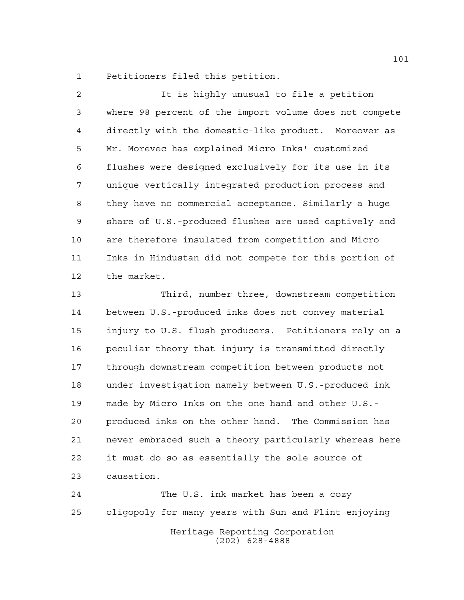Petitioners filed this petition.

 It is highly unusual to file a petition where 98 percent of the import volume does not compete directly with the domestic-like product. Moreover as Mr. Morevec has explained Micro Inks' customized flushes were designed exclusively for its use in its unique vertically integrated production process and they have no commercial acceptance. Similarly a huge share of U.S.-produced flushes are used captively and are therefore insulated from competition and Micro Inks in Hindustan did not compete for this portion of the market.

 Third, number three, downstream competition between U.S.-produced inks does not convey material injury to U.S. flush producers. Petitioners rely on a peculiar theory that injury is transmitted directly through downstream competition between products not under investigation namely between U.S.-produced ink made by Micro Inks on the one hand and other U.S.- produced inks on the other hand. The Commission has never embraced such a theory particularly whereas here it must do so as essentially the sole source of causation.

 The U.S. ink market has been a cozy oligopoly for many years with Sun and Flint enjoying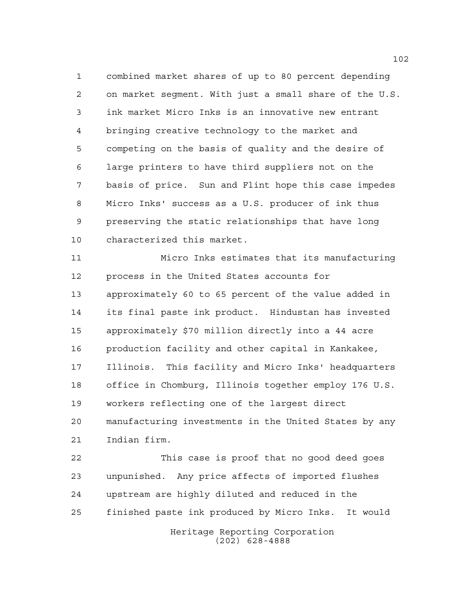combined market shares of up to 80 percent depending on market segment. With just a small share of the U.S. ink market Micro Inks is an innovative new entrant bringing creative technology to the market and competing on the basis of quality and the desire of large printers to have third suppliers not on the basis of price. Sun and Flint hope this case impedes Micro Inks' success as a U.S. producer of ink thus preserving the static relationships that have long characterized this market.

 Micro Inks estimates that its manufacturing process in the United States accounts for approximately 60 to 65 percent of the value added in its final paste ink product. Hindustan has invested approximately \$70 million directly into a 44 acre production facility and other capital in Kankakee, Illinois. This facility and Micro Inks' headquarters office in Chomburg, Illinois together employ 176 U.S. workers reflecting one of the largest direct manufacturing investments in the United States by any Indian firm.

Heritage Reporting Corporation This case is proof that no good deed goes unpunished. Any price affects of imported flushes upstream are highly diluted and reduced in the finished paste ink produced by Micro Inks. It would

(202) 628-4888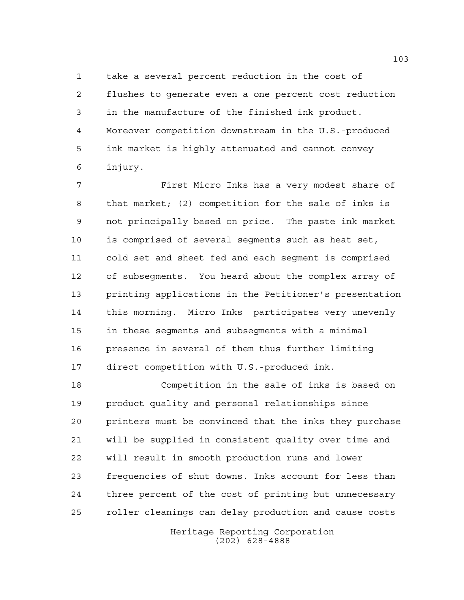take a several percent reduction in the cost of flushes to generate even a one percent cost reduction in the manufacture of the finished ink product. Moreover competition downstream in the U.S.-produced ink market is highly attenuated and cannot convey injury.

 First Micro Inks has a very modest share of that market; (2) competition for the sale of inks is not principally based on price. The paste ink market is comprised of several segments such as heat set, cold set and sheet fed and each segment is comprised of subsegments. You heard about the complex array of printing applications in the Petitioner's presentation this morning. Micro Inks participates very unevenly in these segments and subsegments with a minimal presence in several of them thus further limiting direct competition with U.S.-produced ink.

 Competition in the sale of inks is based on product quality and personal relationships since printers must be convinced that the inks they purchase will be supplied in consistent quality over time and will result in smooth production runs and lower frequencies of shut downs. Inks account for less than three percent of the cost of printing but unnecessary roller cleanings can delay production and cause costs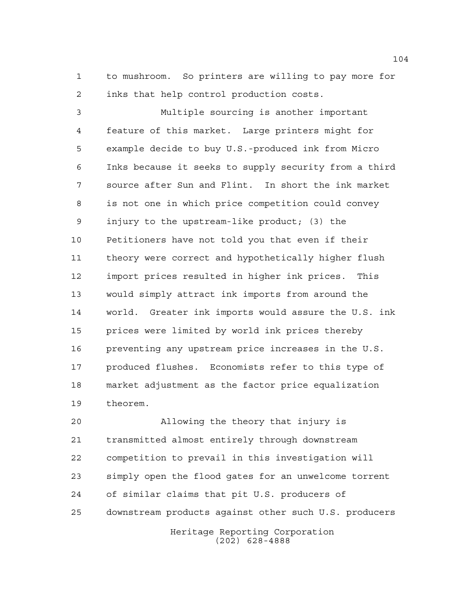to mushroom. So printers are willing to pay more for inks that help control production costs.

 Multiple sourcing is another important feature of this market. Large printers might for example decide to buy U.S.-produced ink from Micro Inks because it seeks to supply security from a third source after Sun and Flint. In short the ink market is not one in which price competition could convey injury to the upstream-like product; (3) the Petitioners have not told you that even if their theory were correct and hypothetically higher flush import prices resulted in higher ink prices. This would simply attract ink imports from around the world. Greater ink imports would assure the U.S. ink prices were limited by world ink prices thereby preventing any upstream price increases in the U.S. produced flushes. Economists refer to this type of market adjustment as the factor price equalization theorem.

 Allowing the theory that injury is transmitted almost entirely through downstream competition to prevail in this investigation will simply open the flood gates for an unwelcome torrent of similar claims that pit U.S. producers of downstream products against other such U.S. producers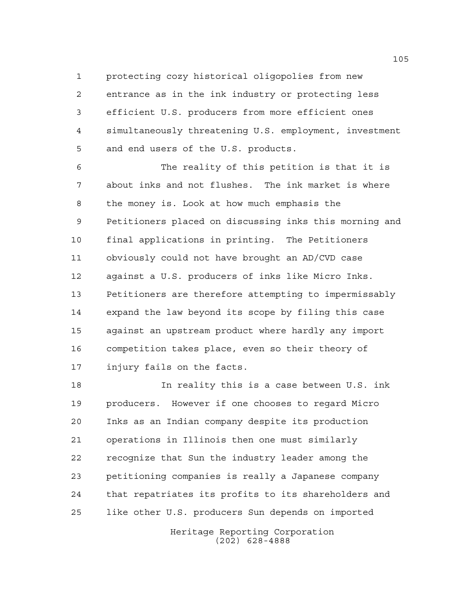protecting cozy historical oligopolies from new entrance as in the ink industry or protecting less efficient U.S. producers from more efficient ones simultaneously threatening U.S. employment, investment and end users of the U.S. products.

 The reality of this petition is that it is about inks and not flushes. The ink market is where the money is. Look at how much emphasis the Petitioners placed on discussing inks this morning and final applications in printing. The Petitioners obviously could not have brought an AD/CVD case against a U.S. producers of inks like Micro Inks. Petitioners are therefore attempting to impermissably expand the law beyond its scope by filing this case against an upstream product where hardly any import competition takes place, even so their theory of injury fails on the facts.

 In reality this is a case between U.S. ink producers. However if one chooses to regard Micro Inks as an Indian company despite its production operations in Illinois then one must similarly recognize that Sun the industry leader among the petitioning companies is really a Japanese company that repatriates its profits to its shareholders and like other U.S. producers Sun depends on imported

> Heritage Reporting Corporation (202) 628-4888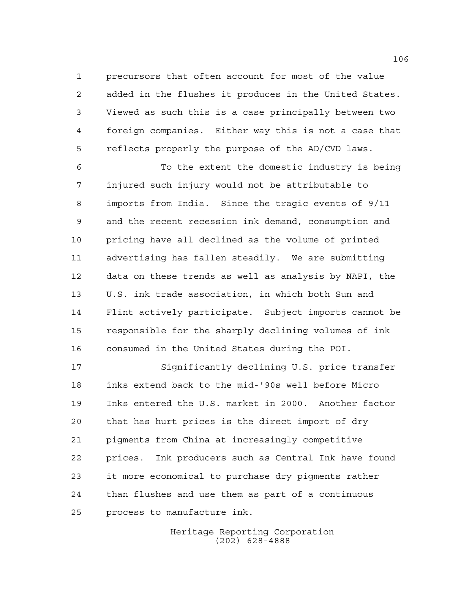precursors that often account for most of the value added in the flushes it produces in the United States. Viewed as such this is a case principally between two foreign companies. Either way this is not a case that reflects properly the purpose of the AD/CVD laws.

 To the extent the domestic industry is being injured such injury would not be attributable to imports from India. Since the tragic events of 9/11 and the recent recession ink demand, consumption and pricing have all declined as the volume of printed advertising has fallen steadily. We are submitting data on these trends as well as analysis by NAPI, the U.S. ink trade association, in which both Sun and Flint actively participate. Subject imports cannot be responsible for the sharply declining volumes of ink consumed in the United States during the POI.

 Significantly declining U.S. price transfer inks extend back to the mid-'90s well before Micro Inks entered the U.S. market in 2000. Another factor that has hurt prices is the direct import of dry pigments from China at increasingly competitive prices. Ink producers such as Central Ink have found it more economical to purchase dry pigments rather than flushes and use them as part of a continuous process to manufacture ink.

> Heritage Reporting Corporation (202) 628-4888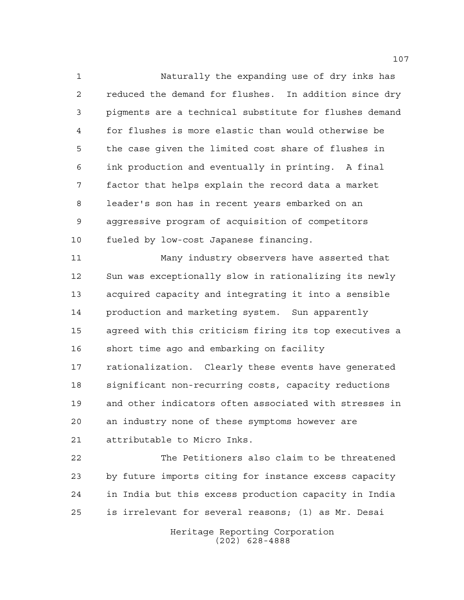Naturally the expanding use of dry inks has reduced the demand for flushes. In addition since dry pigments are a technical substitute for flushes demand for flushes is more elastic than would otherwise be the case given the limited cost share of flushes in ink production and eventually in printing. A final factor that helps explain the record data a market leader's son has in recent years embarked on an aggressive program of acquisition of competitors fueled by low-cost Japanese financing.

 Many industry observers have asserted that Sun was exceptionally slow in rationalizing its newly acquired capacity and integrating it into a sensible production and marketing system. Sun apparently agreed with this criticism firing its top executives a short time ago and embarking on facility rationalization. Clearly these events have generated significant non-recurring costs, capacity reductions and other indicators often associated with stresses in an industry none of these symptoms however are attributable to Micro Inks.

 The Petitioners also claim to be threatened by future imports citing for instance excess capacity in India but this excess production capacity in India is irrelevant for several reasons; (1) as Mr. Desai

> Heritage Reporting Corporation (202) 628-4888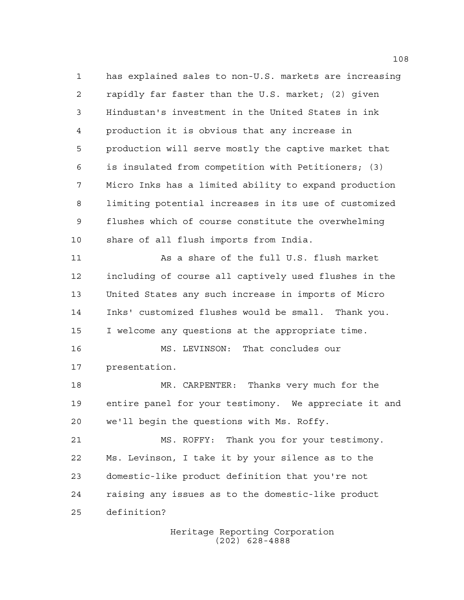has explained sales to non-U.S. markets are increasing rapidly far faster than the U.S. market; (2) given Hindustan's investment in the United States in ink production it is obvious that any increase in production will serve mostly the captive market that is insulated from competition with Petitioners; (3) Micro Inks has a limited ability to expand production limiting potential increases in its use of customized flushes which of course constitute the overwhelming share of all flush imports from India. As a share of the full U.S. flush market including of course all captively used flushes in the United States any such increase in imports of Micro Inks' customized flushes would be small. Thank you. I welcome any questions at the appropriate time. MS. LEVINSON: That concludes our presentation. MR. CARPENTER: Thanks very much for the entire panel for your testimony. We appreciate it and we'll begin the questions with Ms. Roffy. MS. ROFFY: Thank you for your testimony. Ms. Levinson, I take it by your silence as to the domestic-like product definition that you're not

raising any issues as to the domestic-like product

definition?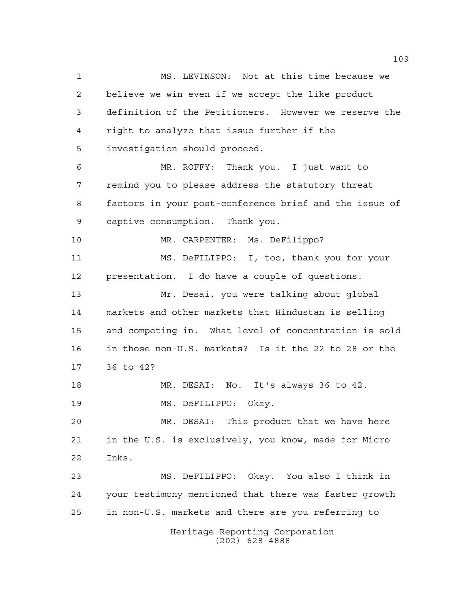Heritage Reporting Corporation (202) 628-4888 MS. LEVINSON: Not at this time because we believe we win even if we accept the like product definition of the Petitioners. However we reserve the right to analyze that issue further if the investigation should proceed. MR. ROFFY: Thank you. I just want to remind you to please address the statutory threat factors in your post-conference brief and the issue of captive consumption. Thank you. MR. CARPENTER: Ms. DeFilippo? MS. DeFILIPPO: I, too, thank you for your presentation. I do have a couple of questions. Mr. Desai, you were talking about global markets and other markets that Hindustan is selling and competing in. What level of concentration is sold in those non-U.S. markets? Is it the 22 to 28 or the 36 to 42? MR. DESAI: No. It's always 36 to 42. MS. DeFILIPPO: Okay. MR. DESAI: This product that we have here in the U.S. is exclusively, you know, made for Micro Inks. MS. DeFILIPPO: Okay. You also I think in your testimony mentioned that there was faster growth in non-U.S. markets and there are you referring to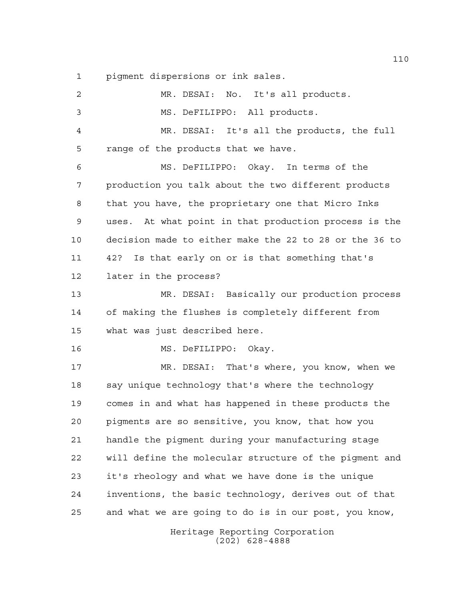pigment dispersions or ink sales.

| $\overline{c}$ | MR. DESAI: No. It's all products.                      |
|----------------|--------------------------------------------------------|
| 3              | MS. DeFILIPPO: All products.                           |
| 4              | MR. DESAI: It's all the products, the full             |
| 5              | range of the products that we have.                    |
| 6              | MS. DeFILIPPO: Okay. In terms of the                   |
| 7              | production you talk about the two different products   |
| 8              | that you have, the proprietary one that Micro Inks     |
| 9              | uses. At what point in that production process is the  |
| 10             | decision made to either make the 22 to 28 or the 36 to |
| 11             | Is that early on or is that something that's<br>42?    |
| 12             | later in the process?                                  |
| 13             | MR. DESAI: Basically our production process            |
| 14             | of making the flushes is completely different from     |
| 15             | what was just described here.                          |
| 16             | MS. DeFILIPPO: Okay.                                   |
| 17             | MR. DESAI: That's where, you know, when we             |
| 18             | say unique technology that's where the technology      |
| 19             | comes in and what has happened in these products the   |
| 20             | pigments are so sensitive, you know, that how you      |
| 21             | handle the pigment during your manufacturing stage     |
| 22             | will define the molecular structure of the pigment and |
| 23             | it's rheology and what we have done is the unique      |
| 24             | inventions, the basic technology, derives out of that  |
| 25             | and what we are going to do is in our post, you know,  |
|                |                                                        |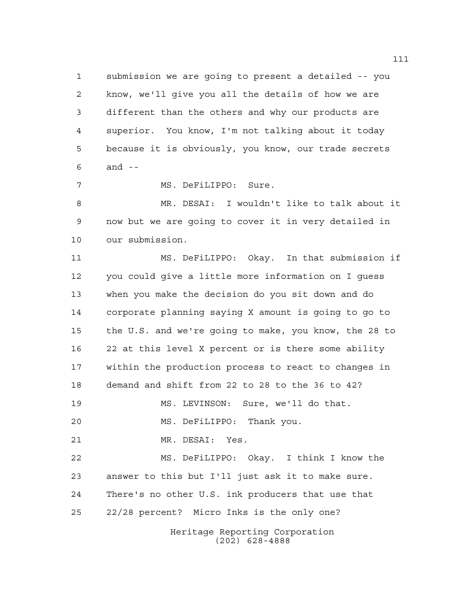submission we are going to present a detailed -- you know, we'll give you all the details of how we are different than the others and why our products are superior. You know, I'm not talking about it today because it is obviously, you know, our trade secrets and --

MS. DeFiLIPPO: Sure.

 MR. DESAI: I wouldn't like to talk about it now but we are going to cover it in very detailed in our submission.

Heritage Reporting Corporation (202) 628-4888 MS. DeFiLIPPO: Okay. In that submission if you could give a little more information on I guess when you make the decision do you sit down and do corporate planning saying X amount is going to go to the U.S. and we're going to make, you know, the 28 to 22 at this level X percent or is there some ability within the production process to react to changes in demand and shift from 22 to 28 to the 36 to 42? MS. LEVINSON: Sure, we'll do that. MS. DeFiLIPPO: Thank you. MR. DESAI: Yes. MS. DeFiLIPPO: Okay. I think I know the answer to this but I'll just ask it to make sure. There's no other U.S. ink producers that use that 22/28 percent? Micro Inks is the only one?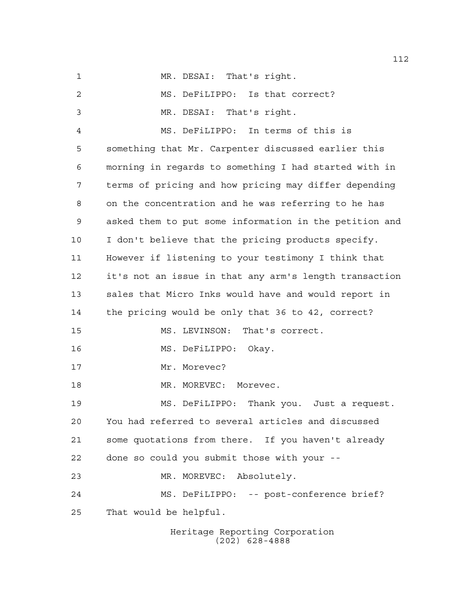Heritage Reporting Corporation MS. DeFiLIPPO: Is that correct? MR. DESAI: That's right. MS. DeFiLIPPO: In terms of this is something that Mr. Carpenter discussed earlier this morning in regards to something I had started with in terms of pricing and how pricing may differ depending on the concentration and he was referring to he has asked them to put some information in the petition and I don't believe that the pricing products specify. However if listening to your testimony I think that it's not an issue in that any arm's length transaction sales that Micro Inks would have and would report in the pricing would be only that 36 to 42, correct? MS. LEVINSON: That's correct. MS. DeFiLIPPO: Okay. 17 Mr. Morevec? 18 MR. MOREVEC: Morevec. MS. DeFiLIPPO: Thank you. Just a request. You had referred to several articles and discussed some quotations from there. If you haven't already done so could you submit those with your -- MR. MOREVEC: Absolutely. MS. DeFiLIPPO: -- post-conference brief? That would be helpful.

MR. DESAI: That's right.

(202) 628-4888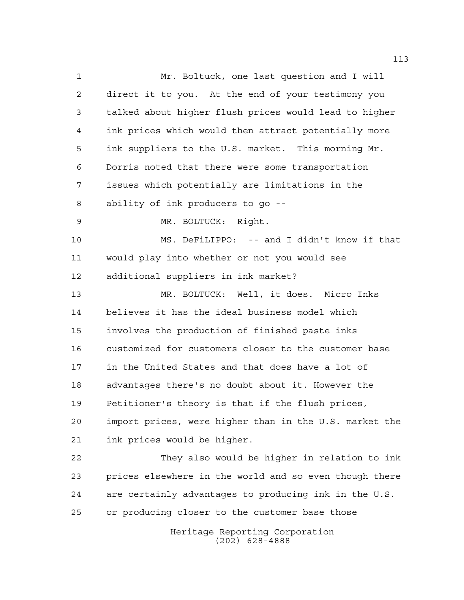Heritage Reporting Corporation Mr. Boltuck, one last question and I will direct it to you. At the end of your testimony you talked about higher flush prices would lead to higher ink prices which would then attract potentially more ink suppliers to the U.S. market. This morning Mr. Dorris noted that there were some transportation issues which potentially are limitations in the ability of ink producers to go -- MR. BOLTUCK: Right. MS. DeFiLIPPO: -- and I didn't know if that would play into whether or not you would see additional suppliers in ink market? MR. BOLTUCK: Well, it does. Micro Inks believes it has the ideal business model which involves the production of finished paste inks customized for customers closer to the customer base in the United States and that does have a lot of advantages there's no doubt about it. However the Petitioner's theory is that if the flush prices, import prices, were higher than in the U.S. market the ink prices would be higher. They also would be higher in relation to ink prices elsewhere in the world and so even though there are certainly advantages to producing ink in the U.S. or producing closer to the customer base those

(202) 628-4888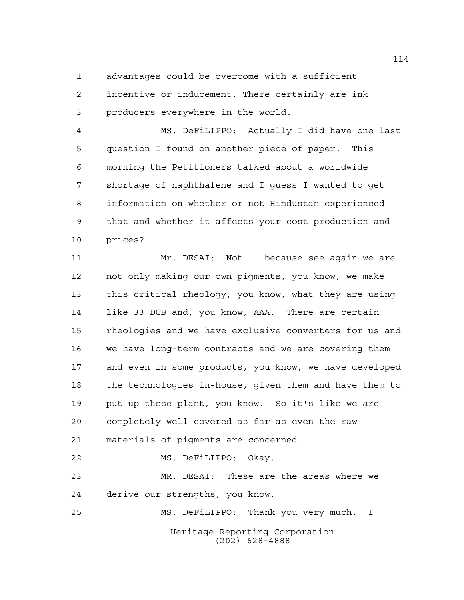advantages could be overcome with a sufficient

 incentive or inducement. There certainly are ink producers everywhere in the world.

 MS. DeFiLIPPO: Actually I did have one last question I found on another piece of paper. This morning the Petitioners talked about a worldwide shortage of naphthalene and I guess I wanted to get information on whether or not Hindustan experienced that and whether it affects your cost production and prices?

 Mr. DESAI: Not -- because see again we are not only making our own pigments, you know, we make this critical rheology, you know, what they are using like 33 DCB and, you know, AAA. There are certain rheologies and we have exclusive converters for us and we have long-term contracts and we are covering them and even in some products, you know, we have developed the technologies in-house, given them and have them to put up these plant, you know. So it's like we are completely well covered as far as even the raw materials of pigments are concerned. MS. DeFiLIPPO: Okay. MR. DESAI: These are the areas where we derive our strengths, you know. MS. DeFiLIPPO: Thank you very much. I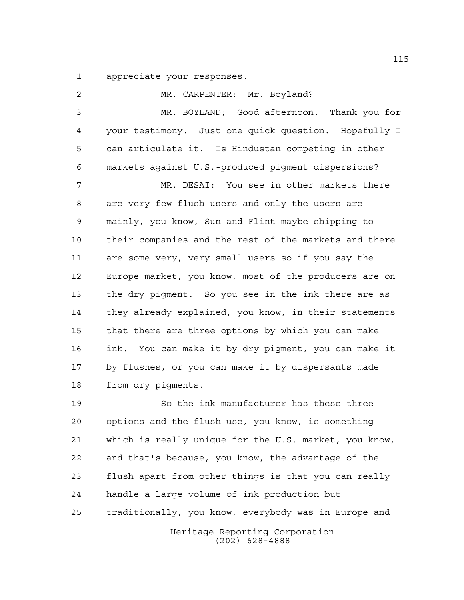appreciate your responses.

2 MR. CARPENTER: Mr. Boyland? MR. BOYLAND; Good afternoon. Thank you for your testimony. Just one quick question. Hopefully I can articulate it. Is Hindustan competing in other markets against U.S.-produced pigment dispersions? MR. DESAI: You see in other markets there are very few flush users and only the users are mainly, you know, Sun and Flint maybe shipping to their companies and the rest of the markets and there are some very, very small users so if you say the Europe market, you know, most of the producers are on the dry pigment. So you see in the ink there are as they already explained, you know, in their statements that there are three options by which you can make ink. You can make it by dry pigment, you can make it by flushes, or you can make it by dispersants made from dry pigments.

 So the ink manufacturer has these three options and the flush use, you know, is something which is really unique for the U.S. market, you know, and that's because, you know, the advantage of the flush apart from other things is that you can really handle a large volume of ink production but traditionally, you know, everybody was in Europe and

Heritage Reporting Corporation (202) 628-4888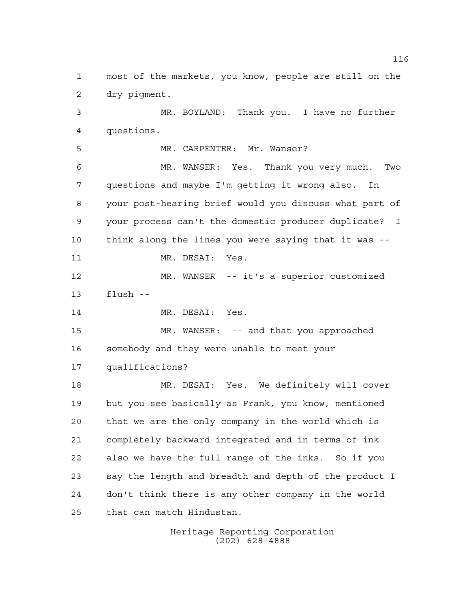most of the markets, you know, people are still on the dry pigment.

 MR. BOYLAND: Thank you. I have no further questions.

MR. CARPENTER: Mr. Wanser?

 MR. WANSER: Yes. Thank you very much. Two questions and maybe I'm getting it wrong also. In your post-hearing brief would you discuss what part of your process can't the domestic producer duplicate? I think along the lines you were saying that it was --

11 MR. DESAI: Yes.

 MR. WANSER -- it's a superior customized flush --

14 MR. DESAI: Yes.

 MR. WANSER: -- and that you approached somebody and they were unable to meet your qualifications?

 MR. DESAI: Yes. We definitely will cover but you see basically as Frank, you know, mentioned that we are the only company in the world which is completely backward integrated and in terms of ink also we have the full range of the inks. So if you say the length and breadth and depth of the product I don't think there is any other company in the world that can match Hindustan.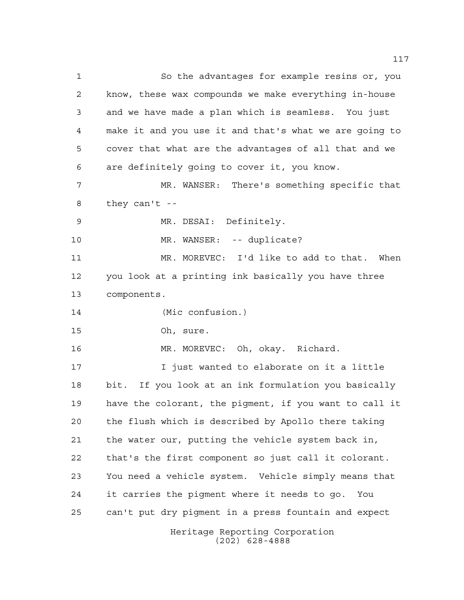Heritage Reporting Corporation So the advantages for example resins or, you know, these wax compounds we make everything in-house and we have made a plan which is seamless. You just make it and you use it and that's what we are going to cover that what are the advantages of all that and we are definitely going to cover it, you know. MR. WANSER: There's something specific that they can't -- MR. DESAI: Definitely. 10 MR. WANSER: -- duplicate? MR. MOREVEC: I'd like to add to that. When you look at a printing ink basically you have three components. (Mic confusion.) Oh, sure. MR. MOREVEC: Oh, okay. Richard. I just wanted to elaborate on it a little bit. If you look at an ink formulation you basically have the colorant, the pigment, if you want to call it the flush which is described by Apollo there taking the water our, putting the vehicle system back in, that's the first component so just call it colorant. You need a vehicle system. Vehicle simply means that it carries the pigment where it needs to go. You can't put dry pigment in a press fountain and expect

(202) 628-4888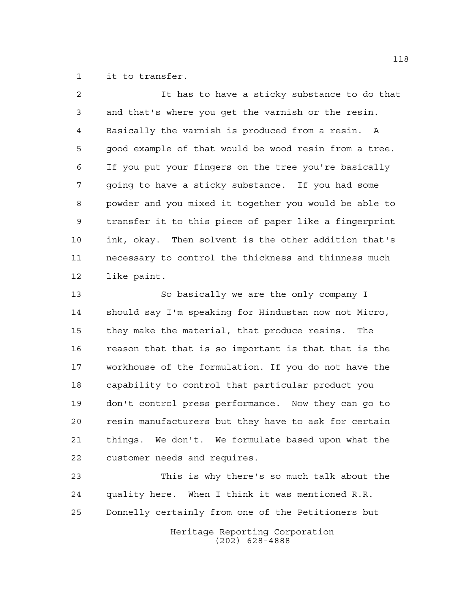it to transfer.

| $\mathcal{L}$ | It has to have a sticky substance to do that          |
|---------------|-------------------------------------------------------|
| 3             | and that's where you get the varnish or the resin.    |
| 4             | Basically the varnish is produced from a resin. A     |
| 5             | good example of that would be wood resin from a tree. |
| 6             | If you put your fingers on the tree you're basically  |
| 7             | going to have a sticky substance. If you had some     |
| 8             | powder and you mixed it together you would be able to |
| 9             | transfer it to this piece of paper like a fingerprint |
| 10            | ink, okay. Then solvent is the other addition that's  |
| 11            | necessary to control the thickness and thinness much  |
| 12            | like paint.                                           |
| 13            | So basically we are the only company I                |
|               |                                                       |

 should say I'm speaking for Hindustan now not Micro, they make the material, that produce resins. The reason that that is so important is that that is the workhouse of the formulation. If you do not have the capability to control that particular product you don't control press performance. Now they can go to resin manufacturers but they have to ask for certain things. We don't. We formulate based upon what the customer needs and requires.

 This is why there's so much talk about the quality here. When I think it was mentioned R.R. Donnelly certainly from one of the Petitioners but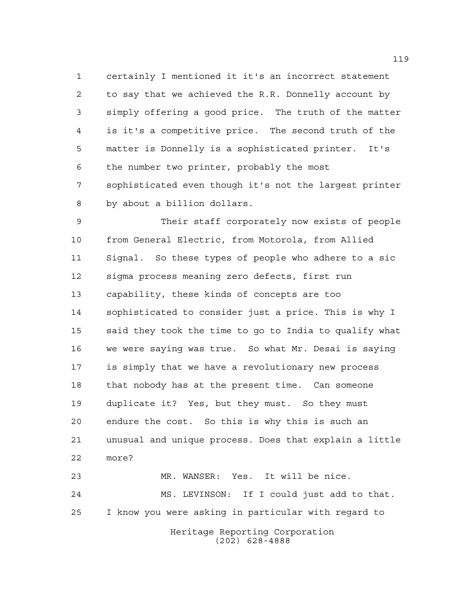certainly I mentioned it it's an incorrect statement to say that we achieved the R.R. Donnelly account by simply offering a good price. The truth of the matter is it's a competitive price. The second truth of the matter is Donnelly is a sophisticated printer. It's the number two printer, probably the most sophisticated even though it's not the largest printer by about a billion dollars.

 Their staff corporately now exists of people from General Electric, from Motorola, from Allied Signal. So these types of people who adhere to a sic sigma process meaning zero defects, first run capability, these kinds of concepts are too sophisticated to consider just a price. This is why I said they took the time to go to India to qualify what we were saying was true. So what Mr. Desai is saying is simply that we have a revolutionary new process that nobody has at the present time. Can someone duplicate it? Yes, but they must. So they must endure the cost. So this is why this is such an unusual and unique process. Does that explain a little more? MR. WANSER: Yes. It will be nice.

 MS. LEVINSON: If I could just add to that. I know you were asking in particular with regard to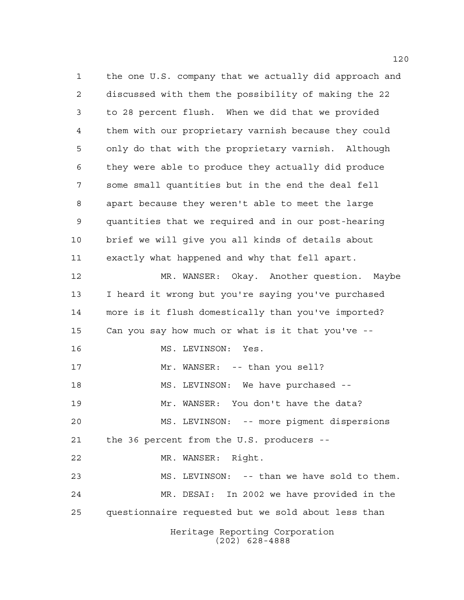Heritage Reporting Corporation (202) 628-4888 the one U.S. company that we actually did approach and discussed with them the possibility of making the 22 to 28 percent flush. When we did that we provided them with our proprietary varnish because they could only do that with the proprietary varnish. Although they were able to produce they actually did produce some small quantities but in the end the deal fell apart because they weren't able to meet the large quantities that we required and in our post-hearing brief we will give you all kinds of details about exactly what happened and why that fell apart. MR. WANSER: Okay. Another question. Maybe I heard it wrong but you're saying you've purchased more is it flush domestically than you've imported? Can you say how much or what is it that you've -- MS. LEVINSON: Yes. 17 Mr. WANSER: -- than you sell? MS. LEVINSON: We have purchased -- Mr. WANSER: You don't have the data? MS. LEVINSON: -- more pigment dispersions the 36 percent from the U.S. producers -- MR. WANSER: Right. MS. LEVINSON: -- than we have sold to them. MR. DESAI: In 2002 we have provided in the questionnaire requested but we sold about less than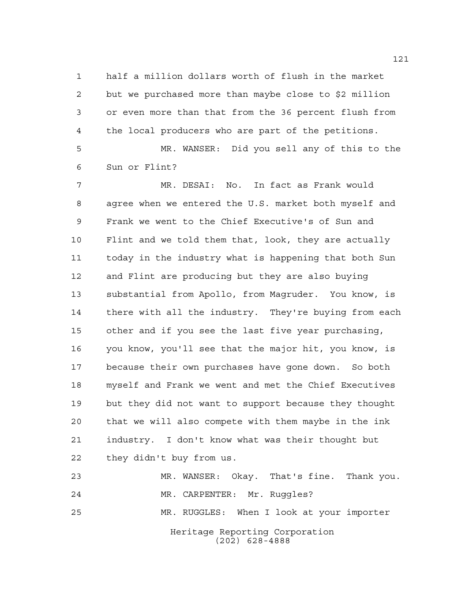half a million dollars worth of flush in the market but we purchased more than maybe close to \$2 million or even more than that from the 36 percent flush from the local producers who are part of the petitions.

 MR. WANSER: Did you sell any of this to the Sun or Flint?

 MR. DESAI: No. In fact as Frank would agree when we entered the U.S. market both myself and Frank we went to the Chief Executive's of Sun and Flint and we told them that, look, they are actually today in the industry what is happening that both Sun and Flint are producing but they are also buying substantial from Apollo, from Magruder. You know, is there with all the industry. They're buying from each other and if you see the last five year purchasing, you know, you'll see that the major hit, you know, is because their own purchases have gone down. So both myself and Frank we went and met the Chief Executives but they did not want to support because they thought that we will also compete with them maybe in the ink industry. I don't know what was their thought but they didn't buy from us.

Heritage Reporting Corporation (202) 628-4888 MR. WANSER: Okay. That's fine. Thank you. MR. CARPENTER: Mr. Ruggles? MR. RUGGLES: When I look at your importer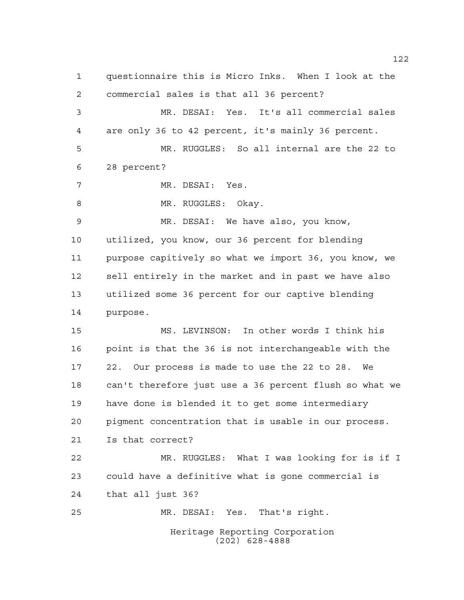Heritage Reporting Corporation (202) 628-4888 questionnaire this is Micro Inks. When I look at the commercial sales is that all 36 percent? MR. DESAI: Yes. It's all commercial sales are only 36 to 42 percent, it's mainly 36 percent. MR. RUGGLES: So all internal are the 22 to 28 percent? MR. DESAI: Yes. 8 MR. RUGGLES: Okay. MR. DESAI: We have also, you know, utilized, you know, our 36 percent for blending purpose capitively so what we import 36, you know, we sell entirely in the market and in past we have also utilized some 36 percent for our captive blending purpose. MS. LEVINSON: In other words I think his point is that the 36 is not interchangeable with the 22. Our process is made to use the 22 to 28. We can't therefore just use a 36 percent flush so what we have done is blended it to get some intermediary pigment concentration that is usable in our process. Is that correct? MR. RUGGLES: What I was looking for is if I could have a definitive what is gone commercial is that all just 36? MR. DESAI: Yes. That's right.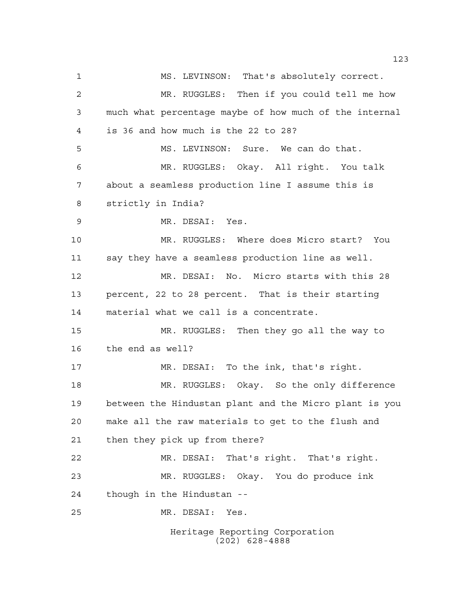Heritage Reporting Corporation MS. LEVINSON: That's absolutely correct. MR. RUGGLES: Then if you could tell me how much what percentage maybe of how much of the internal is 36 and how much is the 22 to 28? MS. LEVINSON: Sure. We can do that. MR. RUGGLES: Okay. All right. You talk about a seamless production line I assume this is strictly in India? MR. DESAI: Yes. MR. RUGGLES: Where does Micro start? You say they have a seamless production line as well. MR. DESAI: No. Micro starts with this 28 percent, 22 to 28 percent. That is their starting material what we call is a concentrate. MR. RUGGLES: Then they go all the way to the end as well? MR. DESAI: To the ink, that's right. MR. RUGGLES: Okay. So the only difference between the Hindustan plant and the Micro plant is you make all the raw materials to get to the flush and then they pick up from there? MR. DESAI: That's right. That's right. MR. RUGGLES: Okay. You do produce ink though in the Hindustan -- MR. DESAI: Yes.

(202) 628-4888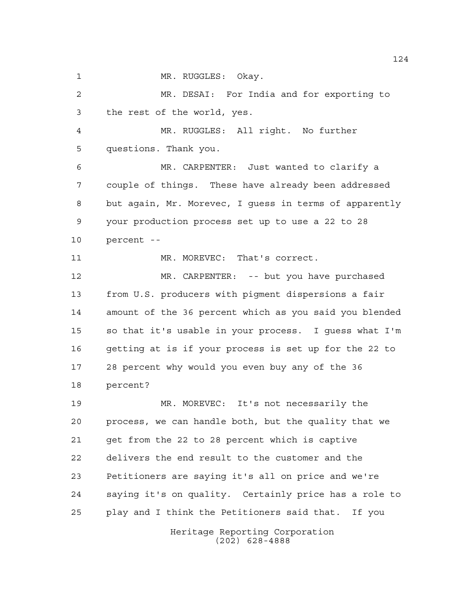1 MR. RUGGLES: Okay.

 MR. DESAI: For India and for exporting to the rest of the world, yes.

 MR. RUGGLES: All right. No further questions. Thank you.

 MR. CARPENTER: Just wanted to clarify a couple of things. These have already been addressed but again, Mr. Morevec, I guess in terms of apparently your production process set up to use a 22 to 28 percent --

11 MR. MOREVEC: That's correct.

 MR. CARPENTER: -- but you have purchased from U.S. producers with pigment dispersions a fair amount of the 36 percent which as you said you blended so that it's usable in your process. I guess what I'm getting at is if your process is set up for the 22 to 28 percent why would you even buy any of the 36 percent?

 MR. MOREVEC: It's not necessarily the process, we can handle both, but the quality that we get from the 22 to 28 percent which is captive delivers the end result to the customer and the Petitioners are saying it's all on price and we're saying it's on quality. Certainly price has a role to play and I think the Petitioners said that. If you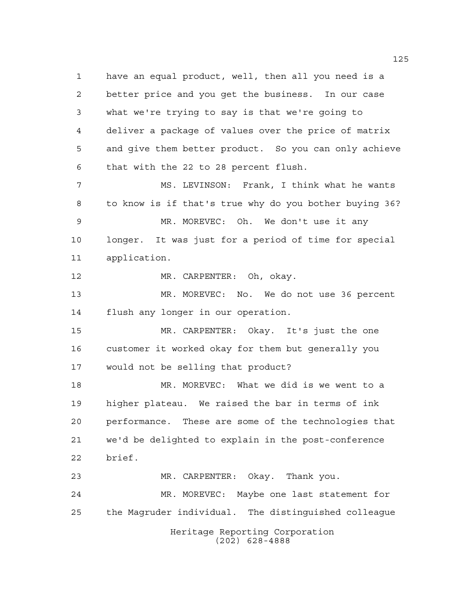have an equal product, well, then all you need is a better price and you get the business. In our case what we're trying to say is that we're going to deliver a package of values over the price of matrix and give them better product. So you can only achieve that with the 22 to 28 percent flush. MS. LEVINSON: Frank, I think what he wants to know is if that's true why do you bother buying 36? MR. MOREVEC: Oh. We don't use it any longer. It was just for a period of time for special application. MR. CARPENTER: Oh, okay. MR. MOREVEC: No. We do not use 36 percent flush any longer in our operation. MR. CARPENTER: Okay. It's just the one customer it worked okay for them but generally you would not be selling that product? MR. MOREVEC: What we did is we went to a higher plateau. We raised the bar in terms of ink performance. These are some of the technologies that we'd be delighted to explain in the post-conference brief. MR. CARPENTER: Okay. Thank you. MR. MOREVEC: Maybe one last statement for the Magruder individual. The distinguished colleague

Heritage Reporting Corporation (202) 628-4888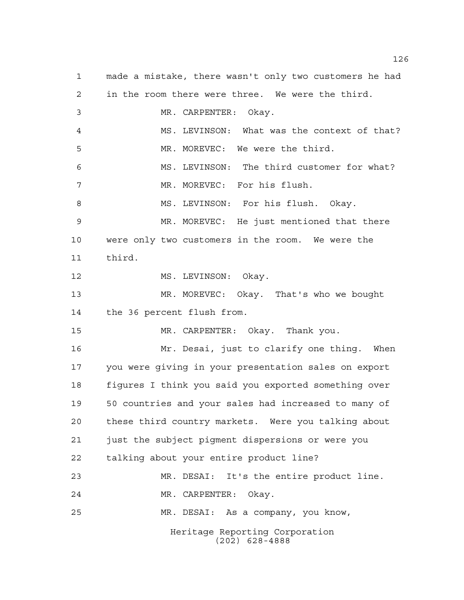Heritage Reporting Corporation (202) 628-4888 made a mistake, there wasn't only two customers he had in the room there were three. We were the third. MR. CARPENTER: Okay. MS. LEVINSON: What was the context of that? MR. MOREVEC: We were the third. MS. LEVINSON: The third customer for what? MR. MOREVEC: For his flush. 8 MS. LEVINSON: For his flush. Okay. MR. MOREVEC: He just mentioned that there were only two customers in the room. We were the third. 12 MS. LEVINSON: Okay. MR. MOREVEC: Okay. That's who we bought the 36 percent flush from. MR. CARPENTER: Okay. Thank you. Mr. Desai, just to clarify one thing. When you were giving in your presentation sales on export figures I think you said you exported something over 50 countries and your sales had increased to many of these third country markets. Were you talking about just the subject pigment dispersions or were you talking about your entire product line? MR. DESAI: It's the entire product line. MR. CARPENTER: Okay. MR. DESAI: As a company, you know,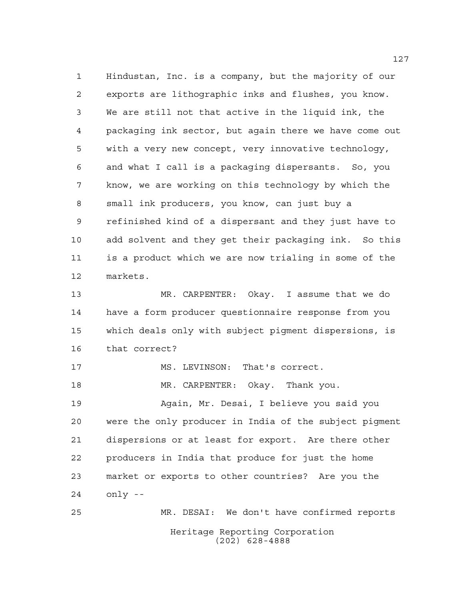Hindustan, Inc. is a company, but the majority of our exports are lithographic inks and flushes, you know. We are still not that active in the liquid ink, the packaging ink sector, but again there we have come out with a very new concept, very innovative technology, and what I call is a packaging dispersants. So, you know, we are working on this technology by which the small ink producers, you know, can just buy a refinished kind of a dispersant and they just have to add solvent and they get their packaging ink. So this is a product which we are now trialing in some of the markets.

 MR. CARPENTER: Okay. I assume that we do have a form producer questionnaire response from you which deals only with subject pigment dispersions, is that correct?

17 MS. LEVINSON: That's correct.

MR. CARPENTER: Okay. Thank you.

 Again, Mr. Desai, I believe you said you were the only producer in India of the subject pigment dispersions or at least for export. Are there other producers in India that produce for just the home market or exports to other countries? Are you the only --

Heritage Reporting Corporation (202) 628-4888 MR. DESAI: We don't have confirmed reports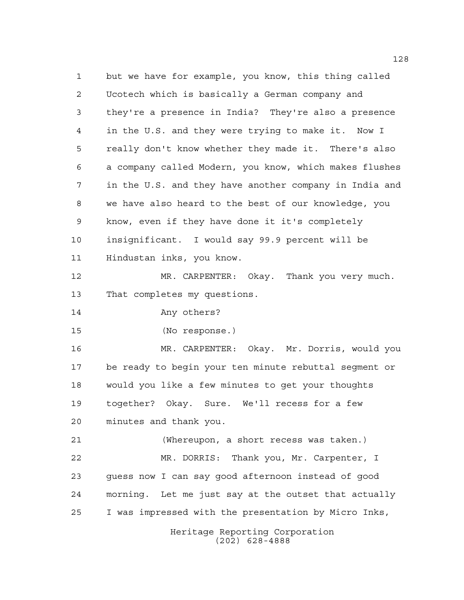Heritage Reporting Corporation (202) 628-4888 but we have for example, you know, this thing called Ucotech which is basically a German company and they're a presence in India? They're also a presence in the U.S. and they were trying to make it. Now I really don't know whether they made it. There's also a company called Modern, you know, which makes flushes in the U.S. and they have another company in India and we have also heard to the best of our knowledge, you know, even if they have done it it's completely insignificant. I would say 99.9 percent will be Hindustan inks, you know. MR. CARPENTER: Okay. Thank you very much. That completes my questions. Any others? (No response.) MR. CARPENTER: Okay. Mr. Dorris, would you be ready to begin your ten minute rebuttal segment or would you like a few minutes to get your thoughts together? Okay. Sure. We'll recess for a few minutes and thank you. (Whereupon, a short recess was taken.) MR. DORRIS: Thank you, Mr. Carpenter, I guess now I can say good afternoon instead of good morning. Let me just say at the outset that actually I was impressed with the presentation by Micro Inks,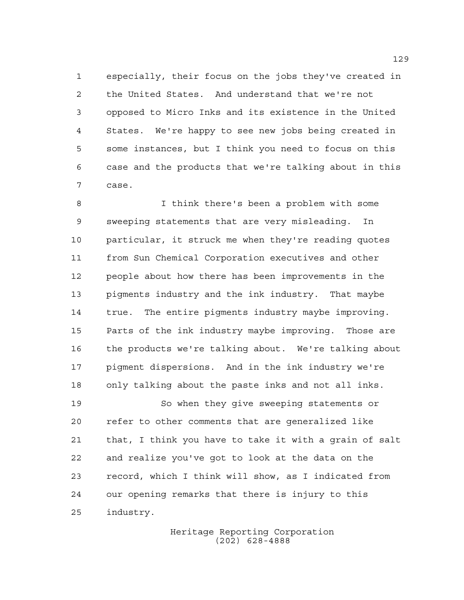especially, their focus on the jobs they've created in the United States. And understand that we're not opposed to Micro Inks and its existence in the United States. We're happy to see new jobs being created in some instances, but I think you need to focus on this case and the products that we're talking about in this case.

 I think there's been a problem with some sweeping statements that are very misleading. In particular, it struck me when they're reading quotes from Sun Chemical Corporation executives and other people about how there has been improvements in the pigments industry and the ink industry. That maybe true. The entire pigments industry maybe improving. Parts of the ink industry maybe improving. Those are the products we're talking about. We're talking about pigment dispersions. And in the ink industry we're only talking about the paste inks and not all inks.

 So when they give sweeping statements or refer to other comments that are generalized like that, I think you have to take it with a grain of salt and realize you've got to look at the data on the record, which I think will show, as I indicated from our opening remarks that there is injury to this industry.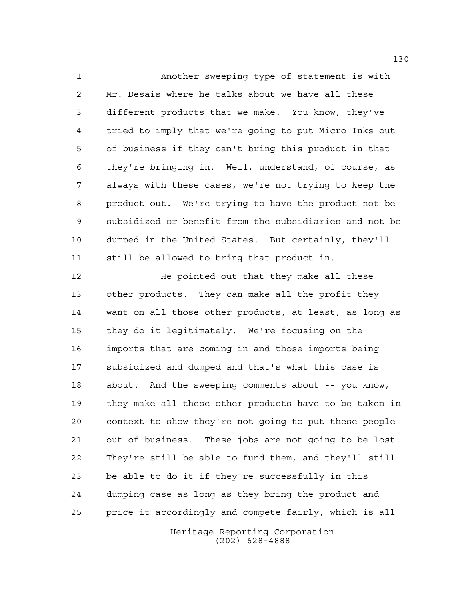Another sweeping type of statement is with Mr. Desais where he talks about we have all these different products that we make. You know, they've tried to imply that we're going to put Micro Inks out of business if they can't bring this product in that they're bringing in. Well, understand, of course, as always with these cases, we're not trying to keep the product out. We're trying to have the product not be subsidized or benefit from the subsidiaries and not be dumped in the United States. But certainly, they'll still be allowed to bring that product in.

**He pointed out that they make all these**  other products. They can make all the profit they want on all those other products, at least, as long as they do it legitimately. We're focusing on the imports that are coming in and those imports being subsidized and dumped and that's what this case is about. And the sweeping comments about -- you know, they make all these other products have to be taken in context to show they're not going to put these people out of business. These jobs are not going to be lost. They're still be able to fund them, and they'll still be able to do it if they're successfully in this dumping case as long as they bring the product and price it accordingly and compete fairly, which is all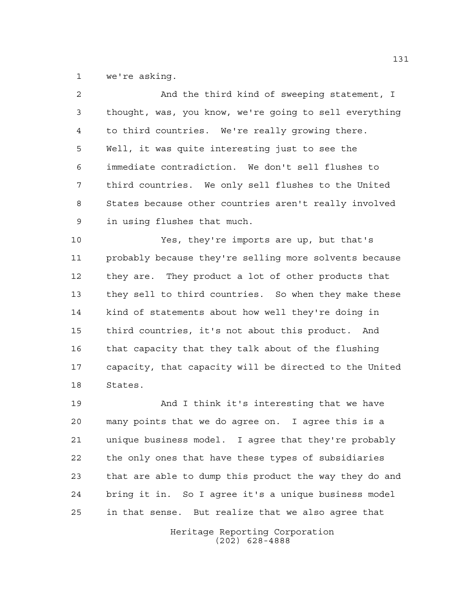we're asking.

| $\overline{a}$ | And the third kind of sweeping statement, I            |
|----------------|--------------------------------------------------------|
| 3              | thought, was, you know, we're going to sell everything |
| 4              | to third countries. We're really growing there.        |
| 5              | Well, it was quite interesting just to see the         |
| 6              | immediate contradiction. We don't sell flushes to      |
| 7              | third countries. We only sell flushes to the United    |
| 8              | States because other countries aren't really involved  |
| $\mathsf 9$    | in using flushes that much.                            |
| 10             | Yes, they're imports are up, but that's                |
| 11             | probably because they're selling more solvents because |
| 12             | they are. They product a lot of other products that    |
| 13             | they sell to third countries. So when they make these  |
| 14             | kind of statements about how well they're doing in     |
| 15             | third countries, it's not about this product. And      |
| 16             | that capacity that they talk about of the flushing     |
| 17             | capacity, that capacity will be directed to the United |
| 18             | States.                                                |

 And I think it's interesting that we have many points that we do agree on. I agree this is a unique business model. I agree that they're probably the only ones that have these types of subsidiaries that are able to dump this product the way they do and bring it in. So I agree it's a unique business model in that sense. But realize that we also agree that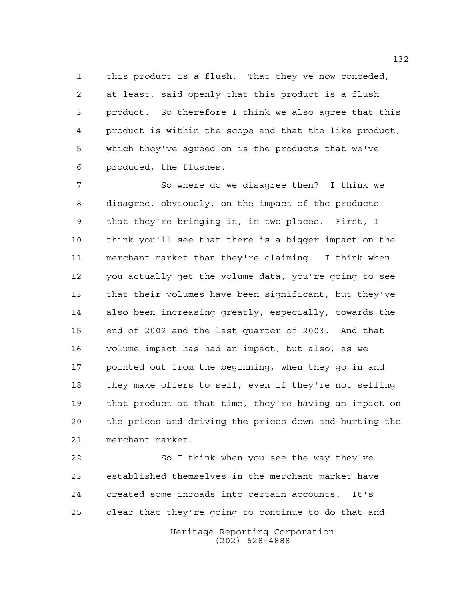this product is a flush. That they've now conceded, at least, said openly that this product is a flush product. So therefore I think we also agree that this product is within the scope and that the like product, which they've agreed on is the products that we've produced, the flushes.

 So where do we disagree then? I think we disagree, obviously, on the impact of the products that they're bringing in, in two places. First, I think you'll see that there is a bigger impact on the merchant market than they're claiming. I think when you actually get the volume data, you're going to see that their volumes have been significant, but they've also been increasing greatly, especially, towards the end of 2002 and the last quarter of 2003. And that volume impact has had an impact, but also, as we pointed out from the beginning, when they go in and they make offers to sell, even if they're not selling that product at that time, they're having an impact on the prices and driving the prices down and hurting the merchant market.

 So I think when you see the way they've established themselves in the merchant market have created some inroads into certain accounts. It's clear that they're going to continue to do that and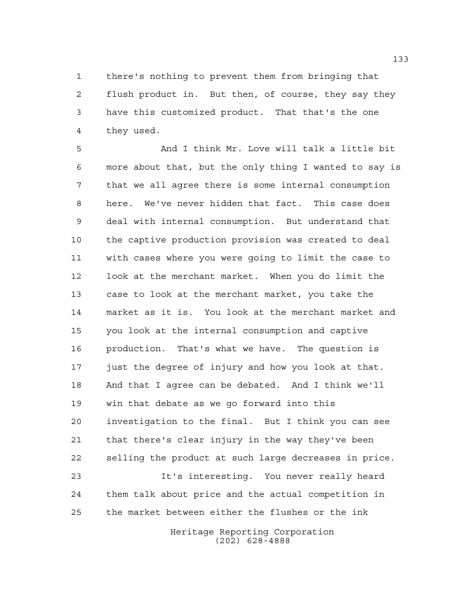there's nothing to prevent them from bringing that flush product in. But then, of course, they say they have this customized product. That that's the one they used.

 And I think Mr. Love will talk a little bit more about that, but the only thing I wanted to say is that we all agree there is some internal consumption here. We've never hidden that fact. This case does deal with internal consumption. But understand that the captive production provision was created to deal with cases where you were going to limit the case to look at the merchant market. When you do limit the case to look at the merchant market, you take the market as it is. You look at the merchant market and you look at the internal consumption and captive production. That's what we have. The question is just the degree of injury and how you look at that. And that I agree can be debated. And I think we'll win that debate as we go forward into this investigation to the final. But I think you can see that there's clear injury in the way they've been selling the product at such large decreases in price. It's interesting. You never really heard

 them talk about price and the actual competition in the market between either the flushes or the ink

> Heritage Reporting Corporation (202) 628-4888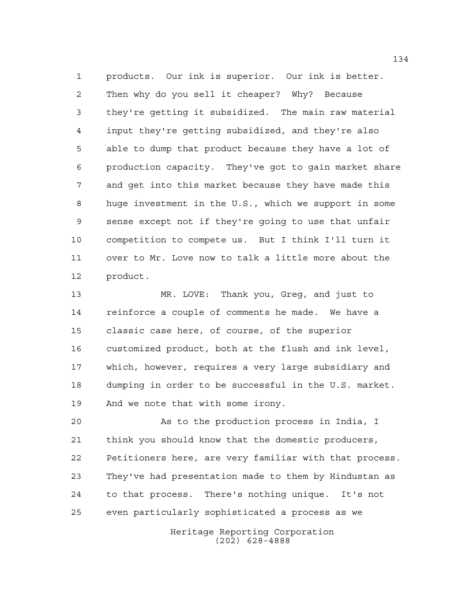products. Our ink is superior. Our ink is better. Then why do you sell it cheaper? Why? Because they're getting it subsidized. The main raw material input they're getting subsidized, and they're also able to dump that product because they have a lot of production capacity. They've got to gain market share and get into this market because they have made this huge investment in the U.S., which we support in some sense except not if they're going to use that unfair competition to compete us. But I think I'll turn it over to Mr. Love now to talk a little more about the product.

 MR. LOVE: Thank you, Greg, and just to reinforce a couple of comments he made. We have a classic case here, of course, of the superior customized product, both at the flush and ink level, which, however, requires a very large subsidiary and dumping in order to be successful in the U.S. market. And we note that with some irony.

 As to the production process in India, I think you should know that the domestic producers, Petitioners here, are very familiar with that process. They've had presentation made to them by Hindustan as to that process. There's nothing unique. It's not even particularly sophisticated a process as we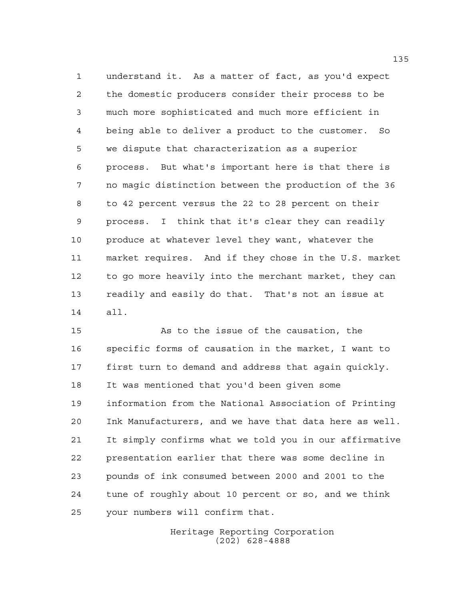understand it. As a matter of fact, as you'd expect the domestic producers consider their process to be much more sophisticated and much more efficient in being able to deliver a product to the customer. So we dispute that characterization as a superior process. But what's important here is that there is no magic distinction between the production of the 36 to 42 percent versus the 22 to 28 percent on their process. I think that it's clear they can readily produce at whatever level they want, whatever the market requires. And if they chose in the U.S. market to go more heavily into the merchant market, they can readily and easily do that. That's not an issue at all.

 As to the issue of the causation, the specific forms of causation in the market, I want to first turn to demand and address that again quickly. It was mentioned that you'd been given some information from the National Association of Printing Ink Manufacturers, and we have that data here as well. It simply confirms what we told you in our affirmative presentation earlier that there was some decline in pounds of ink consumed between 2000 and 2001 to the tune of roughly about 10 percent or so, and we think your numbers will confirm that.

> Heritage Reporting Corporation (202) 628-4888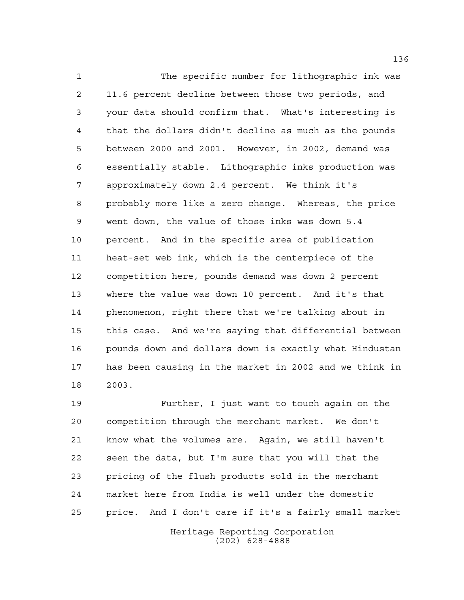The specific number for lithographic ink was 11.6 percent decline between those two periods, and your data should confirm that. What's interesting is that the dollars didn't decline as much as the pounds between 2000 and 2001. However, in 2002, demand was essentially stable. Lithographic inks production was approximately down 2.4 percent. We think it's probably more like a zero change. Whereas, the price went down, the value of those inks was down 5.4 percent. And in the specific area of publication heat-set web ink, which is the centerpiece of the competition here, pounds demand was down 2 percent where the value was down 10 percent. And it's that phenomenon, right there that we're talking about in this case. And we're saying that differential between pounds down and dollars down is exactly what Hindustan has been causing in the market in 2002 and we think in 2003.

 Further, I just want to touch again on the competition through the merchant market. We don't know what the volumes are. Again, we still haven't seen the data, but I'm sure that you will that the pricing of the flush products sold in the merchant market here from India is well under the domestic price. And I don't care if it's a fairly small market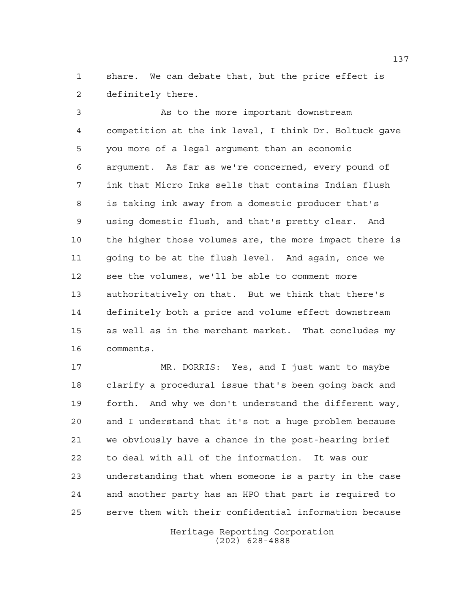share. We can debate that, but the price effect is definitely there.

 As to the more important downstream competition at the ink level, I think Dr. Boltuck gave you more of a legal argument than an economic argument. As far as we're concerned, every pound of ink that Micro Inks sells that contains Indian flush is taking ink away from a domestic producer that's using domestic flush, and that's pretty clear. And the higher those volumes are, the more impact there is going to be at the flush level. And again, once we see the volumes, we'll be able to comment more authoritatively on that. But we think that there's definitely both a price and volume effect downstream as well as in the merchant market. That concludes my comments.

 MR. DORRIS: Yes, and I just want to maybe clarify a procedural issue that's been going back and forth. And why we don't understand the different way, and I understand that it's not a huge problem because we obviously have a chance in the post-hearing brief to deal with all of the information. It was our understanding that when someone is a party in the case and another party has an HPO that part is required to serve them with their confidential information because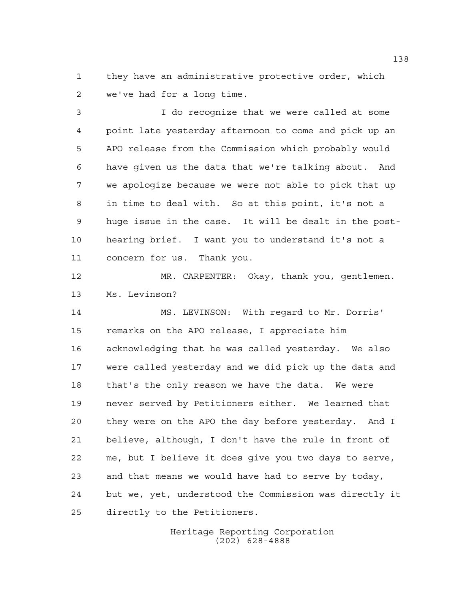they have an administrative protective order, which we've had for a long time.

 I do recognize that we were called at some point late yesterday afternoon to come and pick up an APO release from the Commission which probably would have given us the data that we're talking about. And we apologize because we were not able to pick that up in time to deal with. So at this point, it's not a huge issue in the case. It will be dealt in the post- hearing brief. I want you to understand it's not a concern for us. Thank you.

 MR. CARPENTER: Okay, thank you, gentlemen. Ms. Levinson?

 MS. LEVINSON: With regard to Mr. Dorris' remarks on the APO release, I appreciate him acknowledging that he was called yesterday. We also were called yesterday and we did pick up the data and 18 that's the only reason we have the data. We were never served by Petitioners either. We learned that they were on the APO the day before yesterday. And I believe, although, I don't have the rule in front of me, but I believe it does give you two days to serve, and that means we would have had to serve by today, but we, yet, understood the Commission was directly it directly to the Petitioners.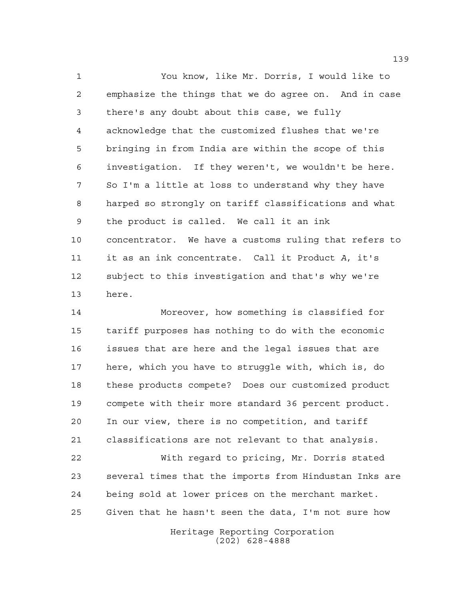You know, like Mr. Dorris, I would like to emphasize the things that we do agree on. And in case there's any doubt about this case, we fully acknowledge that the customized flushes that we're bringing in from India are within the scope of this investigation. If they weren't, we wouldn't be here. So I'm a little at loss to understand why they have harped so strongly on tariff classifications and what the product is called. We call it an ink concentrator. We have a customs ruling that refers to it as an ink concentrate. Call it Product *A*, it's subject to this investigation and that's why we're here.

 Moreover, how something is classified for tariff purposes has nothing to do with the economic issues that are here and the legal issues that are here, which you have to struggle with, which is, do these products compete? Does our customized product compete with their more standard 36 percent product. In our view, there is no competition, and tariff classifications are not relevant to that analysis.

 With regard to pricing, Mr. Dorris stated several times that the imports from Hindustan Inks are being sold at lower prices on the merchant market. Given that he hasn't seen the data, I'm not sure how

> Heritage Reporting Corporation (202) 628-4888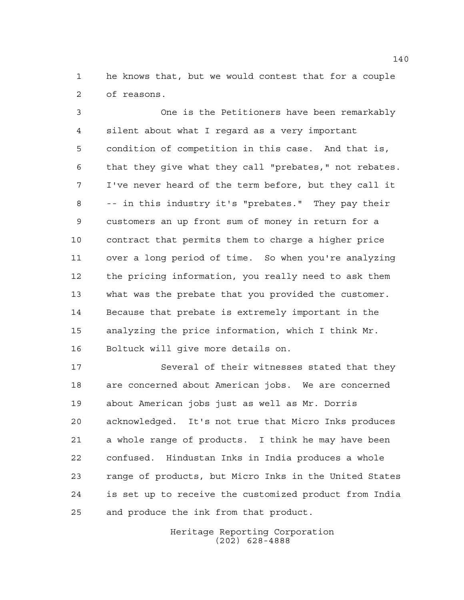he knows that, but we would contest that for a couple of reasons.

 One is the Petitioners have been remarkably silent about what I regard as a very important condition of competition in this case. And that is, that they give what they call "prebates," not rebates. I've never heard of the term before, but they call it -- in this industry it's "prebates." They pay their customers an up front sum of money in return for a contract that permits them to charge a higher price over a long period of time. So when you're analyzing the pricing information, you really need to ask them what was the prebate that you provided the customer. Because that prebate is extremely important in the analyzing the price information, which I think Mr. Boltuck will give more details on.

 Several of their witnesses stated that they are concerned about American jobs. We are concerned about American jobs just as well as Mr. Dorris acknowledged. It's not true that Micro Inks produces a whole range of products. I think he may have been confused. Hindustan Inks in India produces a whole range of products, but Micro Inks in the United States is set up to receive the customized product from India and produce the ink from that product.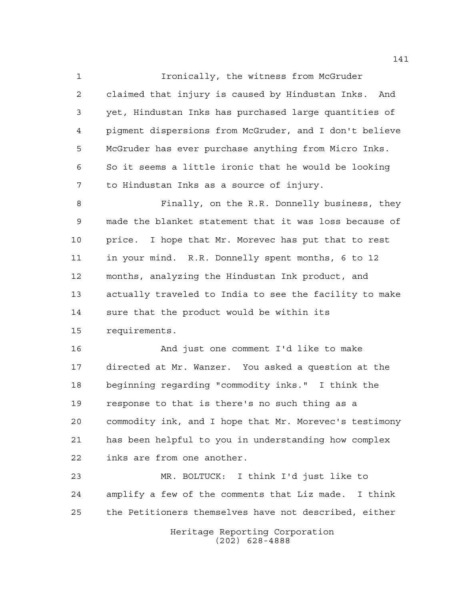Ironically, the witness from McGruder claimed that injury is caused by Hindustan Inks. And yet, Hindustan Inks has purchased large quantities of pigment dispersions from McGruder, and I don't believe McGruder has ever purchase anything from Micro Inks. So it seems a little ironic that he would be looking to Hindustan Inks as a source of injury.

 Finally, on the R.R. Donnelly business, they made the blanket statement that it was loss because of price. I hope that Mr. Morevec has put that to rest in your mind. R.R. Donnelly spent months, 6 to 12 months, analyzing the Hindustan Ink product, and actually traveled to India to see the facility to make sure that the product would be within its requirements.

 And just one comment I'd like to make directed at Mr. Wanzer. You asked a question at the beginning regarding "commodity inks." I think the response to that is there's no such thing as a commodity ink, and I hope that Mr. Morevec's testimony has been helpful to you in understanding how complex inks are from one another.

 MR. BOLTUCK: I think I'd just like to amplify a few of the comments that Liz made. I think the Petitioners themselves have not described, either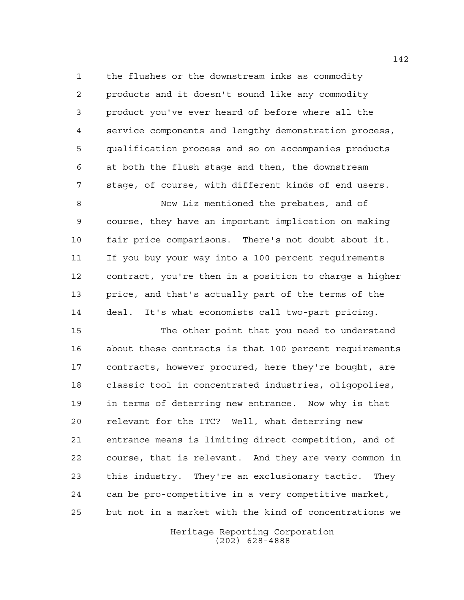the flushes or the downstream inks as commodity products and it doesn't sound like any commodity product you've ever heard of before where all the service components and lengthy demonstration process, qualification process and so on accompanies products at both the flush stage and then, the downstream stage, of course, with different kinds of end users.

 Now Liz mentioned the prebates, and of course, they have an important implication on making fair price comparisons. There's not doubt about it. If you buy your way into a 100 percent requirements contract, you're then in a position to charge a higher price, and that's actually part of the terms of the deal. It's what economists call two-part pricing.

 The other point that you need to understand about these contracts is that 100 percent requirements contracts, however procured, here they're bought, are classic tool in concentrated industries, oligopolies, in terms of deterring new entrance. Now why is that relevant for the ITC? Well, what deterring new entrance means is limiting direct competition, and of course, that is relevant. And they are very common in this industry. They're an exclusionary tactic. They can be pro-competitive in a very competitive market, but not in a market with the kind of concentrations we

> Heritage Reporting Corporation (202) 628-4888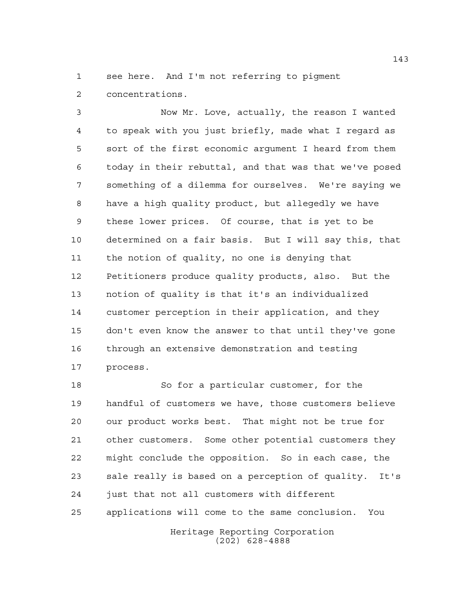see here. And I'm not referring to pigment concentrations.

 Now Mr. Love, actually, the reason I wanted to speak with you just briefly, made what I regard as sort of the first economic argument I heard from them today in their rebuttal, and that was that we've posed something of a dilemma for ourselves. We're saying we have a high quality product, but allegedly we have these lower prices. Of course, that is yet to be determined on a fair basis. But I will say this, that the notion of quality, no one is denying that Petitioners produce quality products, also. But the notion of quality is that it's an individualized customer perception in their application, and they don't even know the answer to that until they've gone through an extensive demonstration and testing process.

 So for a particular customer, for the handful of customers we have, those customers believe our product works best. That might not be true for other customers. Some other potential customers they might conclude the opposition. So in each case, the sale really is based on a perception of quality. It's just that not all customers with different applications will come to the same conclusion. You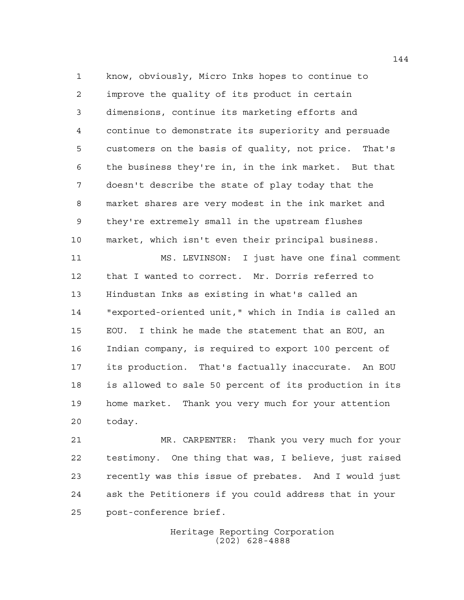know, obviously, Micro Inks hopes to continue to improve the quality of its product in certain dimensions, continue its marketing efforts and continue to demonstrate its superiority and persuade customers on the basis of quality, not price. That's the business they're in, in the ink market. But that doesn't describe the state of play today that the market shares are very modest in the ink market and they're extremely small in the upstream flushes market, which isn't even their principal business.

 MS. LEVINSON: I just have one final comment that I wanted to correct. Mr. Dorris referred to Hindustan Inks as existing in what's called an "exported-oriented unit," which in India is called an EOU. I think he made the statement that an EOU, an Indian company, is required to export 100 percent of its production. That's factually inaccurate. An EOU is allowed to sale 50 percent of its production in its home market. Thank you very much for your attention today.

 MR. CARPENTER: Thank you very much for your testimony. One thing that was, I believe, just raised recently was this issue of prebates. And I would just ask the Petitioners if you could address that in your post-conference brief.

> Heritage Reporting Corporation (202) 628-4888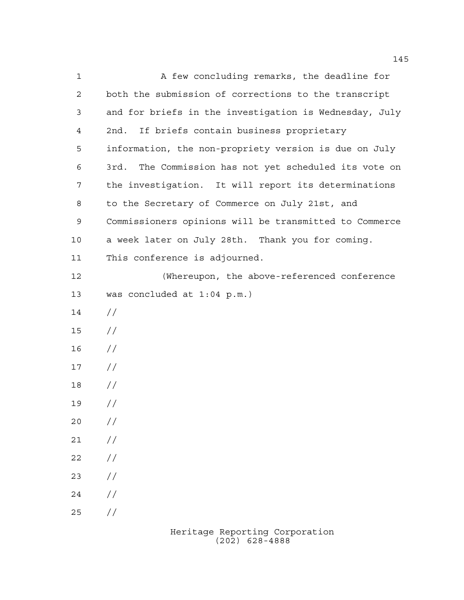A few concluding remarks, the deadline for both the submission of corrections to the transcript and for briefs in the investigation is Wednesday, July 2nd. If briefs contain business proprietary information, the non-propriety version is due on July 3rd. The Commission has not yet scheduled its vote on the investigation. It will report its determinations to the Secretary of Commerce on July 21st, and Commissioners opinions will be transmitted to Commerce a week later on July 28th. Thank you for coming. This conference is adjourned. (Whereupon, the above-referenced conference was concluded at 1:04 p.m.) // // //  $17 /$  // //  $20 /$  $21 /$  $22 / /$  $23 / /$  $24 /$ //

> Heritage Reporting Corporation (202) 628-4888